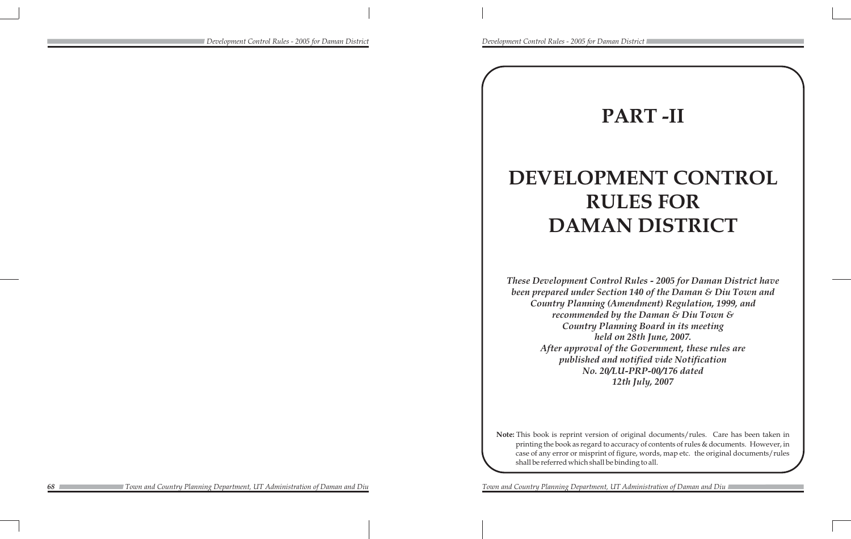# **PART -II**

# **DEVELOPMENT CONTROL RULES FOR DAMAN DISTRICT**

*These Development Control Rules - 2005 for Daman District have been prepared under Section 140 of the Daman & Diu Town and Country Planning (Amendment) Regulation, 1999, and recommended by the Daman & Diu Town & Country Planning Board in its meeting held on 28th June, 2007. After approval of the Government, these rules are published and notified vide Notification No. 20/LU-PRP-00/176 dated 12th July, 2007*

**Note:** This book is reprint version of original documents/rules. Care has been taken in printing the book as regard to accuracy of contents of rules & documents. However, in case of any error or misprint of figure, words, map etc. the original documents/rules shall be referred which shall be binding to all.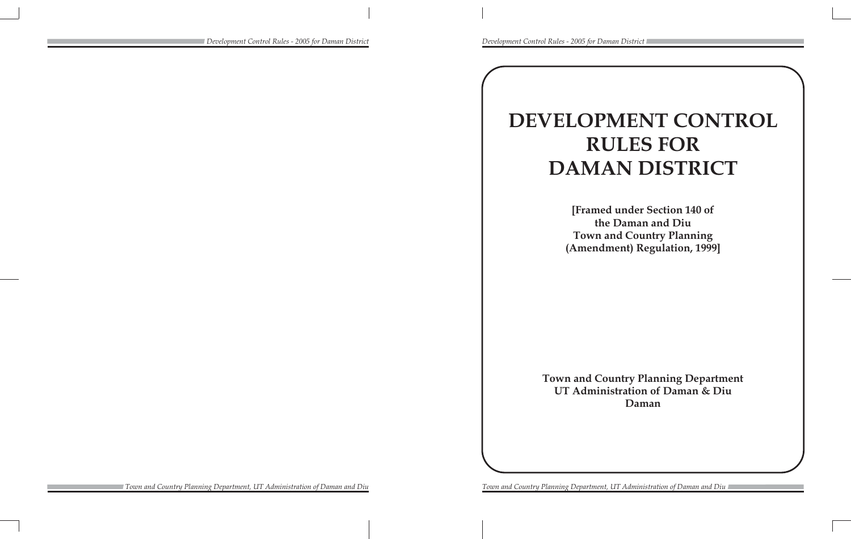# **DEVELOPMENT CONTROL RULES FOR DAMAN DISTRICT**

**[Framed under Section 140 of the Daman and Diu Town and Country Planning (Amendment) Regulation, 1999]**

**Town and Country Planning Department UT Administration of Daman & Diu Daman**

*Development Control Rules - 2005 for Daman District Development Control Rules - 2005 for Daman District*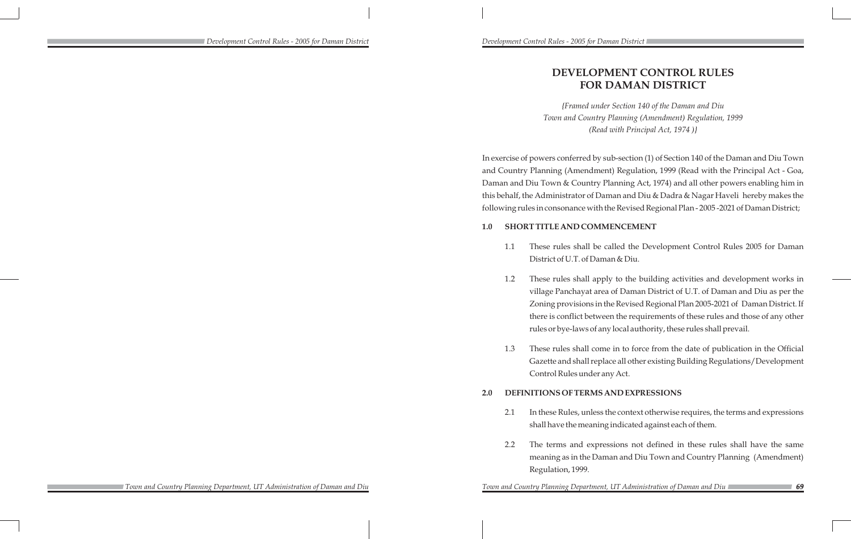# **DEVELOPMENT CONTROL RULES FOR DAMAN DISTRICT**

*{Framed under Section 140 of the Daman and Diu Town and Country Planning (Amendment) Regulation, 1999 (Read with Principal Act, 1974 )}*

In exercise of powers conferred by sub-section (1) of Section 140 of the Daman and Diu Town and Country Planning (Amendment) Regulation, 1999 (Read with the Principal Act - Goa, Daman and Diu Town & Country Planning Act, 1974) and all other powers enabling him in this behalf, the Administrator of Daman and Diu & Dadra & Nagar Haveli hereby makes the following rules in consonance with the Revised Regional Plan - 2005 -2021 of Daman District;

# **1.0 SHORT TITLE AND COMMENCEMENT**

1.1 These rules shall be called the Development Control Rules 2005 for Daman

1.2 These rules shall apply to the building activities and development works in village Panchayat area of Daman District of U.T. of Daman and Diu as per the Zoning provisions in the Revised Regional Plan 2005-2021 of Daman District. If there is conflict between the requirements of these rules and those of any other rules or bye-laws of any local authority, these rules shall prevail.

- District of U.T. of Daman & Diu.
	-
- Control Rules under any Act.

1.3 These rules shall come in to force from the date of publication in the Official Gazette and shall replace all other existing Building Regulations/Development

# **2.0 DEFINITIONS OF TERMS AND EXPRESSIONS**

2.1 In these Rules, unless the context otherwise requires, the terms and expressions shall have the meaning indicated against each of them.

2.2 The terms and expressions not defined in these rules shall have the same meaning as in the Daman and Diu Town and Country Planning (Amendment)

- 
- Regulation, 1999.

*69*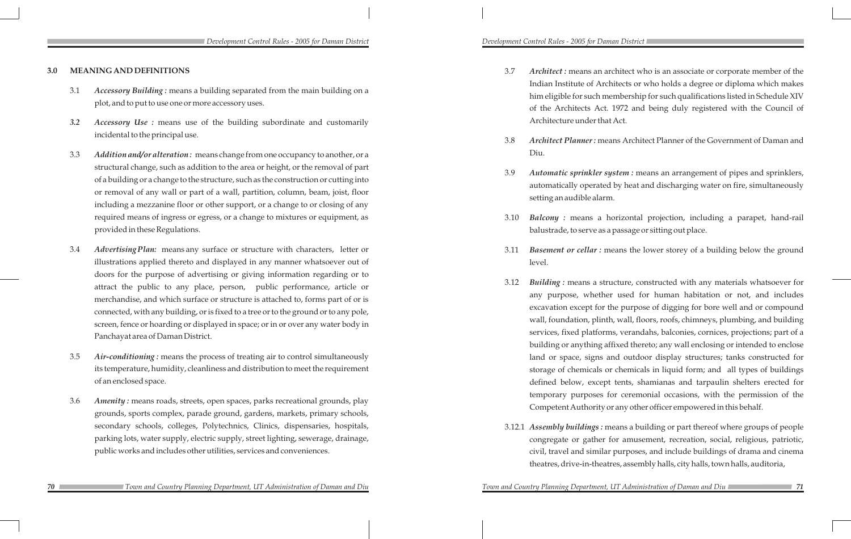### **3.0 MEANING AND DEFINITIONS**

- 3.1 *Accessory Building :* means a building separated from the main building on a plot, and to put to use one or more accessory uses.
- *3.2 Accessory Use :* means use of the building subordinate and customarily incidental to the principal use.
- 3.3 *Addition and/or alteration :* means change from one occupancy to another, or a structural change, such as addition to the area or height, or the removal of part of a building or a change to the structure, such as the construction or cutting into or removal of any wall or part of a wall, partition, column, beam, joist, floor including a mezzanine floor or other support, or a change to or closing of any required means of ingress or egress, or a change to mixtures or equipment, as provided in these Regulations.
- 3.4 *Advertising Plan:* means any surface or structure with characters, letter or illustrations applied thereto and displayed in any manner whatsoever out of doors for the purpose of advertising or giving information regarding or to attract the public to any place, person, public performance, article or merchandise, and which surface or structure is attached to, forms part of or is connected, with any building, or is fixed to a tree or to the ground or to any pole, screen, fence or hoarding or displayed in space; or in or over any water body in Panchayat area of Daman District.
- 3.5 *Air-conditioning :* means the process of treating air to control simultaneously its temperature, humidity, cleanliness and distribution to meet the requirement of an enclosed space.
- 3.6 *Amenity :* means roads, streets, open spaces, parks recreational grounds, play grounds, sports complex, parade ground, gardens, markets, primary schools, secondary schools, colleges, Polytechnics, Clinics, dispensaries, hospitals, parking lots, water supply, electric supply, street lighting, sewerage, drainage, public works and includes other utilities, services and conveniences.

3.7 *Architect :* means an architect who is an associate or corporate member of the Indian Institute of Architects or who holds a degree or diploma which makes him eligible for such membership for such qualifications listed in Schedule XIV of the Architects Act. 1972 and being duly registered with the Council of

3.8 *Architect Planner :* means Architect Planner of the Government of Daman and

3.9 *Automatic sprinkler system :* means an arrangement of pipes and sprinklers, automatically operated by heat and discharging water on fire, simultaneously

- Architecture under that Act.
- Diu.
- setting an audible alarm.
- 
- level.
	-
- 

*Town and Country Planning Department, UT Administration of Daman and Diu* 

3.10 *Balcony :* means a horizontal projection, including a parapet, hand-rail balustrade, to serve as a passage or sitting out place.

3.11 *Basement or cellar :* means the lower storey of a building below the ground

3.12 *Building :* means a structure, constructed with any materials whatsoever for any purpose, whether used for human habitation or not, and includes excavation except for the purpose of digging for bore well and or compound wall, foundation, plinth, wall, floors, roofs, chimneys, plumbing, and building services, fixed platforms, verandahs, balconies, cornices, projections; part of a building or anything affixed thereto; any wall enclosing or intended to enclose land or space, signs and outdoor display structures; tanks constructed for storage of chemicals or chemicals in liquid form; and all types of buildings defined below, except tents, shamianas and tarpaulin shelters erected for temporary purposes for ceremonial occasions, with the permission of the Competent Authority or any other officer empowered in this behalf.

3.12.1 *Assembly buildings :* means a building or part thereof where groups of people congregate or gather for amusement, recreation, social, religious, patriotic, civil, travel and similar purposes, and include buildings of drama and cinema theatres, drive-in-theatres, assembly halls, city halls, town halls, auditoria,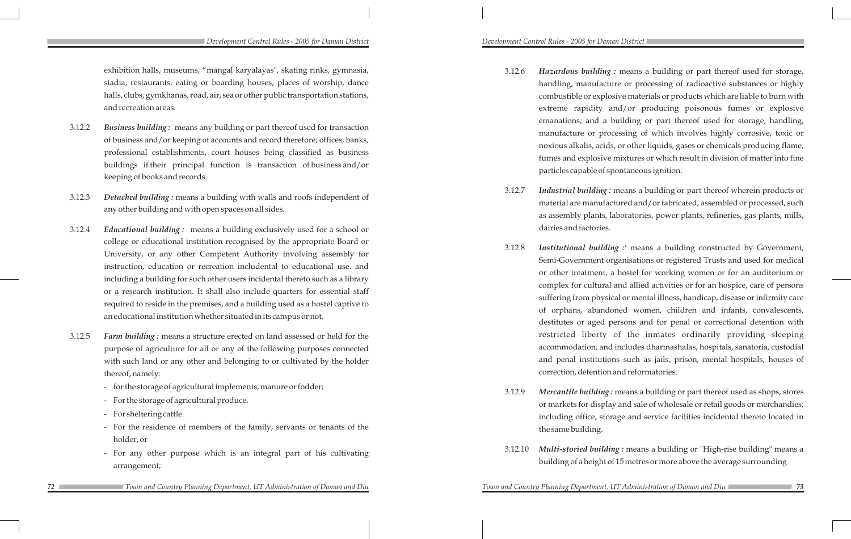3.12.6 *Hazardous building :* means a building or part thereof used for storage, handling, manufacture or processing of radioactive substances or highly combustible or explosive materials or products which are liable to burn with extreme rapidity and/or producing poisonous fumes or explosive emanations; and a building or part thereof used for storage, handling, manufacture or processing of which involves highly corrosive, toxic or noxious alkalis, acids, or other liquids, gases or chemicals producing flame, fumes and explosive mixtures or which result in division of matter into fine particles capable of spontaneous ignition.

3.12.7 *Industrial building :* means a building or part thereof wherein products or material are manufactured and/or fabricated, assembled or processed, such as assembly plants, laboratories, power plants, refineries, gas plants, mills,

3.12.8 *Institutional building :'* means a building constructed by Government, Semi-Government organisations or registered Trusts and used for medical or other treatment, a hostel for working women or for an auditorium or complex for cultural and allied activities or for an hospice, care of persons suffering from physical or mental illness, handicap, disease or infirmity care of orphans, abandoned women, children and infants, convalescents, destitutes or aged persons and for penal or correctional detention with restricted liberty of the inmates ordinarily providing sleeping accommodation, and includes dharmashalas, hospitals, sanatoria, custodial and penal institutions such as jails, prison, mental hospitals, houses of correction, detention and reformatories.

- 
- dairies and factories.
- 
- the same building.
- 

*Town and Country Planning Department, UT Administration of Daman and Diu* 

3.12.9 *Mercantile building :* means a building or part thereof used as shops, stores or markets for display and sale of wholesale or retail goods or merchandies; including office, storage and service facilities incidental thereto located in

3.12.10 *Multi-storied building :* means a building or "High-rise building" means a building of a height of 15 metres or more above the average surrounding

### *Development Control Rules - 2005 for Daman District Development Control Rules - 2005 for Daman District*

exhibition halls, museums, "mangal karyalayas", skating rinks, gymnasia, stadia, restaurants, eating or boarding houses, places of worship, dance halls, clubs, gymkhanas, road, air, sea or other public transportation stations, and recreation areas.

- 3.12.2 *Business building :* means any building or part thereof used for transaction of business and/or keeping of accounts and record therefore; offices, banks, professional establishments, court houses being classified as business buildings if their principal function is transaction of business and/or keeping of books and records.
- 3.12.3 *Detached building :* means a building with walls and roofs independent of any other building and with open spaces on all sides.
- 3.12.4 *Educational building :* means a building exclusively used for a school or college or educational institution recognised by the appropriate Board or University, or any other Competent Authority involving assembly for instruction, education or recreation includental to educational use. and including a building for such other users incidental thereto such as a library or a research institution. It shall also include quarters for essential staff required to reside in the premises, and a building used as a hostel captive to an educational institution whether situated in its campus or not.
- 3.12.5 *Farm building :* means a structure erected on land assessed or held for the purpose of agriculture for all or any of the following purposes connected with such land or any other and belonging to or cultivated by the holder thereof, namely:
	- for the storage of agricultural implements, manure or fodder;
	- For the storage of agricultural produce.
	- For sheltering cattle.
	- For the residence of members of the family, servants or tenants of the holder, or
	- For any other purpose which is an integral part of his cultivating arrangement;
		- *Town and Country Planning Department, UT Administration of Daman and Diu Town and Country Planning Department, UT Administration of Daman and Diu*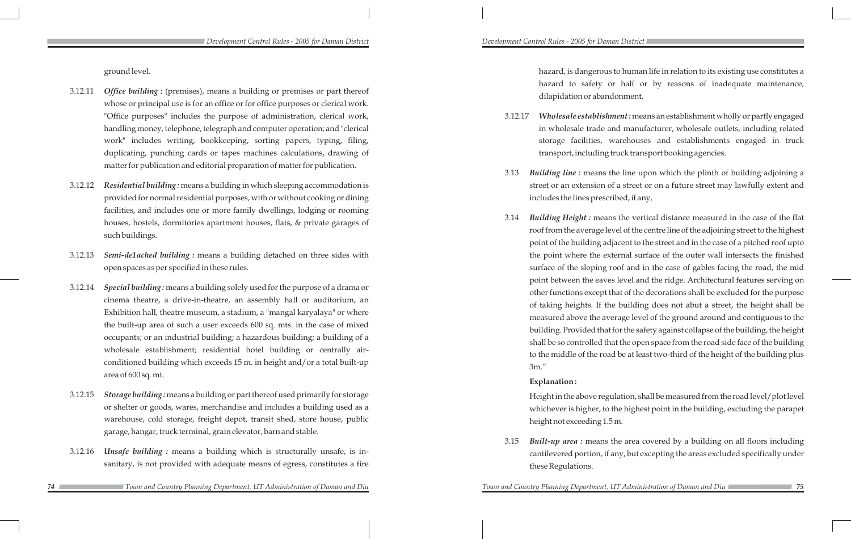ground level.

- 3.12.11 *Office building :* (premises), means a building or premises or part thereof whose or principal use is for an office or for office purposes or clerical work. "Office purposes" includes the purpose of administration, clerical work, handling money, telephone, telegraph and computer operation; and "clerical work" includes writing, bookkeeping, sorting papers, typing, filing, duplicating, punching cards or tapes machines calculations, drawing of matter for publication and editorial preparation of matter for publication.
- 3.12.12 *Residential building :* means a building in which sleeping accommodation is provided for normal residential purposes, with or without cooking or dining facilities, and includes one or more family dwellings, lodging or rooming houses, hostels, dormitories apartment houses, flats, & private garages of such buildings.
- 3.12.13 *Semi-de1ached building :* means a building detached on three sides with open spaces as per specified in these rules.
- 3.12.14 *Special building :* means a building solely used for the purpose of a drama or cinema theatre, a drive-in-theatre, an assembly hall or auditorium, an Exhibition hall, theatre museum, a stadium, a "mangal karyalaya" or where the built-up area of such a user exceeds 600 sq. mts. in the case of mixed occupants; or an industrial building; a hazardous building; a building of a wholesale establishment; residential hotel building or centrally airconditioned building which exceeds 15 m. in height and/or a total built-up area of 600 sq. mt.
- 3.12.15 *Storage building :* means a building or part thereof used primarily for storage or shelter or goods, wares, merchandise and includes a building used as a warehouse, cold storage, freight depot, transit shed, store house, public garage, hangar, truck terminal, grain elevator, barn and stable.
- 3.12.16 *Unsafe building :* means a building which is structurally unsafe, is insanitary, is not provided with adequate means of egress, constitutes a fire

 hazard, is dangerous to human life in relation to its existing use constitutes a hazard to safety or half or by reasons of inadequate maintenance, dilapidation or abandonment.

3.12.17 *Wholesale establishment :* means an establishment wholly or partly engaged in wholesale trade and manufacturer, wholesale outlets, including related storage facilities, warehouses and establishments engaged in truck transport, including truck transport booking agencies.

3.13 *Building line :* means the line upon which the plinth of building adjoining a street or an extension of a street or on a future street may lawfully extent and

- 
- includes the lines prescribed, if any,
	- 3m."

3.14 *Building Height :* means the vertical distance measured in the case of the flat roof from the average level of the centre line of the adjoining street to the highest point of the building adjacent to the street and in the case of a pitched roof upto the point where the external surface of the outer wall intersects the finished surface of the sloping roof and in the case of gables facing the road, the mid point between the eaves level and the ridge. Architectural features serving on other functions except that of the decorations shall be excluded for the purpose of taking heights. If the building does not abut a street, the height shall be measured above the average level of the ground around and contiguous to the building. Provided that for the safety against collapse of the building, the height shall be so controlled that the open space from the road side face of the building to the middle of the road be at least two-third of the height of the building plus

### **Explanation :**

Height in the above regulation, shall be measured from the road level/plot level whichever is higher, to the highest point in the building, excluding the parapet height not exceeding 1.5 m.

3.15 *Built-up area :* means the area covered by a building on all floors including cantilevered portion, if any, but excepting the areas excluded specifically under

these Regulations.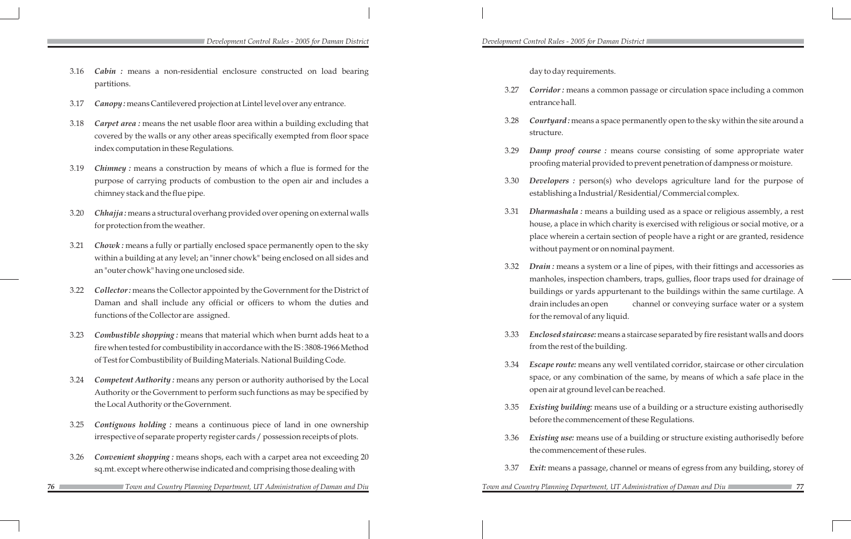day to day requirements.

3.27 *Corridor :* means a common passage or circulation space including a common

3.28 *Courtyard :* means a space permanently open to the sky within the site around a

3.29 *Damp proof course :* means course consisting of some appropriate water proofing material provided to prevent penetration of dampness or moisture.

3.30 *Developers :* person(s) who develops agriculture land for the purpose of establishing a Industrial/Residential/Commercial complex.

3.31 *Dharmashala :* means a building used as a space or religious assembly, a rest house, a place in which charity is exercised with religious or social motive, or a place wherein a certain section of people have a right or are granted, residence without payment or on nominal payment.

- entrance hall.
- structure.
- 
- 
- 
- for the removal of any liquid.
- from the rest of the building.
- open air at ground level can be reached.
- 
- the commencement of these rules.
- 

3.32 *Drain :* means a system or a line of pipes, with their fittings and accessories as manholes, inspection chambers, traps, gullies, floor traps used for drainage of buildings or yards appurtenant to the buildings within the same curtilage. A drain includes an open channel or conveying surface water or a system

3.33 *Enclosed staircase:* means a staircase separated by fire resistant walls and doors

3.34 *Escape route:* means any well ventilated corridor, staircase or other circulation space, or any combination of the same, by means of which a safe place in the

3.35 *Existing building:* means use of a building or a structure existing authorisedly before the commencement of these Regulations.

3.36 *Existing use:* means use of a building or structure existing authorisedly before

3.37 *Exit:* means a passage, channel or means of egress from any building, storey of

- 3.16 *Cabin :* means a non-residential enclosure constructed on load bearing partitions.
- 3.17 *Canopy :* means Cantilevered projection at Lintel level over any entrance.
- 3.18 *Carpet area :* means the net usable floor area within a building excluding that covered by the walls or any other areas specifically exempted from floor space index computation in these Regulations.
- 3.19 *Chimney :* means a construction by means of which a flue is formed for the purpose of carrying products of combustion to the open air and includes a chimney stack and the flue pipe.
- 3.20 *Chhajja :* means a structural overhang provided over opening on external walls for protection from the weather.
- 3.21 *Chowk :* means a fully or partially enclosed space permanently open to the sky within a building at any level; an "inner chowk" being enclosed on all sides and an "outer chowk" having one unclosed side.
- 3.22 *Collector :* means the Collector appointed by the Government for the District of Daman and shall include any official or officers to whom the duties and functions of the Collector are assigned.
- 3.23 *Combustible shopping :* means that material which when burnt adds heat to a fire when tested for combustibility in accordance with the IS : 3808-1966 Method of Test for Combustibility of Building Materials. National Building Code.
- 3.24 *Competent Authority :* means any person or authority authorised by the Local Authority or the Government to perform such functions as may be specified by the Local Authority or the Government.
- 3.25 *Contiguous holding :* means a continuous piece of land in one ownership irrespective of separate property register cards / possession receipts of plots.
- 3.26 *Convenient shopping :* means shops, each with a carpet area not exceeding 20 sq.mt. except where otherwise indicated and comprising those dealing with
- *76 77 Town and Country Planning Department, UT Administration of Daman and Diu Town and Country Planning Department, UT Administration of Daman and Diu*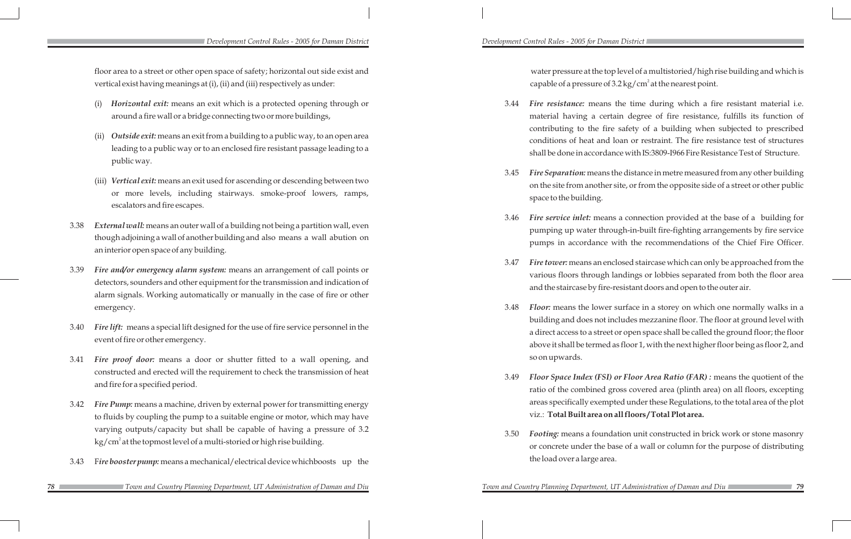floor area to a street or other open space of safety; horizontal out side exist and vertical exist having meanings at (i), (ii) and (iii) respectively as under:

- *Horizontal exit:* means an exit which is a protected opening through or around a fire wall or a bridge connecting two or more buildings,
- (ii) *Outside exit:* means an exit from a building to a public way, to an open area leading to a public way or to an enclosed fire resistant passage leading to a public way.
- (iii) *Vertical exit:* means an exit used for ascending or descending between two or more levels, including stairways. smoke-proof lowers, ramps, escalators and fire escapes.
- 3.38 *External wall:* means an outer wall of a building not being a partition wall, even though adjoining a wall of another building and also means a wall abution on an interior open space of any building.
- 3.39 *Fire and/or emergency alarm system:* means an arrangement of call points or detectors, sounders and other equipment for the transmission and indication of alarm signals. Working automatically or manually in the case of fire or other emergency.
- 3.40 *Fire lift:* means a special lift designed for the use of fire service personnel in the event of fire or other emergency.
- 3.41 *Fire proof door:* means a door or shutter fitted to a wall opening, and constructed and erected will the requirement to check the transmission of heat and fire for a specified period.
- 3.42 *Fire Pump:* means a machine, driven by external power for transmitting energy to fluids by coupling the pump to a suitable engine or motor, which may have varying outputs/capacity but shall be capable of having a pressure of 3.2 kg/cm $^{\rm 2}$  at the topmost level of a multi-storied or high rise building.
- 3.43 F*ire booster pump:* means a mechanical/electrical device which boosts up the

water pressure at the top level of a multistoried/high rise building and which is capable of a pressure of 3.2 kg/cm<sup>2</sup> at the nearest point.

3.44 *Fire resistance:* means the time during which a fire resistant material i.e. material having a certain degree of fire resistance, fulfills its function of contributing to the fire safety of a building when subjected to prescribed conditions of heat and loan or restraint. The fire resistance test of structures shall be done in accordance with IS:3809-I966 Fire Resistance Test of Structure.

3.45 *Fire Separation:* means the distance in metre measured from any other building on the site from another site, or from the opposite side of a street or other public

3.46 *Fire service inlet:* means a connection provided at the base of a building for pumping up water through-in-built fire-fighting arrangements by fire service pumps in accordance with the recommendations of the Chief Fire Officer.

3.47 *Fire tower:* means an enclosed staircase which can only be approached from the various floors through landings or lobbies separated from both the floor area and the staircase by fire-resistant doors and open to the outer air.

3.48 *Floor:* means the lower surface in a storey on which one normally walks in a building and does not includes mezzanine floor. The floor at ground level with a direct access to a street or open space shall be called the ground floor; the floor above it shall be termed as floor 1, with the next higher floor being as floor 2, and

- 
- space to the building.
- 
- 
- so on upwards.
- 
- the load over a large area.

3.49 *Floor Space Index (FSI) or Floor Area Ratio (FAR) :* means the quotient of the ratio of the combined gross covered area (plinth area) on all floors, excepting areas specifically exempted under these Regulations, to the total area of the plot viz.: **Total Built area on all floors / Total Plot area.**

3.50 *Footing:* means a foundation unit constructed in brick work or stone masonry or concrete under the base of a wall or column for the purpose of distributing

### *Development Control Rules - 2005 for Daman District Development Control Rules - 2005 for Daman District*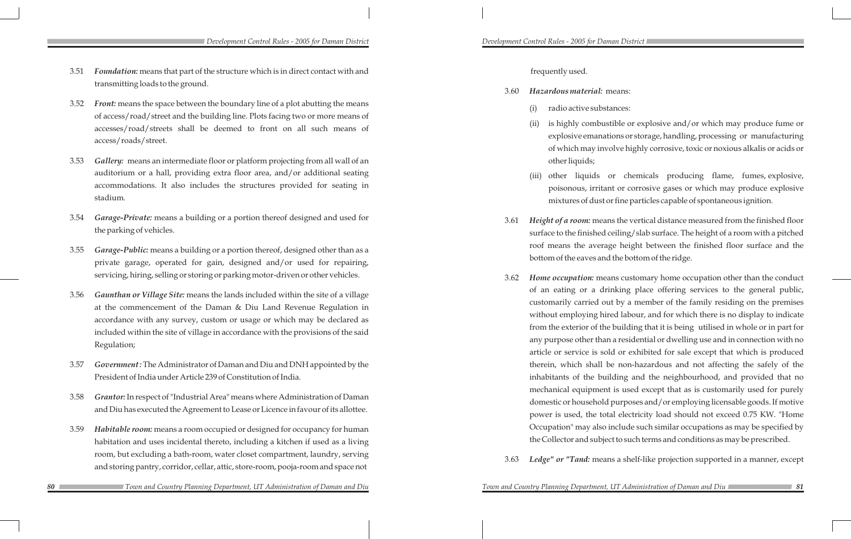frequently used.

## 3.60 *Hazardous material:* means:

is highly combustible or explosive and/or which may produce fume or explosive emanations or storage, handling, processing or manufacturing of which may involve highly corrosive, toxic or noxious alkalis or acids or

- (i) radio active substances:
- other liquids;
- 
- 
- 
- 

*Fown and Country Planning Department, UT Administration of Daman and Diu* 

(iii) other liquids or chemicals producing flame, fumes, explosive, poisonous, irritant or corrosive gases or which may produce explosive mixtures of dust or fine particles capable of spontaneous ignition.

3.61 *Height of a room:* means the vertical distance measured from the finished floor surface to the finished ceiling/slab surface. The height of a room with a pitched roof means the average height between the finished floor surface and the bottom of the eaves and the bottom of the ridge.

3.62 *Home occupation:* means customary home occupation other than the conduct of an eating or a drinking place offering services to the general public, customarily carried out by a member of the family residing on the premises without employing hired labour, and for which there is no display to indicate from the exterior of the building that it is being utilised in whole or in part for any purpose other than a residential or dwelling use and in connection with no article or service is sold or exhibited for sale except that which is produced therein, which shall be non-hazardous and not affecting the safely of the inhabitants of the building and the neighbourhood, and provided that no mechanical equipment is used except that as is customarily used for purely domestic or household purposes and/or employing licensable goods. If motive power is used, the total electricity load should not exceed 0.75 KW. "Home Occupation" may also include such similar occupations as may be specified by the Collector and subject to such terms and conditions as may be prescribed.

3.63 *Ledge" or "Tand:* means a shelf-like projection supported in a manner, except

*Development Control Rules - 2005 for Daman District Development Control Rules - 2005 for Daman District* 

- 3.51 *Foundation:* means that part of the structure which is in direct contact with and transmitting loads to the ground.
- 3.52 *Front:* means the space between the boundary line of a plot abutting the means of access/road/street and the building line. Plots facing two or more means of accesses/road/streets shall be deemed to front on all such means of access/roads/street.
- 3.53 *Gallery:* means an intermediate floor or platform projecting from all wall of an auditorium or a hall, providing extra floor area, and/or additional seating accommodations. It also includes the structures provided for seating in stadium.
- 3.54 *Garage-Private:* means a building or a portion thereof designed and used for the parking of vehicles.
- 3.55 *Garage-Public:* means a building or a portion thereof, designed other than as a private garage, operated for gain, designed and/or used for repairing, servicing, hiring, selling or storing or parking motor-driven or other vehicles.
- 3.56 *Gaunthan or Village Site:* means the lands included within the site of a village at the commencement of the Daman & Diu Land Revenue Regulation in accordance with any survey, custom or usage or which may be declared as included within the site of village in accordance with the provisions of the said Regulation;
- 3.57 *Government :* The Administrator of Daman and Diu and DNH appointed by the President of India under Article 239 of Constitution of India.
- 3.58 *Grantor:* In respect of "Industrial Area" means where Administration of Daman and Diu has executed the Agreement to Lease or Licence in favour of its allottee.
- 3.59 *Habitable room:* means a room occupied or designed for occupancy for human habitation and uses incidental thereto, including a kitchen if used as a living room, but excluding a bath-room, water closet compartment, laundry, serving and storing pantry, corridor, cellar, attic, store-room, pooja-room and space not
	- *Town and Country Planning Department, UT Administration of Daman and Diu Town and Country Planning Department, UT Administration of Daman and Diu*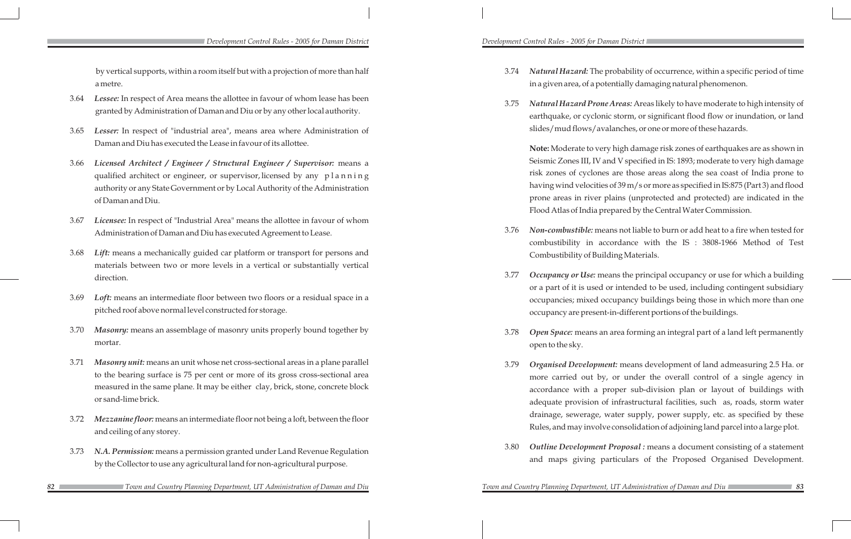by vertical supports, within a room itself but with a projection of more than half a metre.

- 3.64 *Lessee:* In respect of Area means the allottee in favour of whom lease has been granted by Administration of Daman and Diu or by any other local authority.
- 3.65 *Lesser:* In respect of "industrial area", means area where Administration of Daman and Diu has executed the Lease in favour of its allottee.
- 3.66 *Licensed Architect / Engineer / Structural Engineer / Supervisor:* means a qualified architect or engineer, or supervisor, licensed by any planning authority or any State Government or by Local Authority of the Administration of Daman and Diu.
- 3.67 *Licensee:* In respect of "Industrial Area" means the allottee in favour of whom Administration of Daman and Diu has executed Agreement to Lease.
- 3.68 *Lift:* means a mechanically guided car platform or transport for persons and materials between two or more levels in a vertical or substantially vertical direction.
- 3.69 *Loft:* means an intermediate floor between two floors or a residual space in a pitched roof above normal level constructed for storage.
- 3.70 *Masonry:* means an assemblage of masonry units properly bound together by mortar.
- 3.71 *Masonry unit:* means an unit whose net cross-sectional areas in a plane parallel to the bearing surface is 75 per cent or more of its gross cross-sectional area measured in the same plane. It may be either clay, brick, stone, concrete block or sand-lime brick.
- 3.72 *Mezzanine floor:* means an intermediate floor not being a loft, between the floor and ceiling of any storey.
- 3.73 *N.A. Permission:* means a permission granted under Land Revenue Regulation by the Collector to use any agricultural land for non-agricultural purpose.

3.74 *Natural Hazard:* The probability of occurrence, within a specific period of time in a given area, of a potentially damaging natural phenomenon.

3.75 *Natural Hazard Prone Areas:* Areas likely to have moderate to high intensity of earthquake, or cyclonic storm, or significant flood flow or inundation, or land slides/mud flows/avalanches, or one or more of these hazards.

**Note:** Moderate to very high damage risk zones of earthquakes are as shown in Seismic Zones III, IV and V specified in IS: 1893; moderate to very high damage risk zones of cyclones are those areas along the sea coast of India prone to having wind velocities of 39 m/s or more as specified in IS:875 (Part 3) and flood prone areas in river plains (unprotected and protected) are indicated in the Flood Atlas of India prepared by the Central Water Commission.

3.76 *Non-combustible:* means not liable to burn or add heat to a fire when tested for combustibility in accordance with the IS : 3808-1966 Method of Test

3.77 *Occupancy or Use:* means the principal occupancy or use for which a building or a part of it is used or intended to be used, including contingent subsidiary occupancies; mixed occupancy buildings being those in which more than one occupancy are present-in-different portions of the buildings.

- Combustibility of Building Materials.
- 
- open to the sky.
- 
- 

3.78 *Open Space:* means an area forming an integral part of a land left permanently

3.79 *Organised Development:* means development of land admeasuring 2.5 Ha. or more carried out by, or under the overall control of a single agency in accordance with a proper sub-division plan or layout of buildings with adequate provision of infrastructural facilities, such as, roads, storm water drainage, sewerage, water supply, power supply, etc. as specified by these Rules, and may involve consolidation of adjoining land parcel into a large plot.

3.80 *Outline Development Proposal :* means a document consisting of a statement and maps giving particulars of the Proposed Organised Development.

- 
-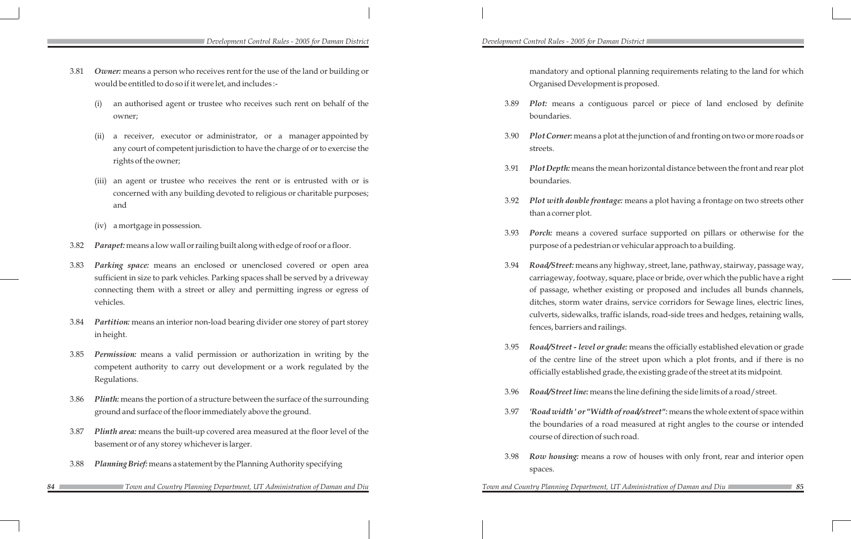mandatory and optional planning requirements relating to the land for which Organised Development is proposed.

3.89 *Plot:* means a contiguous parcel or piece of land enclosed by definite

3.90 *Plot Corner:* means a plot at the junction of and fronting on two or more roads or

3.91 *Plot Depth:* means the mean horizontal distance between the front and rear plot

3.92 *Plot with double frontage:* means a plot having a frontage on two streets other

3.93 *Porch:* means a covered surface supported on pillars or otherwise for the purpose of a pedestrian or vehicular approach to a building.

3.94 *Road/Street:* means any highway, street, lane, pathway, stairway, passage way, carriageway, footway, square, place or bride, over which the public have a right of passage, whether existing or proposed and includes all bunds channels, ditches, storm water drains, service corridors for Sewage lines, electric lines, culverts, sidewalks, traffic islands, road-side trees and hedges, retaining walls,

- boundaries.
- streets.
- boundaries.
- than a corner plot.
- - fences, barriers and railings.
- 
- 
- course of direction of such road.
- spaces.

*Fown and Country Planning Department, UT Administration of Daman and Diu* 

3.95 *Road/Street - level or grade:* means the officially established elevation or grade of the centre line of the street upon which a plot fronts, and if there is no officially established grade, the existing grade of the street at its midpoint.

3.96 *Road/Street line:* means the line defining the side limits of a road/street.

3.97 *'Road width ' or "Width of road/street":* means the whole extent of space within the boundaries of a road measured at right angles to the course or intended

3.98 *Row housing:* means a row of houses with only front, rear and interior open

*Development Control Rules - 2005 for Daman District Development Control Rules - 2005 for Daman District* 

- 3.81 *Owner:* means a person who receives rent for the use of the land or building or would be entitled to do so if it were let, and includes :-
	- (i) an authorised agent or trustee who receives such rent on behalf of the owner;
	- a receiver, executor or administrator, or a manager appointed by any court of competent jurisdiction to have the charge of or to exercise the rights of the owner;
	- (iii) an agent or trustee who receives the rent or is entrusted with or is concerned with any building devoted to religious or charitable purposes; and
	- (iv) a mortgage in possession.
- 3.82 *Parapet:* means a low wall or railing built along with edge of roof or a floor.
- 3.83 *Parking space:* means an enclosed or unenclosed covered or open area sufficient in size to park vehicles. Parking spaces shall be served by a driveway connecting them with a street or alley and permitting ingress or egress of vehicles.
- 3.84 *Partition:* means an interior non-load bearing divider one storey of part storey in height.
- 3.85 *Permission:* means a valid permission or authorization in writing by the competent authority to carry out development or a work regulated by the Regulations.
- 3.86 *Plinth:* means the portion of a structure between the surface of the surrounding ground and surface of the floor immediately above the ground.
- 3.87 *Plinth area:* means the built-up covered area measured at the floor level of the basement or of any storey whichever is larger.
- 3.88 *Planning Brief:* means a statement by the Planning Authority specifying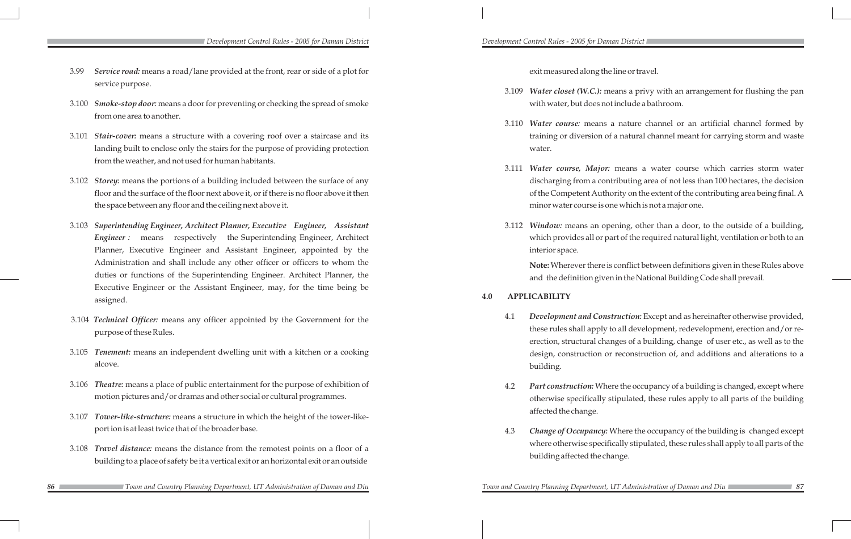exit measured along the line or travel.

- 3.99 *Service road:* means a road/lane provided at the front, rear or side of a plot for service purpose.
- 3.100 *Smoke-stop door:* means a door for preventing or checking the spread of smoke from one area to another.
- 3.101 *Stair-cover:* means a structure with a covering roof over a staircase and its landing built to enclose only the stairs for the purpose of providing protection from the weather, and not used for human habitants.
- 3.102 *Storey:* means the portions of a building included between the surface of any floor and the surface of the floor next above it, or if there is no floor above it then the space between any floor and the ceiling next above it.
- 3.103 *Superintending Engineer, Architect Planner, Executive Engineer, Assistant*  **Engineer :** means respectively the Superintending Engineer, Architect Planner, Executive Engineer and Assistant Engineer, appointed by the Administration and shall include any other officer or officers to whom the duties or functions of the Superintending Engineer. Architect Planner, the Executive Engineer or the Assistant Engineer, may, for the time being be assigned.
- 3.104 *Technical Officer:* means any officer appointed by the Government for the purpose of these Rules.
- 3.105 *Tenement:* means an independent dwelling unit with a kitchen or a cooking alcove.
- 3.106 *Theatre:* means a place of public entertainment for the purpose of exhibition of motion pictures and/or dramas and other social or cultural programmes.
- 3.107 *Tower-like-structure:* means a structure in which the height of the tower-likeport ion is at least twice that of the broader base.
- 3.108 *Travel distance:* means the distance from the remotest points on a floor of a building to a place of safety be it a vertical exit or an horizontal exit or an outside
- *86 87 Town and Country Planning Department, UT Administration of Daman and Diu Town and Country Planning Department, UT Administration of Daman and Diu*

3.109 *Water closet (W.C.):* means a privy with an arrangement for flushing the pan with water, but does not include a bathroom.

3.110 *Water course:* means a nature channel or an artificial channel formed by training or diversion of a natural channel meant for carrying storm and waste

3.111 *Water course, Major:* means a water course which carries storm water discharging from a contributing area of not less than 100 hectares, the decision of the Competent Authority on the extent of the contributing area being final. A minor water course is one which is not a major one.

- 
- water.
- 
- interior space.

3.112 *Window:* means an opening, other than a door, to the outside of a building, which provides all or part of the required natural light, ventilation or both to an

**Note:** Wherever there is conflict between definitions given in these Rules above and the definition given in the National Building Code shall prevail.

### **4.0 APPLICABILITY**

4.1 *Development and Construction:* Except and as hereinafter otherwise provided, these rules shall apply to all development, redevelopment, erection and/or reerection, structural changes of a building, change of user etc., as well as to the design, construction or reconstruction of, and additions and alterations to a

4.2 *Part construction:* Where the occupancy of a building is changed, except where otherwise specifically stipulated, these rules apply to all parts of the building

- building.
- affected the change.
- building affected the change.

4.3 *Change of Occupancy:* Where the occupancy of the building is changed except where otherwise specifically stipulated, these rules shall apply to all parts of the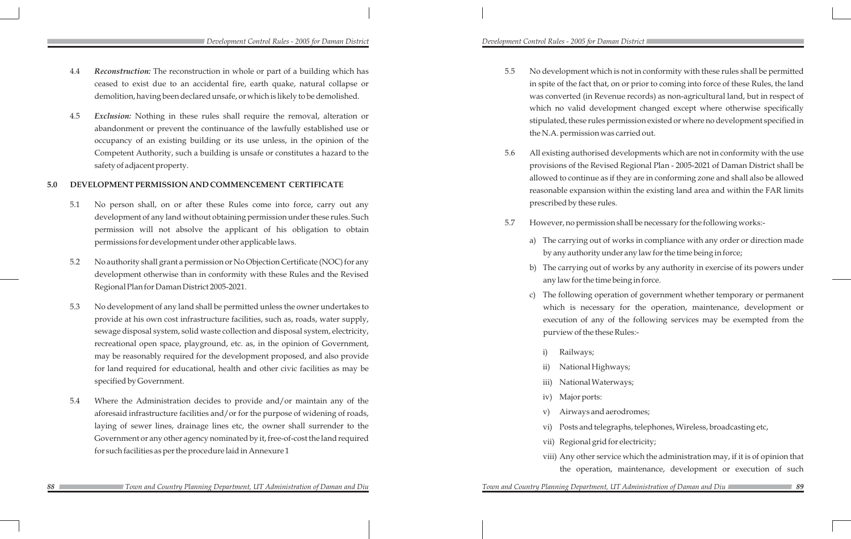5.5 No development which is not in conformity with these rules shall be permitted in spite of the fact that, on or prior to coming into force of these Rules, the land was converted (in Revenue records) as non-agricultural land, but in respect of which no valid development changed except where otherwise specifically stipulated, these rules permission existed or where no development specified in

5.6 All existing authorised developments which are not in conformity with the use provisions of the Revised Regional Plan - 2005-2021 of Daman District shall be allowed to continue as if they are in conforming zone and shall also be allowed reasonable expansion within the existing land area and within the FAR limits

5.7 However, no permission shall be necessary for the following works:-

- the N.A. permission was carried out.
- prescribed by these rules.
- - a) The carrying out of works in compliance with any order or direction made by any authority under any law for the time being in force;
	- b) The carrying out of works by any authority in exercise of its powers under any law for the time being in force.
	- c) The following operation of government whether temporary or permanent which is necessary for the operation, maintenance, development or execution of any of the following services may be exempted from the purview of the these Rules:-
		- Railways;
		- National Highways; iii) National Waterways; iv) Major ports: v) Airways and aerodromes; vi) Posts and telegraphs, telephones, Wireless, broadcasting etc, vii) Regional grid for electricity;
		-
		-
	-
	-
	-
	- viii) Any other service which the administration may, if it is of opinion that
		- the operation, maintenance, development or execution of such

*Town and Country Planning Department, UT Administration of Daman and Diu* 

- 4.4 *Reconstruction:* The reconstruction in whole or part of a building which has ceased to exist due to an accidental fire, earth quake, natural collapse or demolition, having been declared unsafe, or which is likely to be demolished.
- 4.5 *Exclusion:* Nothing in these rules shall require the removal, alteration or abandonment or prevent the continuance of the lawfully established use or occupancy of an existing building or its use unless, in the opinion of the Competent Authority, such a building is unsafe or constitutes a hazard to the safety of adjacent property.

### **5.0 DEVELOPMENT PERMISSION AND COMMENCEMENT CERTIFICATE**

- 5.1 No person shall, on or after these Rules come into force, carry out any development of any land without obtaining permission under these rules. Such permission will not absolve the applicant of his obligation to obtain permissions for development under other applicable laws.
- 5.2 No authority shall grant a permission or No Objection Certificate (NOC) for any development otherwise than in conformity with these Rules and the Revised Regional Plan for Daman District 2005-2021.
- 5.3 No development of any land shall be permitted unless the owner undertakes to provide at his own cost infrastructure facilities, such as, roads, water supply, sewage disposal system, solid waste collection and disposal system, electricity, recreational open space, playground, etc. as, in the opinion of Government, may be reasonably required for the development proposed, and also provide for land required for educational, health and other civic facilities as may be specified by Government.
- 5.4 Where the Administration decides to provide and/or maintain any of the aforesaid infrastructure facilities and/or for the purpose of widening of roads, laying of sewer lines, drainage lines etc, the owner shall surrender to the Government or any other agency nominated by it, free-of-cost the land required for such facilities as per the procedure laid in Annexure 1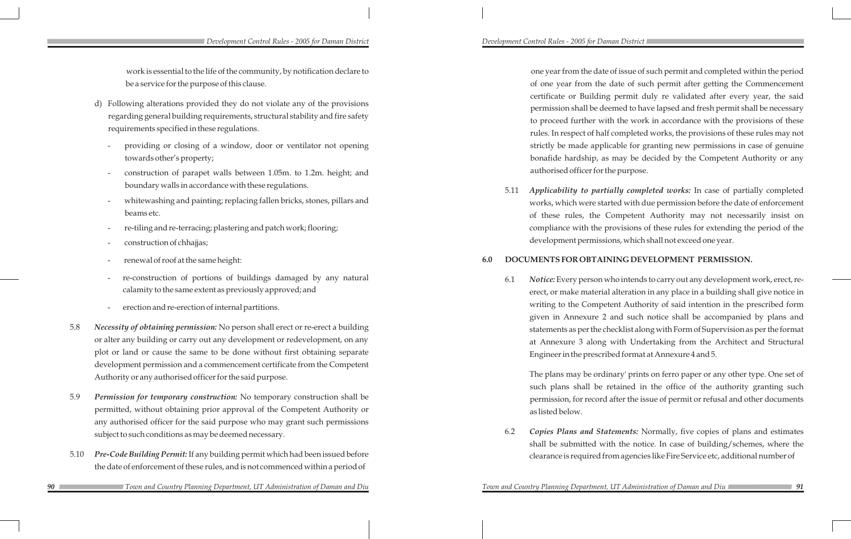work is essential to the life of the community, by notification declare to be a service for the purpose of this clause.

one year from the date of issue of such permit and completed within the period of one year from the date of such permit after getting the Commencement certificate or Building permit duly re validated after every year, the said permission shall be deemed to have lapsed and fresh permit shall be necessary to proceed further with the work in accordance with the provisions of these rules. In respect of half completed works, the provisions of these rules may not strictly be made applicable for granting new permissions in case of genuine bonafide hardship, as may be decided by the Competent Authority or any authorised officer for the purpose.

- d) Following alterations provided they do not violate any of the provisions regarding general building requirements, structural stability and fire safety requirements specified in these regulations.
	- providing or closing of a window, door or ventilator not opening towards other's property;
	- construction of parapet walls between 1.05m. to 1.2m. height; and boundary walls in accordance with these regulations.
	- whitewashing and painting; replacing fallen bricks, stones, pillars and beams etc.
	- re-tiling and re-terracing; plastering and patch work; flooring;
	- construction of chhajjas;
	- renewal of roof at the same height:
	- re-construction of portions of buildings damaged by any natural calamity to the same extent as previously approved; and
	- erection and re-erection of internal partitions.
- 5.8 *Necessity of obtaining permission:* No person shall erect or re-erect a building or alter any building or carry out any development or redevelopment, on any plot or land or cause the same to be done without first obtaining separate development permission and a commencement certificate from the Competent Authority or any authorised officer for the said purpose.
- 5.9 *Permission for temporary construction:* No temporary construction shall be permitted, without obtaining prior approval of the Competent Authority or any authorised officer for the said purpose who may grant such permissions subject to such conditions as may be deemed necessary.
- 5.10 *Pre-Code Building Permit:*If any building permit which had been issued before the date of enforcement of these rules, and is not commenced within a period of
	- *Town and Country Planning Department, UT Administration of Daman and Diu Town and Country Planning Department, UT Administration of Daman and Diu*

5.11 *Applicability to partially completed works:* In case of partially completed works, which were started with due permission before the date of enforcement of these rules, the Competent Authority may not necessarily insist on compliance with the provisions of these rules for extending the period of the development permissions, which shall not exceed one year.

# **6.0 DOCUMENTS FOR OBTAINING DEVELOPMENT PERMISSION.**

6.1 *Notice:* Every person who intends to carry out any development work, erect, reerect, or make material alteration in any place in a building shall give notice in writing to the Competent Authority of said intention in the prescribed form given in Annexure 2 and such notice shall be accompanied by plans and statements as per the checklist along with Form of Supervision as per the format at Annexure 3 along with Undertaking from the Architect and Structural Engineer in the prescribed format at Annexure 4 and 5.

The plans may be ordinary' prints on ferro paper or any other type. One set of such plans shall be retained in the office of the authority granting such permission, for record after the issue of permit or refusal and other documents as listed below.

6.2 *Copies Plans and Statements:* Normally, five copies of plans and estimates shall be submitted with the notice. In case of building/schemes, where the clearance is required from agencies like Fire Service etc, additional number of

### *Development Control Rules - 2005 for Daman District Development Control Rules - 2005 for Daman District*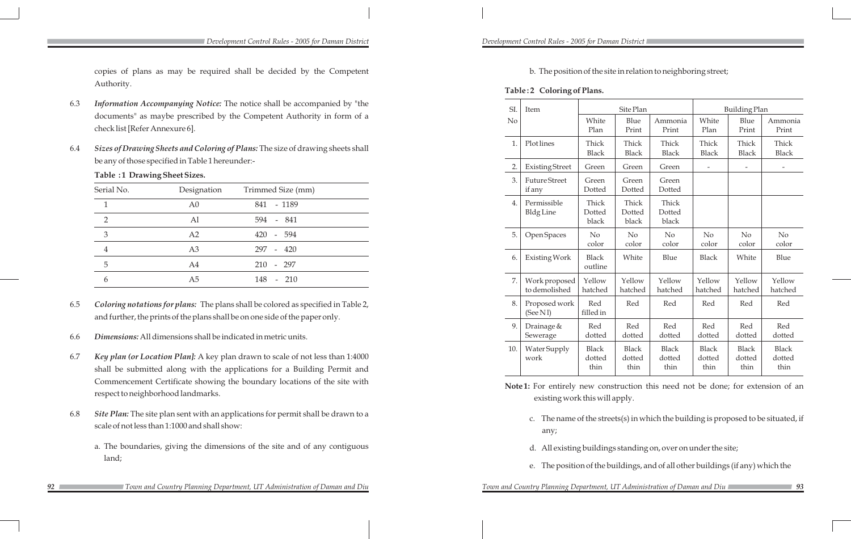b. The position of the site in relation to neighboring street;

### **Table : 2 Coloring of Plans.**

| SI.            | Item                            |                                | Site Plan                      |                                |                                | <b>Building Plan</b>           |                                |
|----------------|---------------------------------|--------------------------------|--------------------------------|--------------------------------|--------------------------------|--------------------------------|--------------------------------|
| N <sub>o</sub> |                                 | White<br>Plan                  | Blue<br>Print                  | Ammonia<br>Print               | White<br>Plan                  | Blue<br>Print                  | Ammonia<br>Print               |
| 1.             | Plot lines                      | Thick<br><b>Black</b>          | Thick<br><b>Black</b>          | Thick<br><b>Black</b>          | Thick<br><b>Black</b>          | Thick<br><b>Black</b>          | Thick<br><b>Black</b>          |
| 2.             | <b>Existing Street</b>          | Green                          | Green                          | Green                          | $\overline{\phantom{a}}$       | $\overline{\phantom{a}}$       | $\overline{\phantom{0}}$       |
| 3.             | <b>Future Street</b><br>if any  | Green<br>Dotted                | Green<br>Dotted                | Green<br>Dotted                |                                |                                |                                |
| 4.             | Permissible<br><b>Bldg Line</b> | Thick<br>Dotted<br>black       | Thick<br>Dotted<br>black       | Thick<br>Dotted<br>black       |                                |                                |                                |
| 5.             | Open Spaces                     | No<br>color                    | No<br>color                    | No<br>color                    | No<br>color                    | No<br>color                    | No<br>color                    |
| 6.             | Existing Work                   | <b>Black</b><br>outline        | White                          | Blue                           | <b>Black</b>                   | White                          | Blue                           |
| 7.             | Work proposed<br>to demolished  | Yellow<br>hatched              | Yellow<br>hatched              | Yellow<br>hatched              | Yellow<br>hatched              | Yellow<br>hatched              | Yellow<br>hatched              |
| 8.             | Proposed work<br>(See Nl)       | Red<br>filled in               | Red                            | Red                            | Red                            | Red                            | Red                            |
| 9.             | Drainage &<br>Sewerage          | Red<br>dotted                  | Red<br>dotted                  | Red<br>dotted                  | Red<br>dotted                  | Red<br>dotted                  | Red<br>dotted                  |
| 10.            | Water Supply<br>work            | <b>Black</b><br>dotted<br>thin | <b>Black</b><br>dotted<br>thin | <b>Black</b><br>dotted<br>thin | <b>Black</b><br>dotted<br>thin | <b>Black</b><br>dotted<br>thin | <b>Black</b><br>dotted<br>thin |

**Note 1:** For entirely new construction this need not be done; for extension of an existing work this will apply.

c. The name of the streets(s) in which the building is proposed to be situated, if

- any;
- 
- 

d. All existing buildings standing on, over on under the site;

e. The position of the buildings, and of all other buildings (if any) which the

copies of plans as may be required shall be decided by the Competent Authority.

- 6.3 *Information Accompanying Notice:* The notice shall be accompanied by "the documents" as maybe prescribed by the Competent Authority in form of a check list [Refer Annexure 6].
- 6.4 *Sizes of Drawing Sheets and Coloring of Plans:* The size of drawing sheets shall be any of those specified in Table 1 hereunder:-

**Table :1 Drawing Sheet Sizes.** 

| Serial No.    | Designation    | Trimmed Size (mm) |  |
|---------------|----------------|-------------------|--|
|               | A <sub>0</sub> | 841 - 1189        |  |
| $\mathcal{D}$ | Al             | 594 - 841         |  |
| 3             | A2             | 420 - 594         |  |
|               | A <sub>3</sub> | 297 - 420         |  |
| 5             | A4             | $210 - 297$       |  |
| h             | A5             | 148 - 210         |  |

- 6.5 *Coloring notations for plans:* The plans shall be colored as specified in Table 2, and further, the prints of the plans shall be on one side of the paper only.
- 6.6 *Dimensions:* All dimensions shall be indicated in metric units.
- 6.7 *Key plan (or Location Plan]:* A key plan drawn to scale of not less than 1:4000 shall be submitted along with the applications for a Building Permit and Commencement Certificate showing the boundary locations of the site with respect to neighborhood landmarks.
- 6.8 *Site Plan:* The site plan sent with an applications for permit shall be drawn to a scale of not less than 1:1000 and shall show:
	- a. The boundaries, giving the dimensions of the site and of any contiguous land;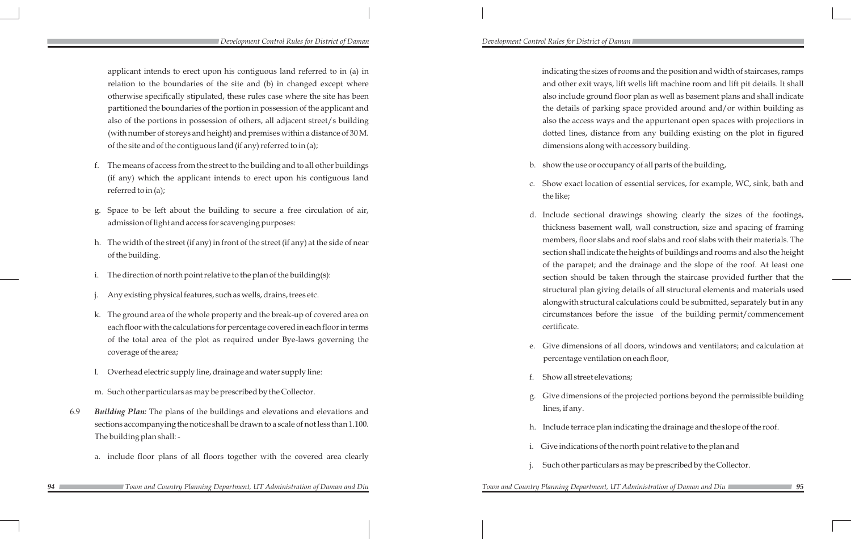applicant intends to erect upon his contiguous land referred to in (a) in relation to the boundaries of the site and (b) in changed except where otherwise specifically stipulated, these rules case where the site has been partitioned the boundaries of the portion in possession of the applicant and also of the portions in possession of others, all adjacent street/s building (with number of storeys and height) and premises within a distance of 30 M. of the site and of the contiguous land (if any) referred to in (a);

- f. The means of access from the street to the building and to all other buildings (if any) which the applicant intends to erect upon his contiguous land referred to in (a);
- g. Space to be left about the building to secure a free circulation of air, admission of light and access for scavenging purposes:
- h. The width of the street (if any) in front of the street (if any) at the side of near of the building.
- i. The direction of north point relative to the plan of the building(s):
- Any existing physical features, such as wells, drains, trees etc.
- k. The ground area of the whole property and the break-up of covered area on each floor with the calculations for percentage covered in each floor in terms of the total area of the plot as required under Bye-laws governing the coverage of the area;
- l. Overhead electric supply line, drainage and water supply line:
- m. Such other particulars as may be prescribed by the Collector.
- 6.9 *Building Plan:* The plans of the buildings and elevations and elevations and sections accompanying the notice shall be drawn to a scale of not less than 1.100. The building plan shall:
	- a. include floor plans of all floors together with the covered area clearly
		-

 indicating the sizes of rooms and the position and width of staircases, ramps and other exit ways, lift wells lift machine room and lift pit details. It shall also include ground floor plan as well as basement plans and shall indicate the details of parking space provided around and/or within building as also the access ways and the appurtenant open spaces with projections in dotted lines, distance from any building existing on the plot in figured dimensions along with accessory building.

b. show the use or occupancy of all parts of the building,

c. Show exact location of essential services, for example, WC, sink, bath and

d. Include sectional drawings showing clearly the sizes of the footings, thickness basement wall, wall construction, size and spacing of framing members, floor slabs and roof slabs and roof slabs with their materials. The section shall indicate the heights of buildings and rooms and also the height of the parapet; and the drainage and the slope of the roof. At least one section should be taken through the staircase provided further that the structural plan giving details of all structural elements and materials used alongwith structural calculations could be submitted, separately but in any circumstances before the issue of the building permit/commencement

- 
- the like;
	- certificate.
- 
- f. Show all street elevations;
- lines, if any.
- 
- 
- 

e. Give dimensions of all doors, windows and ventilators; and calculation at percentage ventilation on each floor,

g. Give dimensions of the projected portions beyond the permissible building

h. Include terrace plan indicating the drainage and the slope of the roof.

i. Give indications of the north point relative to the plan and

Such other particulars as may be prescribed by the Collector.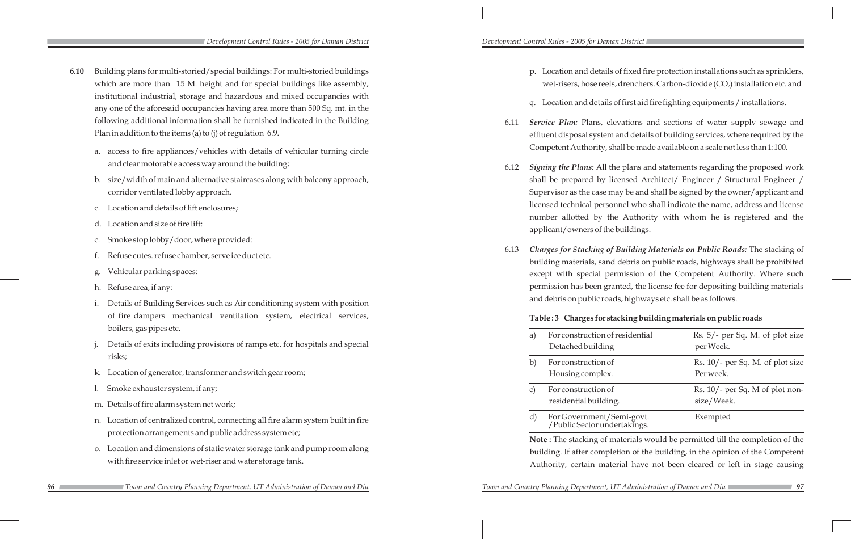p. Location and details of fixed fire protection installations such as sprinklers, wet-risers, hose reels, drenchers. Carbon-dioxide (CO $_2$ ) installation etc. and

q. Location and details of first aid fire fighting equipments / installations.

6.11 *Service Plan:* Plans, elevations and sections of water supplv sewage and effluent disposal system and details of building services, where required by the Competent Authority, shall be made available on a scale not less than 1:100.

6.12 *Signing the Plans:* All the plans and statements regarding the proposed work shall be prepared by licensed Architect/ Engineer / Structural Engineer / Supervisor as the case may be and shall be signed by the owner/applicant and licensed technical personnel who shall indicate the name, address and license number allotted by the Authority with whom he is registered and the

- 
- 
- 
- applicant/owners of the buildings.
- 

6.13 *Charges for Stacking of Building Materials on Public Roads:* The stacking of building materials, sand debris on public roads, highways shall be prohibited except with special permission of the Competent Authority. Where such permission has been granted, the license fee for depositing building materials and debris on public roads, highways etc. shall be as follows.

**Table : 3 Charges for stacking building materials on public roads**

| a)           | For construction of residential                                                                                                                                                                                                                                                                                                                                                                                                                              | Rs. 5/- per Sq. M. of plot size    |
|--------------|--------------------------------------------------------------------------------------------------------------------------------------------------------------------------------------------------------------------------------------------------------------------------------------------------------------------------------------------------------------------------------------------------------------------------------------------------------------|------------------------------------|
|              | Detached building                                                                                                                                                                                                                                                                                                                                                                                                                                            | per Week.                          |
| $\mathbf{b}$ | For construction of                                                                                                                                                                                                                                                                                                                                                                                                                                          | $Rs. 10/-$ per Sq. M. of plot size |
|              | Housing complex.                                                                                                                                                                                                                                                                                                                                                                                                                                             | Per week.                          |
| $\mathbf{C}$ | For construction of                                                                                                                                                                                                                                                                                                                                                                                                                                          | Rs. 10/- per Sq. M of plot non-    |
|              | residential building.                                                                                                                                                                                                                                                                                                                                                                                                                                        | size/Week.                         |
| d)           | For Government/Semi-govt.<br>/Public Sector undertakings.                                                                                                                                                                                                                                                                                                                                                                                                    | Exempted                           |
|              | <b>Note:</b> The stacking of materials would be permitted till the completion of the                                                                                                                                                                                                                                                                                                                                                                         |                                    |
|              | $\mathcal{L} = \mathcal{L} = \mathcal{L} = \mathcal{L} = \mathcal{L} = \mathcal{L} = \mathcal{L} = \mathcal{L} = \mathcal{L} = \mathcal{L} = \mathcal{L} = \mathcal{L} = \mathcal{L} = \mathcal{L} = \mathcal{L} = \mathcal{L} = \mathcal{L} = \mathcal{L} = \mathcal{L} = \mathcal{L} = \mathcal{L} = \mathcal{L} = \mathcal{L} = \mathcal{L} = \mathcal{L} = \mathcal{L} = \mathcal{L} = \mathcal{L} = \mathcal{L} = \mathcal{L} = \mathcal{L} = \mathcal$ |                                    |

**Note :** The stacking of materials would be permitted till the completion of the building. If after completion of the building, in the opinion of the Competent Authority, certain material have not been cleared or left in stage causing

*Town and Country Planning Department, UT Administration of Daman and Diu* 

*Development Control Rules - 2005 for Daman District Development Control Rules - 2005 for Daman District* 

- **6.10** Building plans for multi-storied/special buildings: For multi-storied buildings which are more than 15 M. height and for special buildings like assembly, institutional industrial, storage and hazardous and mixed occupancies with any one of the aforesaid occupancies having area more than 500 Sq. mt. in the following additional information shall be furnished indicated in the Building Plan in addition to the items (a) to (j) of regulation 6.9.
	- a. access to fire appliances/vehicles with details of vehicular turning circle and clear motorable access way around the building;
	- b. size/width of main and alternative staircases along with balcony approach, corridor ventilated lobby approach.
	- c. Location and details of lift enclosures;
	- d. Location and size of fire lift:
	- c. Smoke stop lobby/door, where provided:
	- Refuse cutes. refuse chamber, serve ice duct etc.
	- Vehicular parking spaces:
	- h. Refuse area, if any:
	- i. Details of Building Services such as Air conditioning system with position of fire dampers mechanical ventilation system, electrical services, boilers, gas pipes etc.
	- Details of exits including provisions of ramps etc. for hospitals and special risks;
	- k. Location of generator, transformer and switch gear room;
	- l. Smoke exhauster system, if any;
	- m. Details of fire alarm system net work;
	- n. Location of centralized control, connecting all fire alarm system built in fire protection arrangements and public address system etc;
	- o. Location and dimensions of static water storage tank and pump room along with fire service inlet or wet-riser and water storage tank.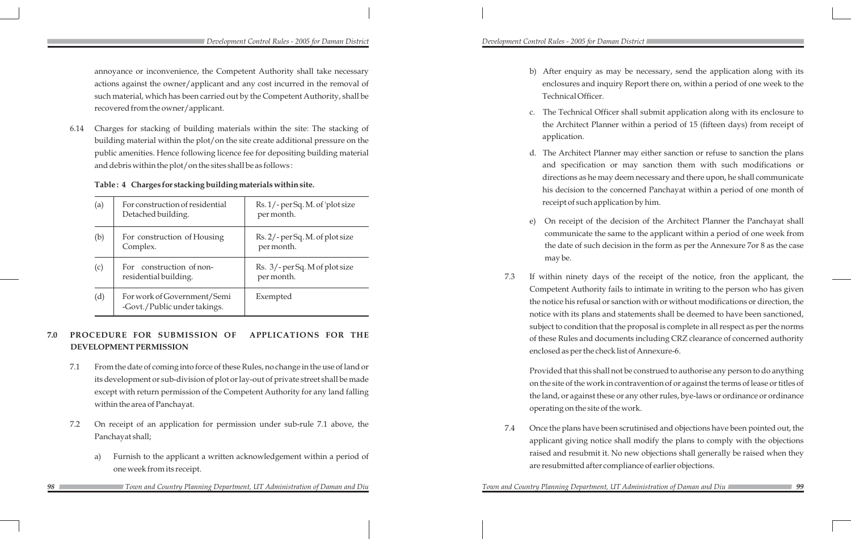annoyance or inconvenience, the Competent Authority shall take necessary actions against the owner/applicant and any cost incurred in the removal of such material, which has been carried out by the Competent Authority, shall be recovered from the owner/applicant.

6.14 Charges for stacking of building materials within the site: The stacking of building material within the plot/on the site create additional pressure on the public amenities. Hence following licence fee for depositing building material and debris within the plot/on the sites shall be as follows :

### **Table : 4 Charges for stacking building materials within site.**

| (a) | For construction of residential<br>Detached building.       | Rs. 1/-per Sq. M. of 'plot size<br>per month. |
|-----|-------------------------------------------------------------|-----------------------------------------------|
| (b) | For construction of Housing<br>Complex.                     | Rs. 2/-per Sq. M. of plot size<br>per month.  |
| (c) | For construction of non-<br>residential building.           | Rs. 3/-perSq. M of plot size<br>per month.    |
| (d) | For work of Government/Semi<br>-Govt./Public under takings. | Exempted                                      |

# **7.0 PROCEDURE FOR SUBMISSION OF APPLICATIONS FOR THE DEVELOPMENT PERMISSION**

b) After enquiry as may be necessary, send the application along with its enclosures and inquiry Report there on, within a period of one week to the

c. The Technical Officer shall submit application along with its enclosure to the Architect Planner within a period of 15 (fifteen days) from receipt of

d. The Architect Planner may either sanction or refuse to sanction the plans and specification or may sanction them with such modifications or directions as he may deem necessary and there upon, he shall communicate his decision to the concerned Panchayat within a period of one month of receipt of such application by him.

- Technical Officer.
- application.
- 
- may be.
- 

e) On receipt of the decision of the Architect Planner the Panchayat shall communicate the same to the applicant within a period of one week from the date of such decision in the form as per the Annexure 7or 8 as the case

- 7.1 From the date of coming into force of these Rules, no change in the use of land or its development or sub-division of plot or lay-out of private street shall be made except with return permission of the Competent Authority for any land falling within the area of Panchayat.
- 7.2 On receipt of an application for permission under sub-rule 7.1 above, the Panchayat shall;
	- a) Furnish to the applicant a written acknowledgement within a period of one week from its receipt.
		- *Town and Country Planning Department, UT Administration of Daman and Diu Town and Country Planning Department, UT Administration of Daman and Diu*

7.3 If within ninety days of the receipt of the notice, fron the applicant, the Competent Authority fails to intimate in writing to the person who has given the notice his refusal or sanction with or without modifications or direction, the notice with its plans and statements shall be deemed to have been sanctioned, subject to condition that the proposal is complete in all respect as per the norms of these Rules and documents including CRZ clearance of concerned authority enclosed as per the check list of Annexure-6.

 Provided that this shall not be construed to authorise any person to do anything on the site of the work in contravention of or against the terms of lease or titles of the land, or against these or any other rules, bye-laws or ordinance or ordinance operating on the site of the work.

*Town and Country Planning Department, UT Administration of Daman and Diu* 

7.4 Once the plans have been scrutinised and objections have been pointed out, the applicant giving notice shall modify the plans to comply with the objections raised and resubmit it. No new objections shall generally be raised when they are resubmitted after compliance of earlier objections.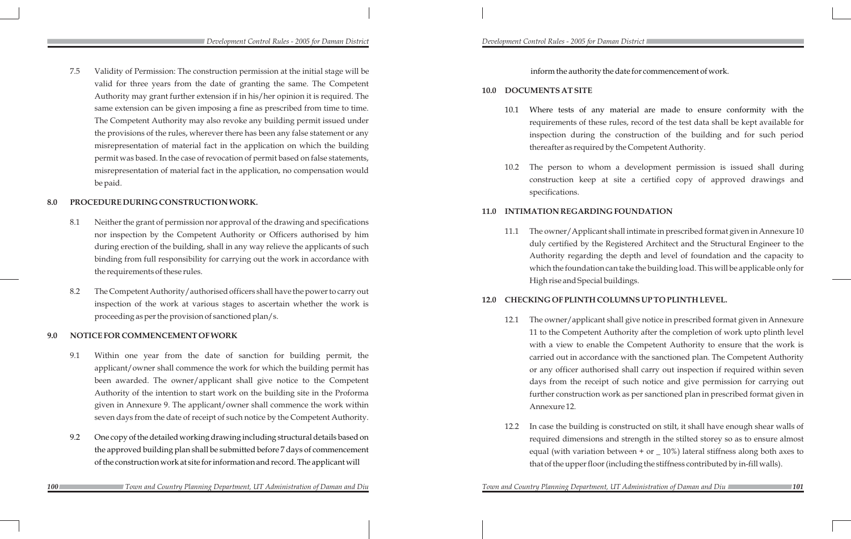inform the authority the date for commencement of work.

### **10.0 DOCUMENTS AT SITE**

10.1 Where tests of any material are made to ensure conformity with the requirements of these rules, record of the test data shall be kept available for inspection during the construction of the building and for such period thereafter as required by the Competent Authority.

10.2 The person to whom a development permission is issued shall during construction keep at site a certified copy of approved drawings and

- 
- specifications.

# **11.0 INTIMATION REGARDING FOUNDATION**

11.1 The owner/Applicant shall intimate in prescribed format given in Annexure 10 duly certified by the Registered Architect and the Structural Engineer to the Authority regarding the depth and level of foundation and the capacity to which the foundation can take the building load. This will be applicable only for

High rise and Special buildings.

# **12.0 CHECKING OF PLINTH COLUMNS UP TO PLINTH LEVEL.**

12.1 The owner/applicant shall give notice in prescribed format given in Annexure 11 to the Competent Authority after the completion of work upto plinth level with a view to enable the Competent Authority to ensure that the work is carried out in accordance with the sanctioned plan. The Competent Authority or any officer authorised shall carry out inspection if required within seven days from the receipt of such notice and give permission for carrying out further construction work as per sanctioned plan in prescribed format given in

- Annexure 12.
- 

*Town and Country Planning Department, UT Administration of Daman and Diu* 

12.2 In case the building is constructed on stilt, it shall have enough shear walls of required dimensions and strength in the stilted storey so as to ensure almost equal (with variation between + or  $\text{\_}10\%$ ) lateral stiffness along both axes to that of the upper floor (including the stiffness contributed by in-fill walls).

*Development Control Rules - 2005 for Daman District Development Control Rules - 2005 for Daman District* 

7.5 Validity of Permission: The construction permission at the initial stage will be valid for three years from the date of granting the same. The Competent Authority may grant further extension if in his/her opinion it is required. The same extension can be given imposing a fine as prescribed from time to time. The Competent Authority may also revoke any building permit issued under the provisions of the rules, wherever there has been any false statement or any misrepresentation of material fact in the application on which the building permit was based. In the case of revocation of permit based on false statements, misrepresentation of material fact in the application, no compensation would be paid.

### **8.0 PROCEDURE DURING CONSTRUCTION WORK.**

- 8.1 Neither the grant of permission nor approval of the drawing and specifications nor inspection by the Competent Authority or Officers authorised by him during erection of the building, shall in any way relieve the applicants of such binding from full responsibility for carrying out the work in accordance with the requirements of these rules.
- 8.2 The Competent Authority/authorised officers shall have the power to carry out inspection of the work at various stages to ascertain whether the work is proceeding as per the provision of sanctioned plan/s.

### **9.0 NOTICE FOR COMMENCEMENT OF WORK**

- 9.1 Within one year from the date of sanction for building permit, the applicant/owner shall commence the work for which the building permit has been awarded. The owner/applicant shall give notice to the Competent Authority of the intention to start work on the building site in the Proforma given in Annexure 9. The applicant/owner shall commence the work within seven days from the date of receipt of such notice by the Competent Authority.
- 9.2 One copy of the detailed working drawing including structural details based on the approved building plan shall be submitted before 7 days of commencement of the construction work at site for information and record. The applicant will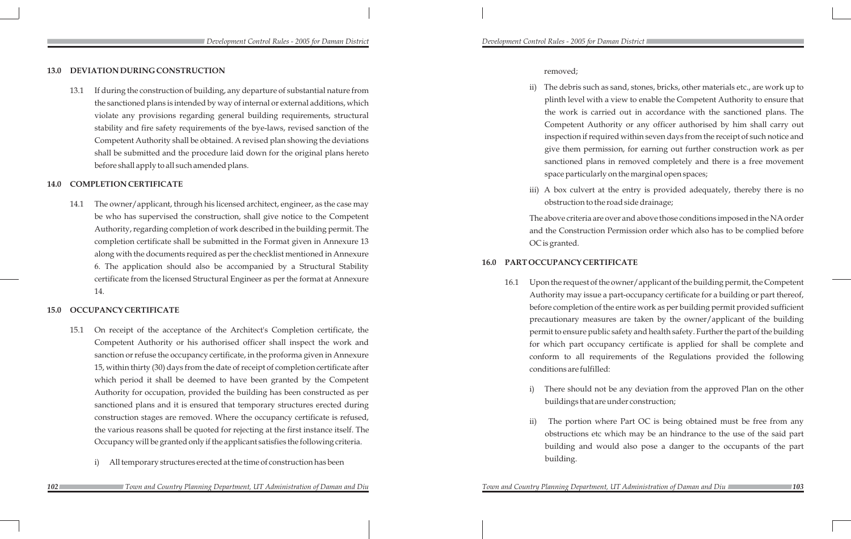### **13.0 DEVIATION DURING CONSTRUCTION**

13.1 If during the construction of building, any departure of substantial nature from the sanctioned plans is intended by way of internal or external additions, which violate any provisions regarding general building requirements, structural stability and fire safety requirements of the bye-laws, revised sanction of the Competent Authority shall be obtained. A revised plan showing the deviations shall be submitted and the procedure laid down for the original plans hereto before shall apply to all such amended plans.

### **14.0 COMPLETION CERTIFICATE**

14.1 The owner/applicant, through his licensed architect, engineer, as the case may be who has supervised the construction, shall give notice to the Competent Authority, regarding completion of work described in the building permit. The completion certificate shall be submitted in the Format given in Annexure 13 along with the documents required as per the checklist mentioned in Annexure 6. The application should also be accompanied by a Structural Stability certificate from the licensed Structural Engineer as per the format at Annexure 14.

### **15.0 OCCUPANCY CERTIFICATE**

- 15.1 On receipt of the acceptance of the Architect's Completion certificate, the Competent Authority or his authorised officer shall inspect the work and sanction or refuse the occupancy certificate, in the proforma given in Annexure 15, within thirty (30) days from the date of receipt of completion certificate after which period it shall be deemed to have been granted by the Competent Authority for occupation, provided the building has been constructed as per sanctioned plans and it is ensured that temporary structures erected during construction stages are removed. Where the occupancy certificate is refused, the various reasons shall be quoted for rejecting at the first instance itself. The Occupancy will be granted only if the applicant satisfies the following criteria.
	- i) All temporary structures erected at the time of construction has been

There should not be any deviation from the approved Plan on the other buildings that are under construction;

removed;

- 
- 

ii) The debris such as sand, stones, bricks, other materials etc., are work up to plinth level with a view to enable the Competent Authority to ensure that the work is carried out in accordance with the sanctioned plans. The Competent Authority or any officer authorised by him shall carry out inspection if required within seven days from the receipt of such notice and give them permission, for earning out further construction work as per sanctioned plans in removed completely and there is a free movement space particularly on the marginal open spaces;

iii) A box culvert at the entry is provided adequately, thereby there is no obstruction to the road side drainage;

The above criteria are over and above those conditions imposed in the NA order and the Construction Permission order which also has to be complied before

OC is granted.

### **16.0 PART OCCUPANCY CERTIFICATE**

16.1 Upon the request of the owner/applicant of the building permit, the Competent Authority may issue a part-occupancy certificate for a building or part thereof, before completion of the entire work as per building permit provided sufficient precautionary measures are taken by the owner/applicant of the building permit to ensure public safety and health safety. Further the part of the building for which part occupancy certificate is applied for shall be complete and conform to all requirements of the Regulations provided the following

- conditions are fulfilled:
	-
	- building.

ii) The portion where Part OC is being obtained must be free from any obstructions etc which may be an hindrance to the use of the said part building and would also pose a danger to the occupants of the part

# *Development Control Rules - 2005 for Daman District Development Control Rules - 2005 for Daman District*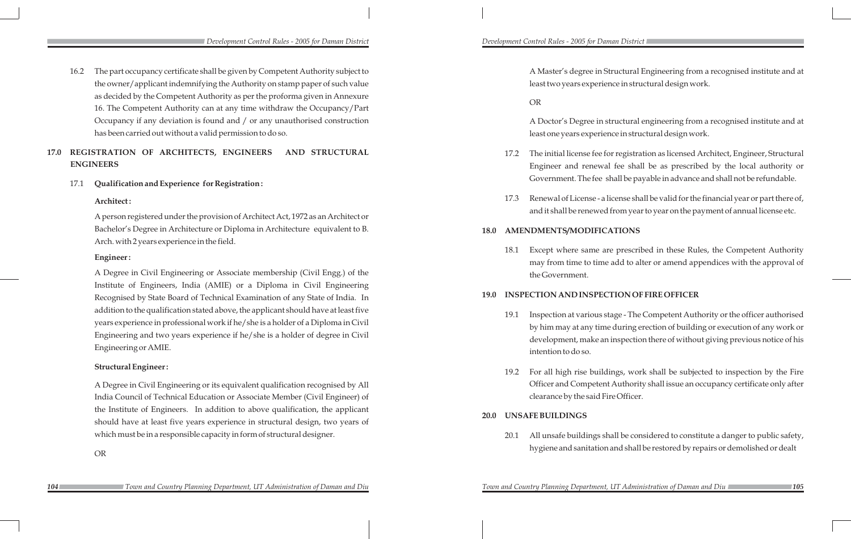A Master's degree in Structural Engineering from a recognised institute and at least two years experience in structural design work. OR A Doctor's Degree in structural engineering from a recognised institute and at least one years experience in structural design work. 17.2 The initial license fee for registration as licensed Architect, Engineer, Structural Engineer and renewal fee shall be as prescribed by the local authority or Government. The fee shall be payable in advance and shall not be refundable. 17.3 Renewal of License - a license shall be valid for the financial year or part there of, and it shall be renewed from year to year on the payment of annual license etc. **18.0 AMENDMENTS/MODIFICATIONS** 18.1 Except where same are prescribed in these Rules, the Competent Authority may from time to time add to alter or amend appendices with the approval of the Government. **19.0 INSPECTION AND INSPECTION OF FIRE OFFICER**  19.1 Inspection at various stage - The Competent Authority or the officer authorised

by him may at any time during erection of building or execution of any work or development, make an inspection there of without giving previous notice of his

19.2 For all high rise buildings, work shall be subjected to inspection by the Fire Officer and Competent Authority shall issue an occupancy certificate only after

- intention to do so.
- clearance by the said Fire Officer.
- **20.0 UNSAFE BUILDINGS**
	-

20.1 All unsafe buildings shall be considered to constitute a danger to public safety, hygiene and sanitation and shall be restored by repairs or demolished or dealt

*Development Control Rules - 2005 for Daman District Development Control Rules - 2005 for Daman District* 

16.2 The part occupancy certificate shall be given by Competent Authority subject to the owner/applicant indemnifying the Authority on stamp paper of such value as decided by the Competent Authority as per the proforma given in Annexure 16. The Competent Authority can at any time withdraw the Occupancy/Part Occupancy if any deviation is found and / or any unauthorised construction has been carried out without a valid permission to do so.

# **17.0 REGISTRATION OF ARCHITECTS, ENGINEERS AND STRUCTURAL ENGINEERS**

### 17.1 **Qualification and Experience for Registration :**

### **Architect :**

A person registered under the provision of Architect Act, 1972 as an Architect or Bachelor's Degree in Architecture or Diploma in Architecture equivalent to B. Arch. with 2 years experience in the field.

### **Engineer :**

A Degree in Civil Engineering or Associate membership (Civil Engg.) of the Institute of Engineers, India (AMIE) or a Diploma in Civil Engineering Recognised by State Board of Technical Examination of any State of India. In addition to the qualification stated above, the applicant should have at least five years experience in professional work if he/she is a holder of a Diploma in Civil Engineering and two years experience if he/she is a holder of degree in Civil Engineering or AMIE.

### **Structural Engineer :**

A Degree in Civil Engineering or its equivalent qualification recognised by All India Council of Technical Education or Associate Member (Civil Engineer) of the Institute of Engineers. In addition to above qualification, the applicant should have at least five years experience in structural design, two years of which must be in a responsible capacity in form of structural designer.

OR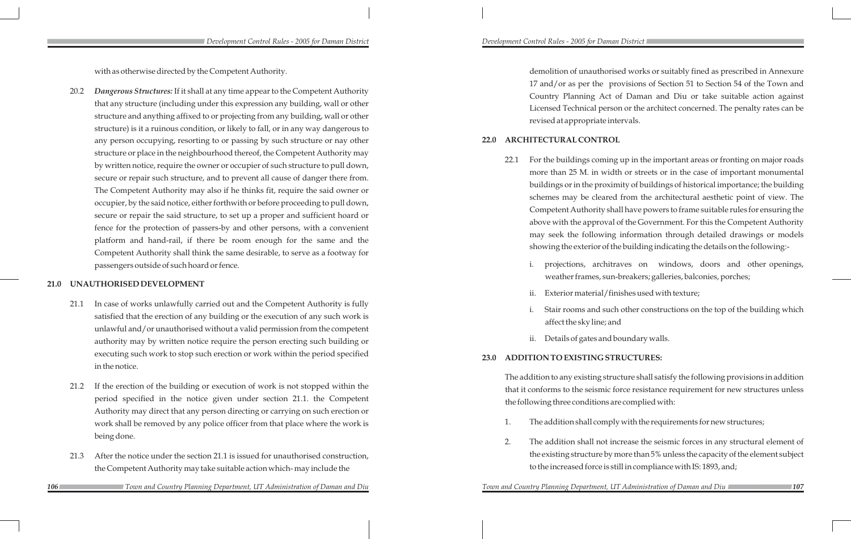with as otherwise directed by the Competent Authority.

20.2 *Dangerous Structures:* If it shall at any time appear to the Competent Authority that any structure (including under this expression any building, wall or other structure and anything affixed to or projecting from any building, wall or other structure) is it a ruinous condition, or likely to fall, or in any way dangerous to any person occupying, resorting to or passing by such structure or nay other structure or place in the neighbourhood thereof, the Competent Authority may by written notice, require the owner or occupier of such structure to pull down, secure or repair such structure, and to prevent all cause of danger there from. The Competent Authority may also if he thinks fit, require the said owner or occupier, by the said notice, either forthwith or before proceeding to pull down, secure or repair the said structure, to set up a proper and sufficient hoard or fence for the protection of passers-by and other persons, with a convenient platform and hand-rail, if there be room enough for the same and the Competent Authority shall think the same desirable, to serve as a footway for passengers outside of such hoard or fence.

### **21.0 UNAUTHORISED DEVELOPMENT**

- 21.1 In case of works unlawfully carried out and the Competent Authority is fully satisfied that the erection of any building or the execution of any such work is unlawful and/or unauthorised without a valid permission from the competent authority may by written notice require the person erecting such building or executing such work to stop such erection or work within the period specified in the notice.
- 21.2 If the erection of the building or execution of work is not stopped within the period specified in the notice given under section 21.1. the Competent Authority may direct that any person directing or carrying on such erection or work shall be removed by any police officer from that place where the work is being done.
- 21.3 After the notice under the section 21.1 is issued for unauthorised construction, the Competent Authority may take suitable action which- may include the

 demolition of unauthorised works or suitably fined as prescribed in Annexure 17 and/or as per the provisions of Section 51 to Section 54 of the Town and Country Planning Act of Daman and Diu or take suitable action against Licensed Technical person or the architect concerned. The penalty rates can be revised at appropriate intervals.

### **22.0 ARCHITECTURAL CONTROL**

22.1 For the buildings coming up in the important areas or fronting on major roads more than 25 M. in width or streets or in the case of important monumental buildings or in the proximity of buildings of historical importance; the building schemes may be cleared from the architectural aesthetic point of view. The Competent Authority shall have powers to frame suitable rules for ensuring the above with the approval of the Government. For this the Competent Authority may seek the following information through detailed drawings or models showing the exterior of the building indicating the details on the following:-

i. projections, architraves on windows, doors and other openings, weather frames, sun-breakers; galleries, balconies, porches;

ii. Exterior material/finishes used with texture;

Stair rooms and such other constructions on the top of the building which

- -
	-
	- affect the sky line; and
- 

ii. Details of gates and boundary walls.

# **23.0 ADDITION TO EXISTING STRUCTURES:**

The addition to any existing structure shall satisfy the following provisions in addition that it conforms to the seismic force resistance requirement for new structures unless the following three conditions are complied with:

- 
- 

**106** *106 108 108 108 108 108 108 <i>108 108 <i>108 108 <i>107 107 108 108 <i>107 107 107 107 107 107 107 107 107 107 107 107 107 107 107 107 107 107 107 107 107 107* 

1. The addition shall comply with the requirements for new structures;

2. The addition shall not increase the seismic forces in any structural element of the existing structure by more than 5% unless the capacity of the element subject to the increased force is still in compliance with IS: 1893, and;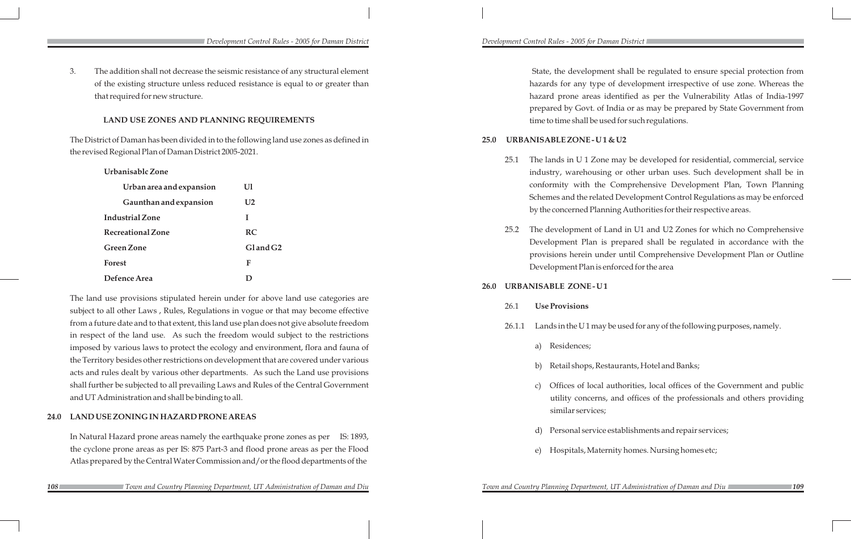State, the development shall be regulated to ensure special protection from hazards for any type of development irrespective of use zone. Whereas the hazard prone areas identified as per the Vulnerability Atlas of India-1997 prepared by Govt. of India or as may be prepared by State Government from time to time shall be used for such regulations.

25.1 The lands in U 1 Zone may be developed for residential, commercial, service sing or other urban uses. Such development shall be in he Comprehensive Development Plan, Town Planning lated Development Control Regulations as may be enforced anning Authorities for their respective areas.

> f Land in U1 and U2 Zones for which no Comprehensive is prepared shall be regulated in accordance with the ander until Comprehensive Development Plan or Outline s enforced for the area

# **25.0 URBANISABLE ZONE - U 1 & U2**

### 26.0 URBANISABLE ZONE-U1

26.1.1 Lands in the U 1 may be used for any of the following purposes, namely.

b) Retail shops, Restaurants, Hotel and Banks;

26.1 **Use Provisions** a) Residences; similar services;

**108 108 108 109 109 109 109 109 109 109 109 109 109 109 109 109 109 109 109 109 109 109 109 109 109 109 109 109 109 109 109 109 109 109 109 109 109**

c) Offices of local authorities, local offices of the Government and public utility concerns, and offices of the professionals and others providing

Personal service establishments and repair services;

e) Hospitals, Maternity homes. Nursing homes etc;

*Development Control Rules - 2005 for Daman District Development Control Rules - 2005 for Daman District* 

3. The addition shall not decrease the seismic resistance of any structural element of the existing structure unless reduced resistance is equal to or greater than that required for new structure.

### **LAND USE ZONES AND PLANNING REQUIREMENTS**

The District of Daman has been divided in to the following land use zones as defined in the revised Regional Plan of Daman District 2005-2021.

| Urbanisablc Zone         |                      |      | industry, warehous                      |
|--------------------------|----------------------|------|-----------------------------------------|
| Urban area and expansion | Ul                   |      | conformity with th                      |
| Gaunthan and expansion   | U <sub>2</sub>       |      | Schemes and the rela                    |
| <b>Industrial Zone</b>   |                      |      | by the concerned Pla                    |
| <b>Recreational Zone</b> | <b>RC</b>            | 25.2 | The development of                      |
| <b>Green Zone</b>        | Gland G <sub>2</sub> |      | Development Plan<br>provisions herein u |
| Forest                   | F                    |      | Development Plan is                     |
| Defence Area             | D                    |      |                                         |

The land use provisions stipulated herein under for above land use categories are subject to all other Laws , Rules, Regulations in vogue or that may become effective from a future date and to that extent, this land use plan does not give absolute freedom in respect of the land use. As such the freedom would subject to the restrictions imposed by various laws to protect the ecology and environment, flora and fauna of the Territory besides other restrictions on development that are covered under various acts and rules dealt by various other departments. As such the Land use provisions shall further be subjected to all prevailing Laws and Rules of the Central Government and UT Administration and shall be binding to all.

### **24.0 LAND USE ZONING IN HAZARD PRONE AREAS**

In Natural Hazard prone areas namely the earthquake prone zones as per IS: 1893, the cyclone prone areas as per IS: 875 Part-3 and flood prone areas as per the Flood Atlas prepared by the Central Water Commission and/or the flood departments of the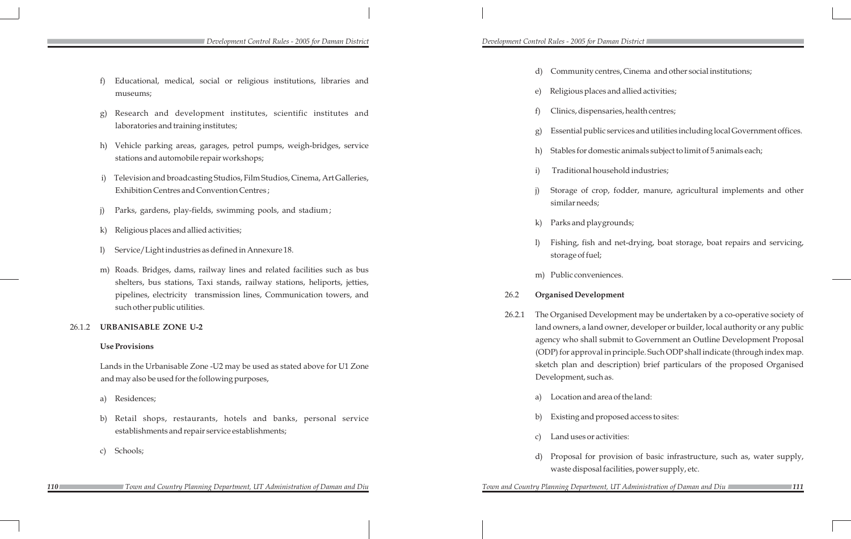■ Development Control Rules - 2005 for Daman District **Development Control Rules - 2005 for Daman District** ■

|                                                                                                                                                      |                                                                                                                                                                                                                                                                                                                                                                                                                                                                                                                              | Community centr<br>d)                              |
|------------------------------------------------------------------------------------------------------------------------------------------------------|------------------------------------------------------------------------------------------------------------------------------------------------------------------------------------------------------------------------------------------------------------------------------------------------------------------------------------------------------------------------------------------------------------------------------------------------------------------------------------------------------------------------------|----------------------------------------------------|
| museums;                                                                                                                                             |                                                                                                                                                                                                                                                                                                                                                                                                                                                                                                                              | Religious places ar<br>e)                          |
| Research and development institutes, scientific institutes and                                                                                       |                                                                                                                                                                                                                                                                                                                                                                                                                                                                                                                              | f<br>Clinics, dispensar                            |
| laboratories and training institutes;                                                                                                                |                                                                                                                                                                                                                                                                                                                                                                                                                                                                                                                              | Essential public se<br>g)                          |
| Vehicle parking areas, garages, petrol pumps, weigh-bridges, service<br>stations and automobile repair workshops;                                    |                                                                                                                                                                                                                                                                                                                                                                                                                                                                                                                              | Stables for domest<br>h)                           |
|                                                                                                                                                      |                                                                                                                                                                                                                                                                                                                                                                                                                                                                                                                              | Traditional house<br>i)                            |
| Exhibition Centres and Convention Centres;                                                                                                           |                                                                                                                                                                                                                                                                                                                                                                                                                                                                                                                              | $\mathbf{j}$<br>Storage of crop,<br>similar needs; |
| Parks, gardens, play-fields, swimming pools, and stadium;                                                                                            |                                                                                                                                                                                                                                                                                                                                                                                                                                                                                                                              |                                                    |
| Religious places and allied activities;                                                                                                              |                                                                                                                                                                                                                                                                                                                                                                                                                                                                                                                              | Parks and playgro<br>$\bf k$                       |
| Service/Light industries as defined in Annexure 18.                                                                                                  |                                                                                                                                                                                                                                                                                                                                                                                                                                                                                                                              | Fishing, fish and<br>1)<br>storage of fuel;        |
| Roads. Bridges, dams, railway lines and related facilities such as bus<br>shelters, bus stations, Taxi stands, railway stations, heliports, jetties, |                                                                                                                                                                                                                                                                                                                                                                                                                                                                                                                              | m) Public convenienc                               |
| pipelines, electricity transmission lines, Communication towers, and                                                                                 | 26.2                                                                                                                                                                                                                                                                                                                                                                                                                                                                                                                         | <b>Organised Developm</b>                          |
|                                                                                                                                                      | 26.2.1                                                                                                                                                                                                                                                                                                                                                                                                                                                                                                                       | The Organised Develo<br>land owners, a land ow     |
|                                                                                                                                                      |                                                                                                                                                                                                                                                                                                                                                                                                                                                                                                                              | agency who shall sub<br>(ODP) for approval in      |
|                                                                                                                                                      |                                                                                                                                                                                                                                                                                                                                                                                                                                                                                                                              | sketch plan and desc<br>Development, such as.      |
| Residences;                                                                                                                                          |                                                                                                                                                                                                                                                                                                                                                                                                                                                                                                                              | Location and area<br>a)                            |
| Retail shops, restaurants, hotels and banks, personal service                                                                                        |                                                                                                                                                                                                                                                                                                                                                                                                                                                                                                                              | Existing and prop<br>b)                            |
|                                                                                                                                                      |                                                                                                                                                                                                                                                                                                                                                                                                                                                                                                                              | Land uses or activ.<br>$\mathcal{C}$               |
| Schools;                                                                                                                                             |                                                                                                                                                                                                                                                                                                                                                                                                                                                                                                                              | Proposal for prov<br>d)<br>waste disposal fac      |
|                                                                                                                                                      | Educational, medical, social or religious institutions, libraries and<br>f)<br>g)<br>h)<br>Television and broadcasting Studios, Film Studios, Cinema, Art Galleries,<br>$\rm i)$<br>j)<br>$\bf k)$<br>1)<br>m)<br>such other public utilities.<br><b>URBANISABLE ZONE U-2</b><br><b>Use Provisions</b><br>Lands in the Urbanisable Zone - U2 may be used as stated above for U1 Zone<br>and may also be used for the following purposes,<br>a)<br>b)<br>establishments and repair service establishments;<br>$\mathcal{C}$ ) |                                                    |

*110 111 Town and Country Planning Department, UT Administration of Daman and Diu Town and Country Planning Department, UT Administration of Daman and Diu*

tres, Cinema and other social institutions;

and allied activities;

aries, health centres;

services and utilities including local Government offices.

estic animals subject to limit of 5 animals each;

sehold industries;

fodder, manure, agricultural implements and other

rounds;

d net-drying, boat storage, boat repairs and servicing,

nces.

### ment

lopment may be undertaken by a co-operative society of land owner, developer or builder, local authority or any public abmit to Government an Outline Development Proposal in principle. Such ODP shall indicate (through index map. scription) brief particulars of the proposed Organised

ea of the land:

posed access to sites:

vities:

ovision of basic infrastructure, such as, water supply, acilities, power supply, etc.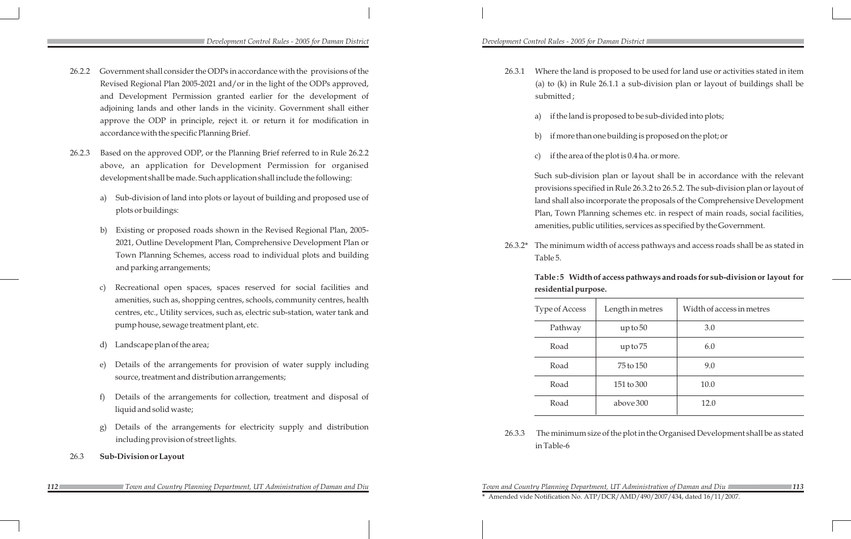26.3.1 Where the land is proposed to be used for land use or activities stated in item (a) to (k) in Rule 26.1.1 a sub-division plan or layout of buildings shall be

- submitted ;
	-
	-
	-

a) if the land is proposed to be sub-divided into plots;

b) if more than one building is proposed on the plot; or

c) if the area of the plot is 0.4 ha. or more.

Such sub-division plan or layout shall be in accordance with the relevant provisions specified in Rule 26.3.2 to 26.5.2. The sub-division plan or layout of land shall also incorporate the proposals of the Comprehensive Development Plan, Town Planning schemes etc. in respect of main roads, social facilities, amenities, public utilities, services as specified by the Government.

26.3.2\* The minimum width of access pathways and access roads shall be as stated in

Table 5.

# **Table : 5 Width of access pathways and roads for sub-division or layout for residential purpose.**

| Type of Access | Length in metres | Width of access in metres |
|----------------|------------------|---------------------------|
| Pathway        | up to 50         | 3.0                       |
| Road           | up to 75         | 6.0                       |
| Road           | 75 to 150        | 9.0                       |
| Road           | 151 to 300       | 10.0                      |
| Road           | above 300        | 12.0                      |

26.3.3 The minimum size of the plot in the Organised Development shall be as stated

in Table-6

*Development Control Rules - 2005 for Daman District Development Control Rules - 2005 for Daman District* 

### *112 113 Town and Country Planning Department, UT Administration of Daman and Diu Town and Country Planning Department, UT Administration of Daman and Diu*

- 26.2.2 Government shall consider the ODPs in accordance with the provisions of the Revised Regional Plan 2005-2021 and/or in the light of the ODPs approved, and Development Permission granted earlier for the development of adjoining lands and other lands in the vicinity. Government shall either approve the ODP in principle, reject it. or return it for modification in accordance with the specific Planning Brief.
- 26.2.3 Based on the approved ODP, or the Planning Brief referred to in Rule 26.2.2 above, an application for Development Permission for organised development shall be made. Such application shall include the following:
	- a) Sub-division of land into plots or layout of building and proposed use of plots or buildings:
	- b) Existing or proposed roads shown in the Revised Regional Plan, 2005- 2021, Outline Development Plan, Comprehensive Development Plan or Town Planning Schemes, access road to individual plots and building and parking arrangements;
	- c) Recreational open spaces, spaces reserved for social facilities and amenities, such as, shopping centres, schools, community centres, health centres, etc., Utility services, such as, electric sub-station, water tank and pump house, sewage treatment plant, etc.
	- d) Landscape plan of the area;
	- e) Details of the arrangements for provision of water supply including source, treatment and distribution arrangements;
	- f) Details of the arrangements for collection, treatment and disposal of liquid and solid waste;
	- Details of the arrangements for electricity supply and distribution including provision of street lights.
- 26.3 **Sub-Division or Layout**

**\*** Amended vide Notification No. ATP/DCR/AMD/490/2007/434, dated 16/11/2007.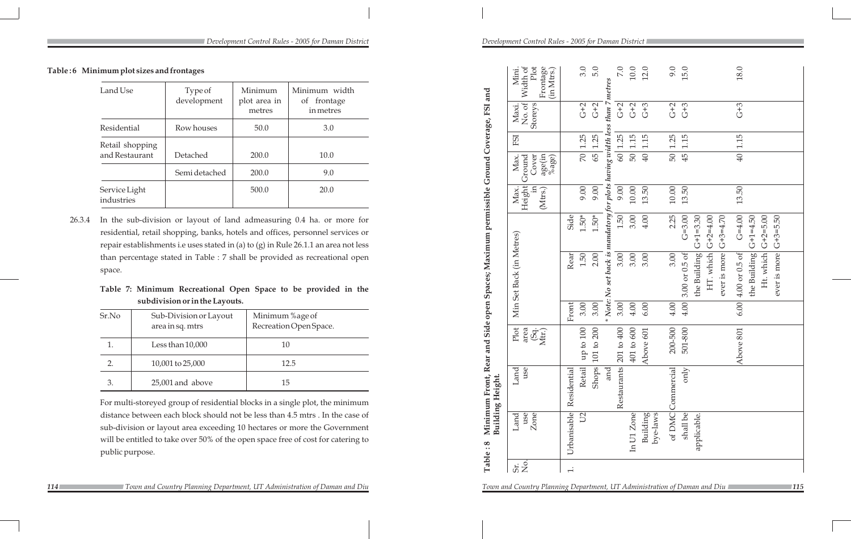| Table: 8 | Minimum Front, Rear         | Building Height.       |                                              |       |                                                                                          |                          |                                     |                                            |            |                            |                                                     |
|----------|-----------------------------|------------------------|----------------------------------------------|-------|------------------------------------------------------------------------------------------|--------------------------|-------------------------------------|--------------------------------------------|------------|----------------------------|-----------------------------------------------------|
|          | use<br>Zone<br>Land         | use<br>Land            | Plot<br>$\frac{\rm (Sq.}{\rm Mit.})$<br>area |       | Min Set Back (in Metres)                                                                 |                          | Height <br>$\Xi$<br>Max.<br>(Mtrs.) | age(in<br>%age)<br>Cover<br>Ground<br>Max. | <b>FSI</b> | No. of<br>Storeys<br>Maxi. | Plot<br>Frontage<br>Width of<br>(in Mtrs.)<br>Mini. |
|          | Urbanisable                 | Residential            |                                              | Front | Rear                                                                                     | Side                     |                                     |                                            |            |                            |                                                     |
|          | U <sub>2</sub>              | <b>Retail</b>          | ${\rm up}$ to $100$                          | 3.00  | 1.50                                                                                     | $1.50*$                  | 9.00                                | $\overline{50}$                            | 1.25       | $G+2$                      | 3.0                                                 |
|          |                             | <b>Shops</b>           | 101 to 200                                   | 3.00  | 2.00                                                                                     | $1.50*$                  | 9.00                                |                                            | 65 1.25    | $G+2$                      | 5.0                                                 |
|          |                             | and                    |                                              |       | $*$ Note: No set back is mandatory for plots having width less than 7 metres             |                          |                                     |                                            |            |                            |                                                     |
|          |                             | Restaurants 201 to 400 |                                              | 3.00  | 3.00                                                                                     | 1.50                     | 9.00                                |                                            | 60 1.25    | $G+2$                      | $7.0\,$                                             |
|          | In U1 Zone                  |                        | 401 to 600                                   | 4.00  | 3.00                                                                                     | 3.00                     | 10.00                               | $50\vert$                                  | 1.15       | $G+2$                      | $10.0\,$                                            |
|          | <b>Building</b><br>bye-laws |                        | Above 601                                    | 6.00  | 3.00                                                                                     | 4.00                     | 13.50                               | $\overline{40}$                            | 1.15       | $G+3$                      | 12.0                                                |
|          |                             | of DMC Commercial      | 200-500                                      | 4.00  | 3.00                                                                                     | 2.25                     | $10.00$                             | 50 <sub>1</sub>                            | 1.25       | $G+2$                      | 9.0                                                 |
|          | shall be                    | only                   | 501-800                                      | 4.00  | 3.00 or 0.5 of                                                                           | $G = 3.00$               | 13.50                               | 45                                         | 1.15       | $G+3$                      | 15.0                                                |
|          | applicable.                 |                        |                                              |       | the Building $G+1=3.30$<br>HT. which $G+2=4.00$<br>ever is more $G+3=4.70$               |                          |                                     |                                            |            |                            |                                                     |
|          |                             |                        | Above 801                                    |       | Ht. which $G+2=5.00$<br>ever is more $G+3=5.50$<br>the Building<br>$6.00 4.00$ or 0.5 of | $G = 4.00$<br>$G+1=4.50$ | 13.50                               | $\overline{40}$                            | 1.15       | $G+3$                      | 18.0                                                |
|          |                             |                        |                                              |       |                                                                                          |                          |                                     |                                            |            |                            |                                                     |

**114 114 129 Town and Country Planning Department, UT Administration of Daman and Diu** *115**115**115**115**115* 

*Development Control Rules - 2005 for Daman District Development Control Rules - 2005 for Daman District* 

| Land Use                          | Type of<br>development | Minimum<br>plot area in<br>metres | Minimum width<br>of frontage<br>in metres |
|-----------------------------------|------------------------|-----------------------------------|-------------------------------------------|
| Residential                       | Row houses             | 50.0                              | 3.0                                       |
| Retail shopping<br>and Restaurant | <b>Detached</b>        | 200.0                             | 10.0                                      |
|                                   | Semi detached          | 200.0                             | 9.0                                       |
| Service Light<br>industries       |                        | 500.0                             | 20.0                                      |

26.3.4 In the sub-division or layout of land admeasuring 0.4 ha. or more for residential, retail shopping, banks, hotels and offices, personnel services or repair establishments i.e uses stated in (a) to (g) in Rule 26.1.1 an area not less than percentage stated in Table : 7 shall be provided as recreational open space.

# **Table 7: Minimum Recreational Open Space to be provided in the subdivision or in the Layouts.**

| Sr.No          | Sub-Division or Layout<br>area in sq. mtrs | Minimum %age of<br>Recreation Open Space. |
|----------------|--------------------------------------------|-------------------------------------------|
| 1.             | Less than $10,000$                         | 10                                        |
| $\mathbf{2}$ . | 10,001 to 25,000                           | 12.5                                      |
| 3.             | 25,001 and above                           | 15                                        |

For multi-storeyed group of residential blocks in a single plot, the minimum distance between each block should not be less than 4.5 mtrs . In the case of sub-division or layout area exceeding 10 hectares or more the Government will be entitled to take over 50% of the open space free of cost for catering to public purpose.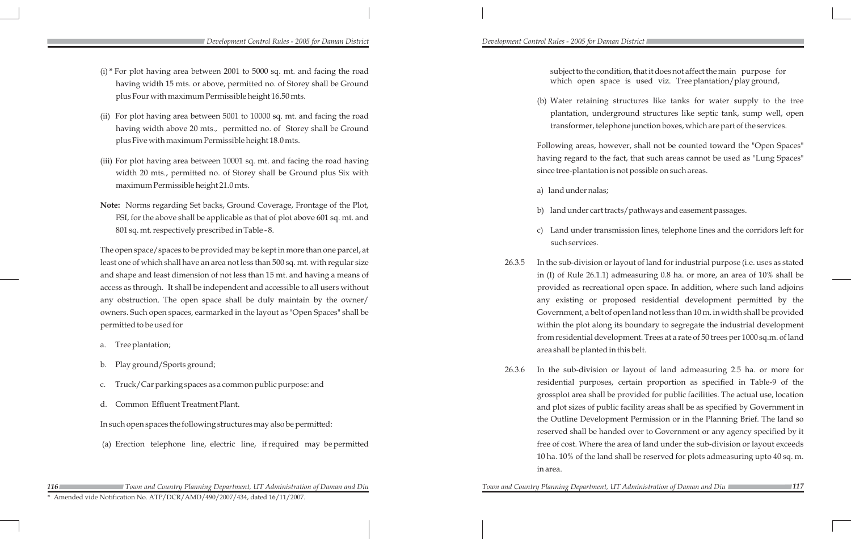subject to the condition, that it does not affect the main purpose for which open space is used viz. Tree plantation/play ground,

(b) Water retaining structures like tanks for water supply to the tree plantation, underground structures like septic tank, sump well, open transformer, telephone junction boxes, which are part of the services.

Following areas, however, shall not be counted toward the "Open Spaces" having regard to the fact, that such areas cannot be used as "Lung Spaces" since tree-plantation is not possible on such areas.

b) land under cart tracts/pathways and easement passages.

c) Land under transmission lines, telephone lines and the corridors left for

26.3.5 In the sub-division or layout of land for industrial purpose (i.e. uses as stated in (I) of Rule 26.1.1) admeasuring 0.8 ha. or more, an area of 10% shall be provided as recreational open space. In addition, where such land adjoins any existing or proposed residential development permitted by the Government, a belt of open land not less than 10 m. in width shall be provided within the plot along its boundary to segregate the industrial development from residential development. Trees at a rate of 50 trees per 1000 sq.m. of land

- a) land under nalas;
- 
- such services.
- area shall be planted in this belt.
- in area.

26.3.6 In the sub-division or layout of land admeasuring 2.5 ha. or more for residential purposes, certain proportion as specified in Table-9 of the grossplot area shall be provided for public facilities. The actual use, location and plot sizes of public facility areas shall be as specified by Government in the Outline Development Permission or in the Planning Brief. The land so reserved shall be handed over to Government or any agency specified by it free of cost. Where the area of land under the sub-division or layout exceeds 10 ha. 10% of the land shall be reserved for plots admeasuring upto 40 sq. m.

- (i) **\*** For plot having area between 2001 to 5000 sq. mt. and facing the road having width 15 mts. or above, permitted no. of Storey shall be Ground plus Four with maximum Permissible height 16.50 mts.
- (ii) For plot having area between 5001 to 10000 sq. mt. and facing the road having width above 20 mts., permitted no. of Storey shall be Ground plus Five with maximum Permissible height 18.0 mts.
- (iii) For plot having area between 10001 sq. mt. and facing the road having width 20 mts., permitted no. of Storey shall be Ground plus Six with maximum Permissible height 21.0 mts.
- **Note:** Norms regarding Set backs, Ground Coverage, Frontage of the Plot, FSI, for the above shall be applicable as that of plot above 601 sq. mt. and 801 sq. mt. respectively prescribed in Table - 8.

The open space/spaces to be provided may be kept in more than one parcel, at least one of which shall have an area not less than 500 sq. mt. with regular size and shape and least dimension of not less than 15 mt. and having a means of access as through. It shall be independent and accessible to all users without any obstruction. The open space shall be duly maintain by the owner/ owners. Such open spaces, earmarked in the layout as "Open Spaces" shall be permitted to be used for

- a. Tree plantation;
- b. Play ground/Sports ground;
- c. Truck/Car parking spaces as a common public purpose: and
- d. Common Effluent Treatment Plant.

In such open spaces the following structures may also be permitted:

(a) Erection telephone line, electric line, if required may be permitted

**\*** Amended vide Notification No. ATP/DCR/AMD/490/2007/434, dated 16/11/2007.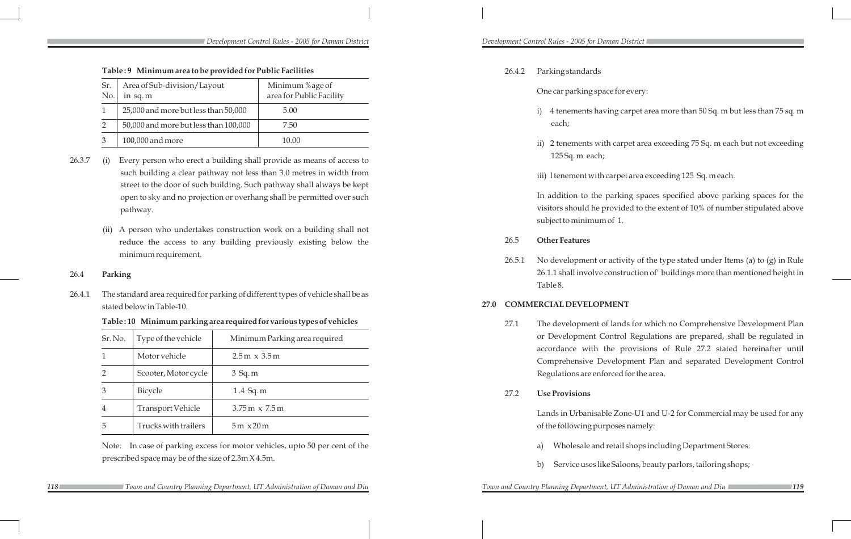|                 | Table: 9 Minimum area to be provided for Public Facilities |                                      |                                                                                  |      | 26.4.2 | Parking standards                                     |  |
|-----------------|------------------------------------------------------------|--------------------------------------|----------------------------------------------------------------------------------|------|--------|-------------------------------------------------------|--|
| Sr.<br>No.      | Area of Sub-division/Layout<br>in sq. $m$                  |                                      | Minimum %age of<br>area for Public Facility                                      |      |        | One car parking space for                             |  |
| $\mathbf{1}$    | 25,000 and more but less than 50,000                       |                                      | 5.00                                                                             |      |        | 4 tenements having of<br>$\mathbf{i}$                 |  |
| $\overline{2}$  | 50,000 and more but less than 100,000                      |                                      | 7.50                                                                             |      |        | each;                                                 |  |
| $\mathfrak{Z}$  | 100,000 and more                                           |                                      | 10.00                                                                            |      |        | 2 tenements with car<br>$\mathbf{ii}$                 |  |
| 26.3.7<br>(i)   |                                                            |                                      | Every person who erect a building shall provide as means of access to            |      |        | 125 Sq. m each;                                       |  |
|                 |                                                            |                                      | such building a clear pathway not less than 3.0 metres in width from             |      |        | iii) 1 tenement with carpe                            |  |
|                 |                                                            |                                      | street to the door of such building. Such pathway shall always be kept           |      |        |                                                       |  |
|                 |                                                            |                                      | open to sky and no projection or overhang shall be permitted over such           |      |        | In addition to the parki<br>visitors should he provid |  |
|                 | pathway.                                                   |                                      |                                                                                  |      |        | subject to minimum of 1.                              |  |
| (ii)            |                                                            |                                      | A person who undertakes construction work on a building shall not                |      |        |                                                       |  |
|                 |                                                            |                                      | reduce the access to any building previously existing below the                  |      | 26.5   | <b>Other Features</b>                                 |  |
|                 | minimum requirement.                                       |                                      |                                                                                  |      | 26.5.1 | No development or activ                               |  |
| 26.4<br>Parking |                                                            |                                      |                                                                                  |      |        | 26.1.1 shall involve const                            |  |
| 26.4.1          |                                                            |                                      | The standard area required for parking of different types of vehicle shall be as |      |        | Table 8.                                              |  |
|                 | stated below in Table-10.                                  |                                      |                                                                                  | 27.0 |        | <b>COMMERCIAL DEVELOPMEN</b>                          |  |
|                 |                                                            |                                      | Table: 10 Minimum parking area required for various types of vehicles            |      | 27.1   | The development of land                               |  |
| Sr. No.         | Type of the vehicle                                        |                                      | Minimum Parking area required                                                    |      |        | or Development Contro                                 |  |
| 1               | Motor vehicle                                              | $2.5 \text{ m} \times 3.5 \text{ m}$ |                                                                                  |      |        | accordance with the p<br>Comprehensive Develo         |  |
| $\overline{2}$  | Scooter, Motor cycle                                       | $3$ Sq. m                            |                                                                                  |      |        | Regulations are enforced                              |  |
| $\mathfrak{Z}$  | Bicycle                                                    | 1.4 Sq. m                            |                                                                                  |      | 27.2   | <b>Use Provisions</b>                                 |  |
| $\overline{4}$  | <b>Transport Vehicle</b>                                   |                                      | $3.75 \text{ m} \times 7.5 \text{ m}$                                            |      |        | Lands in Urbanisable Zo                               |  |
| 5               | Trucks with trailers                                       | $5m \times 20m$                      |                                                                                  |      |        | of the following purposes                             |  |
| Note:           |                                                            |                                      | In case of parking excess for motor vehicles, upto 50 per cent of the            |      |        | Wholesale and retail<br>a)                            |  |
|                 | prescribed space may be of the size of 2.3m X 4.5m.        |                                      |                                                                                  |      |        | Service uses like Sale<br>b)                          |  |
|                 |                                                            |                                      |                                                                                  |      |        |                                                       |  |

*Development Control Rules - 2005 for Daman District Development Control Rules - 2005 for Daman District* 

 *Town and Country Planning Department, UT Administration of Daman and Diu Town and Country Planning Department, UT Administration of Daman and Diu*

**118 118 129 129 129** Town and Country Planning Department, UT Administration of Daman and Diu **119** Town and Country Planning Department, UT Administration of Daman and Diu

one for every:

ig carpet area more than 50 Sq. m but less than 75 sq. m

carpet area exceeding 75 Sq. m each but not exceeding

rpet area exceeding 125 Sq. m each.

rking spaces specified above parking spaces for the vided to the extent of 10% of number stipulated above

ctivity of the type stated under Items (a) to (g) in Rule nstruction of" buildings more than mentioned height in

## $2$ **ENT**

ands for which no Comprehensive Development Plan trol Regulations are prepared, shall be regulated in provisions of Rule 27.2 stated hereinafter until elopment Plan and separated Development Control ed for the area.

Zone-U1 and U-2 for Commercial may be used for any oses namely:

tail shops including Department Stores:

Saloons, beauty parlors, tailoring shops;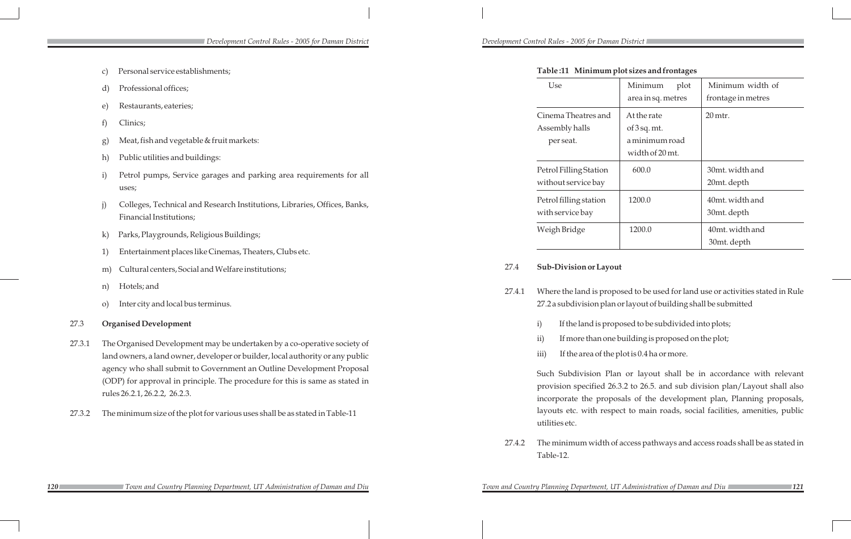*Development Control Rules - 2005 for Daman District Development Control Rules - 2005 for Daman District* 

|        |              | Personal service establishments;                                                                                                                                                       |        | Table: 11 Minimum plot sizes and frontages                                                                                                                                                                                                                                                                                                                                               |                                                    |                                                                             |  |  |  |
|--------|--------------|----------------------------------------------------------------------------------------------------------------------------------------------------------------------------------------|--------|------------------------------------------------------------------------------------------------------------------------------------------------------------------------------------------------------------------------------------------------------------------------------------------------------------------------------------------------------------------------------------------|----------------------------------------------------|-----------------------------------------------------------------------------|--|--|--|
|        | d)           | Professional offices;                                                                                                                                                                  |        | Use                                                                                                                                                                                                                                                                                                                                                                                      | Minimum<br>plot<br>area in sq. metres              | Minimum width of<br>frontage in metres                                      |  |  |  |
|        | e)<br>g)     | Restaurants, eateries;<br>Clinics;<br>Meat, fish and vegetable & fruit markets:                                                                                                        |        | Cinema Theatres and<br>Assembly halls<br>per seat.                                                                                                                                                                                                                                                                                                                                       | At the rate<br>of $3$ sq. mt.<br>a minimum road    | 20 mtr.                                                                     |  |  |  |
|        | $\hbar)$     | Public utilities and buildings:                                                                                                                                                        |        |                                                                                                                                                                                                                                                                                                                                                                                          | width of 20 mt.                                    |                                                                             |  |  |  |
|        |              | Petrol pumps, Service garages and parking area requirements for all<br>uses;                                                                                                           |        | Petrol Filling Station<br>without service bay                                                                                                                                                                                                                                                                                                                                            | 600.0                                              | 30mt. width and<br>20mt. depth                                              |  |  |  |
|        | $\mathbf{j}$ | Colleges, Technical and Research Institutions, Libraries, Offices, Banks,<br>Financial Institutions;                                                                                   |        | Petrol filling station<br>with service bay                                                                                                                                                                                                                                                                                                                                               | 1200.0                                             | 40mt. width and<br>30mt. depth                                              |  |  |  |
|        | $\mathbf{k}$ | Parks, Playgrounds, Religious Buildings;                                                                                                                                               |        | Weigh Bridge                                                                                                                                                                                                                                                                                                                                                                             | 1200.0                                             | 40mt. width and<br>30mt. depth                                              |  |  |  |
|        |              | Entertainment places like Cinemas, Theaters, Clubs etc.                                                                                                                                |        |                                                                                                                                                                                                                                                                                                                                                                                          |                                                    |                                                                             |  |  |  |
|        | m)           | Cultural centers, Social and Welfare institutions;                                                                                                                                     | 27.4   | Sub-Division or Layout                                                                                                                                                                                                                                                                                                                                                                   |                                                    |                                                                             |  |  |  |
|        | n)           | Hotels; and                                                                                                                                                                            | 27.4.1 | Where the land is proposed to be used for land use or activities stated in Rule                                                                                                                                                                                                                                                                                                          |                                                    |                                                                             |  |  |  |
|        | $\circ$ )    | Inter city and local bus terminus.                                                                                                                                                     |        | 27.2 a subdivision plan or layout of building shall be submitted                                                                                                                                                                                                                                                                                                                         |                                                    |                                                                             |  |  |  |
| 27.3   |              | <b>Organised Development</b>                                                                                                                                                           |        | If the land is proposed to be subdivided into plots;<br>$\mathbf{i})$                                                                                                                                                                                                                                                                                                                    |                                                    |                                                                             |  |  |  |
| 27.3.1 |              | The Organised Development may be undertaken by a co-operative society of                                                                                                               |        | $\rm ii)$                                                                                                                                                                                                                                                                                                                                                                                | If more than one building is proposed on the plot; |                                                                             |  |  |  |
|        |              | land owners, a land owner, developer or builder, local authority or any public                                                                                                         |        | If the area of the plot is $0.4$ ha or more.<br>iii)<br>Such Subdivision Plan or layout shall be in accordance with relevant<br>provision specified 26.3.2 to 26.5. and sub division plan/Layout shall also<br>incorporate the proposals of the development plan, Planning proposals,<br>layouts etc. with respect to main roads, social facilities, amenities, public<br>utilities etc. |                                                    |                                                                             |  |  |  |
|        |              | agency who shall submit to Government an Outline Development Proposal<br>(ODP) for approval in principle. The procedure for this is same as stated in<br>rules 26.2.1, 26.2.2, 26.2.3. |        |                                                                                                                                                                                                                                                                                                                                                                                          |                                                    |                                                                             |  |  |  |
| 27.3.2 |              | The minimum size of the plot for various uses shall be as stated in Table-11                                                                                                           |        |                                                                                                                                                                                                                                                                                                                                                                                          |                                                    |                                                                             |  |  |  |
|        |              |                                                                                                                                                                                        | 27.4.2 | Table-12.                                                                                                                                                                                                                                                                                                                                                                                |                                                    | The minimum width of access pathways and access roads shall be as stated in |  |  |  |

**120** *120 120 120 120 121 121 121 121 121 121 121 121 121 121 121 121 121 121 121 121 121 121 121 121 121 121 121 121 121 121 121 121 121 121 121 121 Town and Country Planning Department, UT Administration of Daman and Diu Town and Country Planning Department, UT Administration of Daman and Diu*

- 
- 
-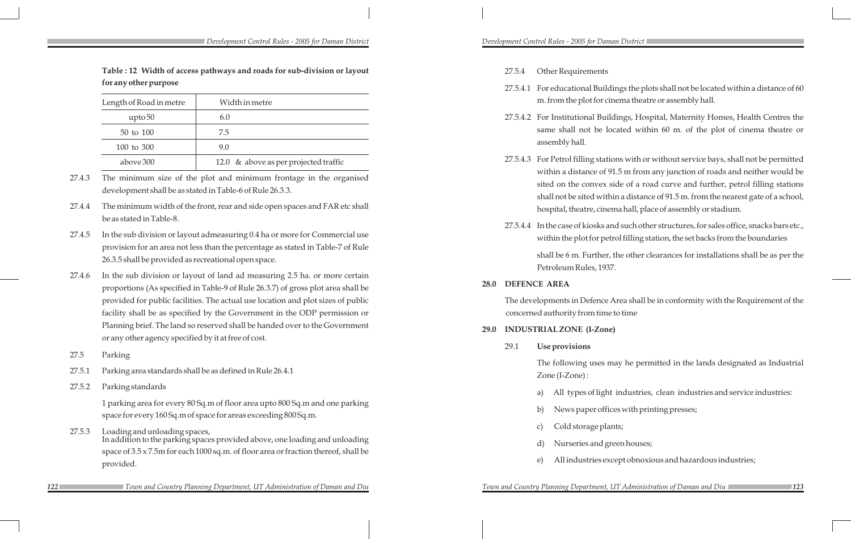|        |                                                                                                  | Table: 12 Width of access pathways and roads for sub-division or layout                                                                                        |      | 27.5.4              | Other Requirements              |                                                                               |  |
|--------|--------------------------------------------------------------------------------------------------|----------------------------------------------------------------------------------------------------------------------------------------------------------------|------|---------------------|---------------------------------|-------------------------------------------------------------------------------|--|
|        | for any other purpose                                                                            |                                                                                                                                                                |      |                     |                                 | 27.5.4.1 For educational Buildi                                               |  |
|        | Length of Road in metre                                                                          | Width in metre                                                                                                                                                 |      |                     |                                 | m. from the plot for cin                                                      |  |
|        | upto <sub>50</sub>                                                                               | 6.0                                                                                                                                                            |      |                     |                                 | 27.5.4.2 For Institutional Build                                              |  |
|        | 50 to 100                                                                                        | 7.5                                                                                                                                                            |      |                     |                                 | same shall not be loo<br>assembly hall.                                       |  |
|        | $100$ to $300\,$                                                                                 | 9.0                                                                                                                                                            |      |                     |                                 |                                                                               |  |
|        | above 300                                                                                        | 12.0 & above as per projected traffic                                                                                                                          |      |                     |                                 | 27.5.4.3 For Petrol filling statio                                            |  |
| 27.4.3 |                                                                                                  | The minimum size of the plot and minimum frontage in the organised<br>development shall be as stated in Table-6 of Rule 26.3.3.                                |      |                     |                                 | within a distance of 91<br>sited on the convex si<br>shall not be sited withi |  |
| 27.4.4 | be as stated in Table-8.                                                                         | The minimum width of the front, rear and side open spaces and FAR etc shall                                                                                    |      |                     |                                 | hospital, theatre, cinen                                                      |  |
| 27.4.5 |                                                                                                  | In the sub division or layout admeasuring 0.4 ha or more for Commercial use<br>provision for an area not less than the percentage as stated in Table-7 of Rule |      |                     |                                 | 27.5.4.4 In the case of kiosks an<br>within the plot for petr                 |  |
|        | 26.3.5 shall be provided as recreational open space.                                             |                                                                                                                                                                |      |                     |                                 | shall be 6 m. Further, t<br>Petroleum Rules, 1937.                            |  |
| 27.4.6 |                                                                                                  | In the sub division or layout of land ad measuring 2.5 ha. or more certain<br>proportions (As specified in Table-9 of Rule 26.3.7) of gross plot area shall be | 28.0 | <b>DEFENCE AREA</b> |                                 |                                                                               |  |
|        |                                                                                                  | provided for public facilities. The actual use location and plot sizes of public                                                                               |      |                     |                                 | The developments in Defence A                                                 |  |
|        |                                                                                                  | facility shall be as specified by the Government in the ODP permission or                                                                                      |      |                     | concerned authority from time t |                                                                               |  |
|        |                                                                                                  | Planning brief. The land so reserved shall be handed over to the Government                                                                                    | 29.0 |                     | <b>INDUSTRIAL ZONE (I-Zone)</b> |                                                                               |  |
|        | or any other agency specified by it at free of cost.                                             | 29.1                                                                                                                                                           |      | Use provisions      |                                 |                                                                               |  |
| 27.5   | Parking                                                                                          |                                                                                                                                                                |      |                     |                                 | The following uses ma                                                         |  |
| 27.5.1 |                                                                                                  | Parking area standards shall be as defined in Rule 26.4.1                                                                                                      |      |                     |                                 | Zone (I-Zone):                                                                |  |
| 27.5.2 | Parking standards                                                                                |                                                                                                                                                                |      |                     | a)                              | All types of light                                                            |  |
|        |                                                                                                  | 1 parking area for every 80 Sq.m of floor area upto 800 Sq.m and one parking                                                                                   |      |                     |                                 |                                                                               |  |
|        |                                                                                                  | space for every 160 Sq.m of space for areas exceeding 800 Sq.m.                                                                                                |      |                     | b)                              | News paper office                                                             |  |
| 27.5.3 | Loading and unloading spaces,                                                                    |                                                                                                                                                                |      |                     | $\mathbf{C}$                    | Cold storage plan                                                             |  |
|        | In addition to the parking spaces provided above, one loading and unloading                      |                                                                                                                                                                | d)   | Nurseries and gre   |                                 |                                                                               |  |
|        | space of 3.5 x 7.5m for each 1000 sq.m. of floor area or fraction thereof, shall be<br>provided. |                                                                                                                                                                | e)   | All industries exc  |                                 |                                                                               |  |

*122 123 Town and Country Planning Department, UT Administration of Daman and Diu Town and Country Planning Department, UT Administration of Daman and Diu*

ildings the plots shall not be located within a distance of 60 cinema theatre or assembly hall.

uildings, Hospital, Maternity Homes, Health Centres the located within 60 m. of the plot of cinema theatre or

ations with or without service bays, shall not be permitted of 91.5 m from any junction of roads and neither would be x side of a road curve and further, petrol filling stations ithin a distance of 91.5 m. from the nearest gate of a school, nema hall, place of assembly or stadium.

s and such other structures, for sales office, snacks bars etc., petrol filling station, the set backs from the boundaries

er, the other clearances for installations shall be as per the 937.

ce Area shall be in conformity with the Requirement of the me to time

may he permitted in the lands designated as Industrial

ght industries, clean industries and service industries:

- ffices with printing presses;
- blants;
- l green houses;
- except obnoxious and hazardous industries;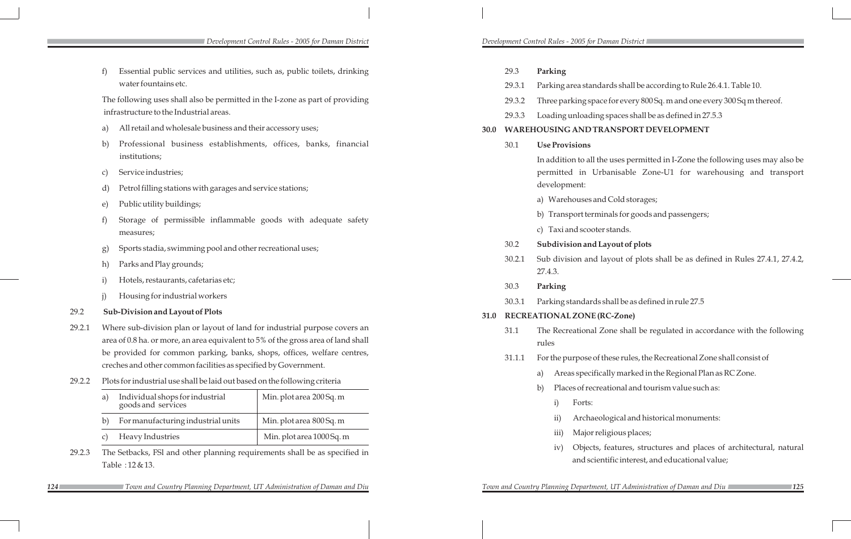*Development Control Rules - 2005 for Daman District Development Control Rules - 2005 for Daman District* 

# 30.2 **Subdivision and Layout of plots**

layout of plots shall be as defined in Rules 27.4.1, 27.4.2,

shall be as defined in rule 27.5

# **32.0 RC-Zone)**

Zone shall be regulated in accordance with the following

hese rules, the Recreational Zone shall consist of

ally marked in the Regional Plan as RC Zone.

ational and tourism value such as:

logical and historical monuments:

ligious places;

features, structures and places of architectural, natural ntific interest, and educational value;

|        | f)               | Essential public services and utilities, such as, public toilets, drinking        |                           |                             | 29.3                          | Parking           |                        |                            |
|--------|------------------|-----------------------------------------------------------------------------------|---------------------------|-----------------------------|-------------------------------|-------------------|------------------------|----------------------------|
|        |                  | water fountains etc.                                                              |                           |                             | 29.3.1                        |                   |                        | Parking area standa        |
|        |                  | The following uses shall also be permitted in the I-zone as part of providing     |                           |                             | 29.3.2                        |                   |                        | Three parking space        |
|        |                  | infrastructure to the Industrial areas.                                           |                           |                             | 29.3.3                        |                   |                        | Loading unloading          |
|        | a)               | All retail and wholesale business and their accessory uses;                       |                           | 30.0                        |                               |                   |                        | <b>WAREHOUSING AND TR.</b> |
|        | b)               | Professional business establishments, offices, banks, financial                   |                           |                             | 30.1                          |                   |                        | <b>Use Provisions</b>      |
|        |                  | institutions;                                                                     |                           |                             |                               |                   |                        | In addition to all the     |
|        | $\mathcal{C}$    | Service industries;                                                               |                           |                             |                               |                   |                        | permitted in Urb           |
|        | d)               | Petrol filling stations with garages and service stations;                        |                           |                             |                               |                   | development:           |                            |
|        | e)               | Public utility buildings;                                                         |                           |                             |                               | a) Warehouses and |                        |                            |
|        | f)               | Storage of permissible inflammable goods with adequate safety                     |                           |                             |                               |                   |                        | b) Transport termin        |
|        |                  | measures;                                                                         |                           |                             |                               |                   |                        | c) Taxi and scooter        |
|        | $\left(g\right)$ | Sports stadia, swimming pool and other recreational uses;                         |                           | 30.2                        |                               |                   | Subdivision and La     |                            |
|        | h)               | Parks and Play grounds;                                                           |                           | 30.2.1                      |                               |                   | Sub division and la    |                            |
|        | $\mathbf{i}$     | Hotels, restaurants, cafetarias etc;                                              |                           |                             | 27.4.3.                       |                   |                        |                            |
|        | j)               | Housing for industrial workers                                                    |                           |                             | 30.3                          | Parking           |                        |                            |
| 29.2   |                  | Sub-Division and Layout of Plots                                                  |                           | 31.0                        | 30.3.1<br>Parking standards s |                   |                        |                            |
| 29.2.1 |                  | Where sub-division plan or layout of land for industrial purpose covers an        |                           | <b>RECREATIONAL ZONE (R</b> |                               |                   |                        |                            |
|        |                  | area of 0.8 ha. or more, an area equivalent to 5% of the gross area of land shall | 31.1                      | The Recreational Z<br>rules |                               |                   |                        |                            |
|        |                  | be provided for common parking, banks, shops, offices, welfare centres,           |                           |                             |                               |                   |                        |                            |
|        |                  | creches and other common facilities as specified by Government.                   |                           | 31.1.1                      |                               |                   | For the purpose of the |                            |
| 29.2.2 |                  | Plots for industrial use shall be laid out based on the following criteria        |                           |                             |                               | a)                |                        | Areas specifica            |
|        | a)               | Individual shops for industrial                                                   | Min. plot area 200 Sq. m  |                             | b)                            |                   | Places of recrea       |                            |
|        |                  | goods and services                                                                |                           |                             |                               |                   | i)                     | Forts:                     |
|        | b)               | For manufacturing industrial units                                                | Min. plot area 800 Sq. m  |                             |                               |                   | ii)                    | Archaeol                   |
|        | $\mathcal{C}$    | Heavy Industries                                                                  | Min. plot area 1000 Sq. m |                             |                               |                   | iii)                   | Major rel                  |
| 29.2.3 |                  | The Setbacks, FSI and other planning requirements shall be as specified in        |                           |                             |                               |                   | iv)                    | Objects,                   |

**124 124 126 126 126 126 126 126 126 126 126 126 126 126 126 126 126 126 126 126 126 126 126 126 126 126 126 126 126 126 126 126 126 126 126 126 126**

ards shall be according to Rule 26.4.1. Table 10. e for every 800 Sq. m and one every 300 Sq m thereof. 3 spaces shall be as defined in 27.5.3 **3** ANSPORT DEVELOPMENT

In a uses permitted in I-Zone the following uses may also be banisable Zone-U1 for warehousing and transport

d Cold storages;

inals for goods and passengers;

cstands.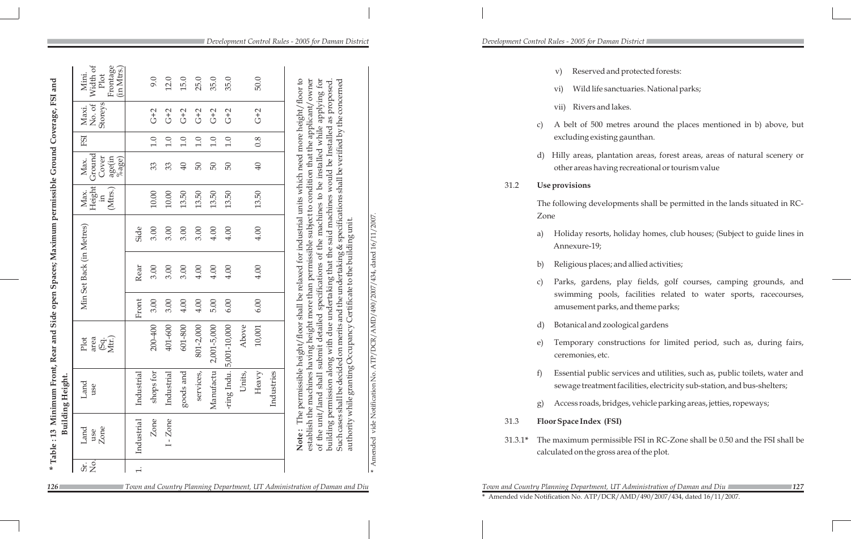- v) Reserved and protected forests:
- vi) Wild life sanctuaries. National parks;
- vii) Rivers and lakes.
- c) A belt of 500 metres around the places mentioned in b) above, but excluding existing gaunthan.
- d) Hilly areas, plantation areas, forest areas, areas of natural scenery or other areas having recreational or tourism value
- The following developments shall be permitted in the lands situated in RC-
- a) Holiday resorts, holiday homes, club houses; (Subject to guide lines in Annexure-19;
- b) Religious places; and allied activities;
- c) Parks, gardens, play fields, golf courses, camping grounds, and swimming pools, facilities related to water sports, racecourses, amusement parks, and theme parks;
- d) Botanical and zoological gardens
- e) Temporary constructions for limited period, such as, during fairs, ceremonies, etc.
- f) Essential public services and utilities, such as, public toilets, water and sewage treatment facilities, electricity sub-station, and bus-shelters;
- g) Access roads, bridges, vehicle parking areas, jetties, ropeways;
- 31.3 **Floor Space Index (FSI)**
- 31.3.1**\*** The maximum permissible FSI in RC-Zone shall be 0.50 and the FSI shall be calculated on the gross area of the plot.

**126 128 128 128 128 127 128 128 128 128 128 127 127 127 127 127 127 127 127 127 127 127 128 127 127 127 127 127 127 127 127 127 127 127 127 127 127 \*** Amended vide Notification No. ATP/DCR/AMD/490/2007/434, dated 16/11/2007.

| ð<br>Mini.<br>Width                                           |                          |            |                    |           |             |              |        |                     |                                            | Reserved and protected forests:<br>$\rm{V})$                                                                                            |
|---------------------------------------------------------------|--------------------------|------------|--------------------|-----------|-------------|--------------|--------|---------------------|--------------------------------------------|-----------------------------------------------------------------------------------------------------------------------------------------|
| Frontage<br>(in Mtrs.<br>Plot                                 | 9.0                      | 12.0       | 15.0               | 25.0      | 35.0        | 35.0         |        | 50.0                |                                            | Wild life sanctuaries. National parks;<br>$\rm{vi})$                                                                                    |
| Maxi.<br>No. of<br>Storeys                                    | $G+2$                    | $G+2$      | $G+2$              | $G+2$     | $G+2$       | $G+2$        |        | $G+2$               |                                            | Rivers and lakes.<br>vii)                                                                                                               |
|                                                               | 0.1                      | 0.1        | 0.1                | 0.1       | 1.0         | 1.0          |        | 0.8                 |                                            | A belt of 500 metres around the places mention<br>$\mathcal{C}$<br>excluding existing gaunthan.                                         |
| age(in<br>%age)                                               | 33                       | 33         | $\overline{40}$    | 50        | 50          | 50           |        | 40                  |                                            | Hilly areas, plantation areas, forest areas, areas<br>d<br>other areas having recreational or tourism value                             |
| Max.<br>Ground<br>Cover<br>Max.<br>Height<br>(Mtrs.)<br>$\Xi$ |                          |            |                    |           |             |              |        |                     | 31.2                                       | Use provisions                                                                                                                          |
|                                                               | $10.00\,$                | $10.00\,$  | 13.50              | 13.50     | 13.50       | 13.50        |        | 13.50               |                                            | The following developments shall be permitted in the<br>Zone                                                                            |
|                                                               | 3.00<br>Side             | 3.00       | 3.00               | 3.00      | 4.00        | 4.00         |        | 4.00                |                                            | Holiday resorts, holiday homes, club houses; (St<br>a)<br>Annexure-19;                                                                  |
|                                                               | Rear<br>3.00             | 3.00       | 3.00               | 4.00      | 4.00        | 4.00         |        | 4.00                |                                            | Religious places; and allied activities;<br>b)                                                                                          |
|                                                               | Front<br>3.00            | 3.00       | 4.00               | 4.00      | 5.00        | 6.00         |        | 6.00                | ATP/DCR/AMD/490/2007/434, dated 16/11/2007 | Parks, gardens, play fields, golf courses, ca<br>C)<br>swimming pools, facilities related to water<br>amusement parks, and theme parks; |
|                                                               |                          |            |                    |           |             |              |        |                     |                                            | Botanical and zoological gardens<br>d)                                                                                                  |
| Plot<br>area<br>(Sq.<br>Mtr.)                                 | 200-400                  | 401-600    | 601-800            | 801-2,000 | 2,001-5,000 | 5,001-10,000 | Above  | 10,001              |                                            | Temporary constructions for limited period, a<br>e)<br>ceremonies, etc.                                                                 |
| ${\rm Land}$ use                                              | Industrial<br>shops for  | Industrial | $_{\rm goods}$ and | services  | Manufactu   | ring Indu    | Units, | Industries<br>Heavy | Notification No.                           | Essential public services and utilities, such as, pu<br>f<br>sewage treatment facilities, electricity sub-station                       |
|                                                               |                          |            |                    |           |             |              |        |                     |                                            | Access roads, bridges, vehicle parking areas, jettie<br>$\left(g\right)$                                                                |
|                                                               | Zone                     | Zone       |                    |           |             |              |        |                     | 31.3<br>vide :                             | <b>Floor Space Index (FSI)</b>                                                                                                          |
| Zone<br>use                                                   | Industrial               |            |                    |           |             |              |        |                     | Amended<br>$31.3.1*$                       | The maximum permissible FSI in RC-Zone shall be 0.<br>calculated on the gross area of the plot.                                         |
| $\overline{\tilde{\sigma}}$ $\frac{1}{2}$                     | $\overline{\phantom{a}}$ |            |                    |           |             |              |        |                     |                                            |                                                                                                                                         |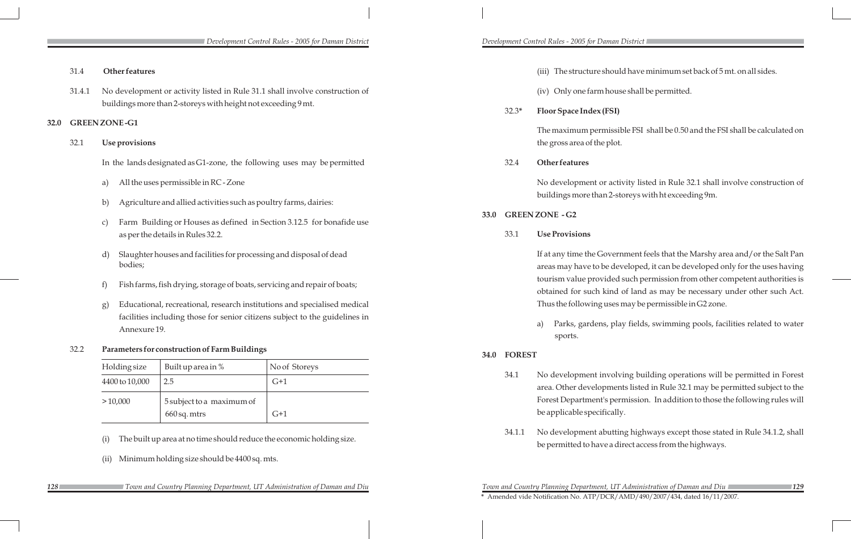34.1 No development involving building operations will be permitted in Forest area. Other developments listed in Rule 32.1 may be permitted subject to the Forest Department's permission. In addition to those the following rules will

|        | Development Control Rules - 2005 for Daman District                                                                                                                           |      |               | Development Control Rules - 2005 for Daman District                            |
|--------|-------------------------------------------------------------------------------------------------------------------------------------------------------------------------------|------|---------------|--------------------------------------------------------------------------------|
| 31.4   | Other features                                                                                                                                                                |      |               | (iii) The structure should have                                                |
| 31.4.1 | No development or activity listed in Rule 31.1 shall involve construction of<br>buildings more than 2-storeys with height not exceeding 9 mt.<br><b>GREEN ZONE-G1</b>         |      | $32.3*$       | (iv) Only one farm house shall<br><b>Floor Space Index (FSI)</b>               |
| 32.1   | Use provisions                                                                                                                                                                |      |               | The maximum permissible FSI<br>the gross area of the plot.                     |
|        | In the lands designated as G1-zone, the following uses may be permitted                                                                                                       |      | 32.4          | Other features                                                                 |
|        | All the uses permissible in RC - Zone<br>a)<br>Agriculture and allied activities such as poultry farms, dairies:<br>b)                                                        |      |               | No development or activity lis<br>buildings more than 2-storeys w              |
|        | Farm Building or Houses as defined in Section 3.12.5 for bonafide use<br>$\mathcal{C}$<br>as per the details in Rules 32.2.                                                   | 33.0 | 33.1          | <b>GREENZONE - G2</b><br><b>Use Provisions</b>                                 |
|        | Slaughter houses and facilities for processing and disposal of dead<br>d)<br>bodies;                                                                                          |      |               | If at any time the Government f<br>areas may have to be developed              |
|        | Fish farms, fish drying, storage of boats, servicing and repair of boats;<br>f)                                                                                               |      |               | tourism value provided such po<br>obtained for such kind of land               |
|        | Educational, recreational, research institutions and specialised medical<br>g)<br>facilities including those for senior citizens subject to the guidelines in<br>Annexure 19. |      |               | Thus the following uses may be<br>Parks, gardens, play fields<br>a)<br>sports. |
| 32.2   | Parameters for construction of Farm Buildings                                                                                                                                 | 34.0 | <b>FOREST</b> |                                                                                |

be applicable specifically.

34.1.1 No development abutting highways except those stated in Rule 34.1.2, shall be permitted to have a direct access from the highways.

**32.0** 

ould have minimum set back of 5 mt. on all sides.

ouse shall be permitted.

ssible FSI shall be 0.50 and the FSI shall be calculated on lot.

no development or activity listed in Rule 32.1 shall involve construction of 2-storeys with ht exceeding 9m.

If are and/or the Salt Pany ternment feels that the Marshy area and/or the Salt Pan developed, it can be developed only for the uses having led such permission from other competent authorities is nd of land as may be necessary under other such Act. ses may be permissible in G2 zone.

play fields, swimming pools, facilities related to water

| <b>Holding</b> size | Built up area in $%$                        | No of Storeys |  |  |  |
|---------------------|---------------------------------------------|---------------|--|--|--|
| 4400 to 10,000      | 2.5                                         | $G+1$         |  |  |  |
| >10,000             | 5 subject to a maximum of<br>$660$ sq. mtrs | $G+1$         |  |  |  |

- (i) The built up area at no time should reduce the economic holding size.
- (ii) Minimum holding size should be 4400 sq. mts.
	-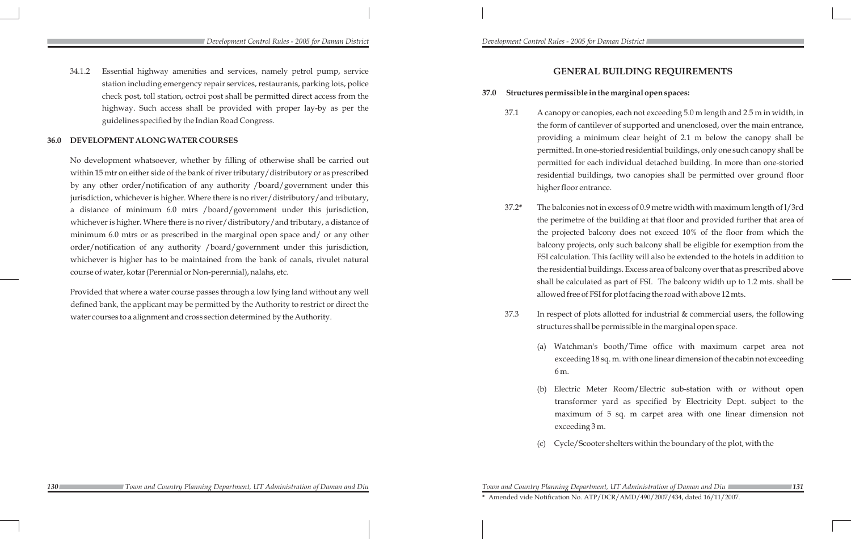*Development Control Rules - 2005 for Daman District Development Control Rules - 2005 for Daman District* 

34.1.2 Essential highway amenities and services, namely petrol pump, service station including emergency repair services, restaurants, parking lots, police check post, toll station, octroi post shall be permitted direct access from the highway. Such access shall be provided with proper lay-by as per the guidelines specified by the Indian Road Congress.

### **36.0 DEVELOPMENT ALONG WATER COURSES**

No development whatsoever, whether by filling of otherwise shall be carried out within 15 mtr on either side of the bank of river tributary/distributory or as prescribed by any other order/notification of any authority /board/government under this jurisdiction, whichever is higher. Where there is no river/distributory/and tributary, a distance of minimum 6.0 mtrs /board/government under this jurisdiction, whichever is higher. Where there is no river/distributory/and tributary, a distance of minimum 6.0 mtrs or as prescribed in the marginal open space and/ or any other order/notification of any authority /board/government under this jurisdiction, whichever is higher has to be maintained from the bank of canals, rivulet natural course of water, kotar (Perennial or Non-perennial), nalahs, etc.

Provided that where a water course passes through a low lying land without any well defined bank, the applicant may be permitted by the Authority to restrict or direct the water courses to a alignment and cross section determined by the Authority.

Watchman's booth/Time office with maximum carpet area not exceeding 18 sq. m. with one linear dimension of the cabin not exceeding

# **GENERAL BUILDING REQUIREMENTS**

Electric Meter Room/Electric sub-station with or without open transformer yard as specified by Electricity Dept. subject to the maximum of 5 sq. m carpet area with one linear dimension not

Cycle/Scooter shelters within the boundary of the plot, with the

# **37.0 Structures permissible in the marginal open spaces:**

37.1 A canopy or canopies, each not exceeding 5.0 m length and 2.5 m in width, in the form of cantilever of supported and unenclosed, over the main entrance, providing a minimum clear height of 2.1 m below the canopy shall be permitted. In one-storied residential buildings, only one such canopy shall be permitted for each individual detached building. In more than one-storied residential buildings, two canopies shall be permitted over ground floor

 37.2**\*** The balconies not in excess of 0.9 metre width with maximum length of l/3rd the perimetre of the building at that floor and provided further that area of the projected balcony does not exceed 10% of the floor from which the balcony projects, only such balcony shall be eligible for exemption from the FSI calculation. This facility will also be extended to the hotels in addition to the residential buildings. Excess area of balcony over that as prescribed above shall be calculated as part of FSI. The balcony width up to 1.2 mts. shall be allowed free of FSI for plot facing the road with above 12 mts.

- higher floor entrance.
- 
- - 6 m.
	- exceeding 3 m.
	-

37.3 In respect of plots allotted for industrial & commercial users, the following structures shall be permissible in the marginal open space.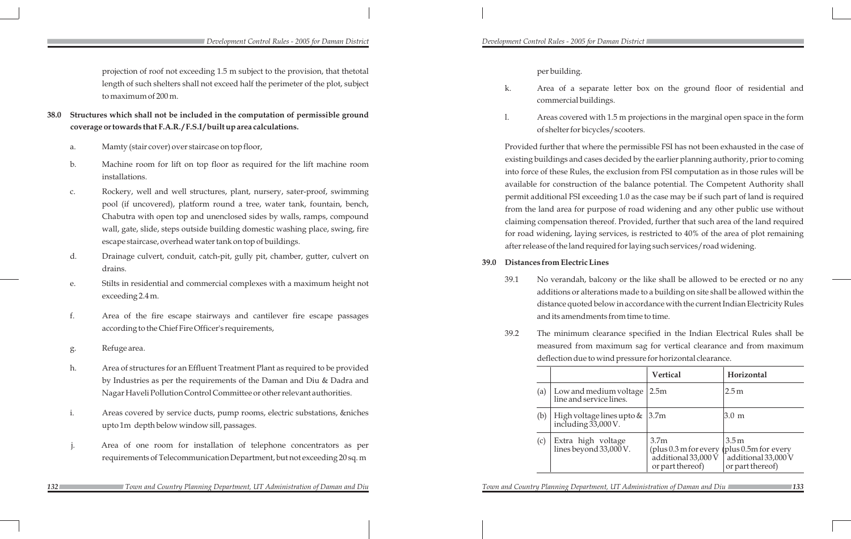*132 133*

### *Development Control Rules - 2005 for Daman District Development Control Rules - 2005 for Daman District*

projection of roof not exceeding 1.5 m subject to the provision, that thetotal length of such shelters shall not exceed half the perimeter of the plot, subject to maximum of 200 m.

- **38.0 Structures which shall not be included in the computation of permissible ground coverage or towards that F.A.R. / F.S.I / built up area calculations.**
	- a. Mamty (stair cover) over staircase on top floor,
	- b. Machine room for lift on top floor as required for the lift machine room installations.
	- c. Rockery, well and well structures, plant, nursery, sater-proof, swimming pool (if uncovered), platform round a tree, water tank, fountain, bench, Chabutra with open top and unenclosed sides by walls, ramps, compound wall, gate, slide, steps outside building domestic washing place, swing, fire escape staircase, overhead water tank on top of buildings.
	- d. Drainage culvert, conduit, catch-pit, gully pit, chamber, gutter, culvert on drains.
	- e. Stilts in residential and commercial complexes with a maximum height not exceeding 2.4 m.
	- f. Area of the fire escape stairways and cantilever fire escape passages according to the Chief Fire Officer's requirements,
	- g. Refuge area.
	- h. Area of structures for an Effluent Treatment Plant as required to be provided by Industries as per the requirements of the Daman and Diu & Dadra and Nagar Haveli Pollution Control Committee or other relevant authorities.
	- i. Areas covered by service ducts, pump rooms, electric substations, &niches upto 1m depth below window sill, passages.
	- j. Area of one room for installation of telephone concentrators as per requirements of Telecommunication Department, but not exceeding 20 sq. m

per building.

k. Area of a separate letter box on the ground floor of residential and

l. Areas covered with 1.5 m projections in the marginal open space in the form

- commercial buildings.
- of shelter for bicycles/scooters.

Provided further that where the permissible FSI has not been exhausted in the case of existing buildings and cases decided by the earlier planning authority, prior to coming into force of these Rules, the exclusion from FSI computation as in those rules will be available for construction of the balance potential. The Competent Authority shall permit additional FSI exceeding 1.0 as the case may be if such part of land is required from the land area for purpose of road widening and any other public use without claiming compensation thereof. Provided, further that such area of the land required for road widening, laying services, is restricted to 40% of the area of plot remaining after release of the land required for laying such services/road widening.

- **39.0 Distances from Electric Lines**
	- -

39.1 No verandah, balcony or the like shall be allowed to be erected or no any additions or alterations made to a building on site shall be allowed within the distance quoted below in accordance with the current Indian Electricity Rules and its amendments from time to time.

39.2 The minimum clearance specified in the Indian Electrical Rules shall be measured from maximum sag for vertical clearance and from maximum deflection due to wind pressure for horizontal clearance.

|     |                                                       | <b>Vertical</b>                                                                                    | Horizontal                                                                            |
|-----|-------------------------------------------------------|----------------------------------------------------------------------------------------------------|---------------------------------------------------------------------------------------|
| (a) | Low and medium voltage<br>line and service lines.     | 2.5m                                                                                               | 2.5 <sub>m</sub>                                                                      |
| (b) | High voltage lines upto $\&$<br>including $33,000$ V. | 3.7 <sub>m</sub>                                                                                   | 13.0 m                                                                                |
| (c) | Extra high voltage<br>lines beyond $33,000$ V.        | 3.7 <sub>m</sub><br>(plus $0.3$ m for every<br>additional $33,000\,\mathrm{V}$<br>or part thereof) | 3.5 <sub>m</sub><br>(plus $0.5m$ for every<br>additional 33,000 V<br>or part thereof) |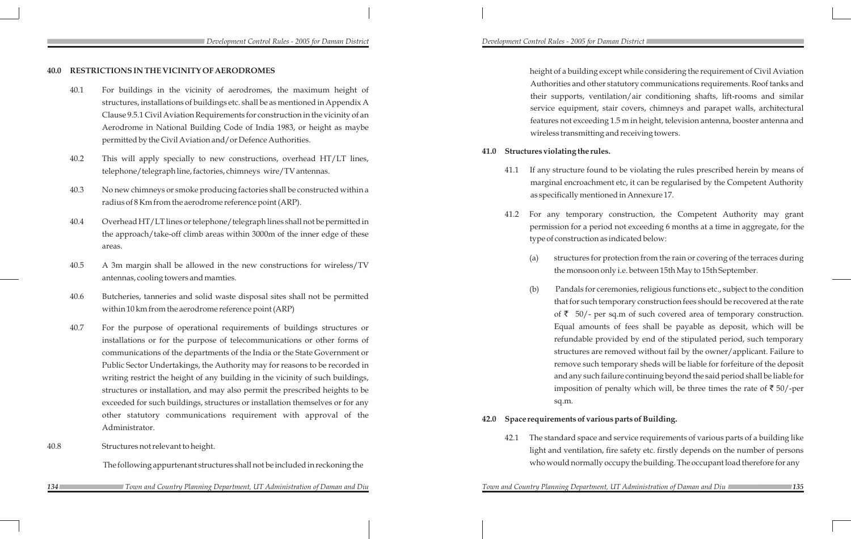height of a building except while considering the requirement of Civil Aviation Authorities and other statutory communications requirements. Roof tanks and their supports, ventilation/air conditioning shafts, lift-rooms and similar service equipment, stair covers, chimneys and parapet walls, architectural features not exceeding 1.5 m in height, television antenna, booster antenna and wireless transmitting and receiving towers.

### **41.0 Structures violating the rules.**

(b) Pandals for ceremonies, religious functions etc., subject to the condition that for such temporary construction fees should be recovered at the rate of  $\bar{\zeta}$  50/- per sq.m of such covered area of temporary construction. Equal amounts of fees shall be payable as deposit, which will be refundable provided by end of the stipulated period, such temporary structures are removed without fail by the owner/applicant. Failure to remove such temporary sheds will be liable for forfeiture of the deposit and any such failure continuing beyond the said period shall be liable for imposition of penalty which will, be three times the rate of  $\bar{\tau}$  50/-per

41.1 If any structure found to be violating the rules prescribed herein by means of marginal encroachment etc, it can be regularised by the Competent Authority as specifically mentioned in Annexure 17.

41.2 For any temporary construction, the Competent Authority may grant permission for a period not exceeding 6 months at a time in aggregate, for the

(a) structures for protection from the rain or covering of the terraces during the monsoon only i.e. between 15th May to 15th September.

- 
- type of construction as indicated below:
	- - sq.m.

# **42.0 Space requirements of various parts of Building.**

42.1 The standard space and service requirements of various parts of a building like light and ventilation, fire safety etc. firstly depends on the number of persons who would normally occupy the building. The occupant load therefore for any

**134 134 139 139 139 139 139 139 139 139 139 139 139 139 139 139 139 139 139 139 139 139 139 139 139 139 139 139 139 139 128 139 128 128 128 128 128**  *Town and Country Planning Department, UT Administration of Daman and Diu Town and Country Planning Department, UT Administration of Daman and Diu*

### **40.0 RESTRICTIONS IN THE VICINITY OF AERODROMES**

- 40.1 For buildings in the vicinity of aerodromes, the maximum height of structures, installations of buildings etc. shall be as mentioned in Appendix A Clause 9.5.1 Civil Aviation Requirements for construction in the vicinity of an Aerodrome in National Building Code of India 1983, or height as maybe permitted by the Civil Aviation and/or Defence Authorities.
- 40.2 This will apply specially to new constructions, overhead HT/LT lines, telephone/telegraph line, factories, chimneys wire/TV antennas.
- 40.3 No new chimneys or smoke producing factories shall be constructed within a radius of 8 Km from the aerodrome reference point (ARP).
- 40.4 Overhead HT/LT lines or telephone/telegraph lines shall not be permitted in the approach/take-off climb areas within 3000m of the inner edge of these areas.
- 40.5 A 3m margin shall be allowed in the new constructions for wireless/TV antennas, cooling towers and mamties.
- 40.6 Butcheries, tanneries and solid waste disposal sites shall not be permitted within 10 km from the aerodrome reference point (ARP)
- 40.7 For the purpose of operational requirements of buildings structures or installations or for the purpose of telecommunications or other forms of communications of the departments of the India or the State Government or Public Sector Undertakings, the Authority may for reasons to be recorded in writing restrict the height of any building in the vicinity of such buildings, structures or installation, and may also permit the prescribed heights to be exceeded for such buildings, structures or installation themselves or for any other statutory communications requirement with approval of the Administrator.
- 40.8 Structures not relevant to height.

The following appurtenant structures shall not be included in reckoning the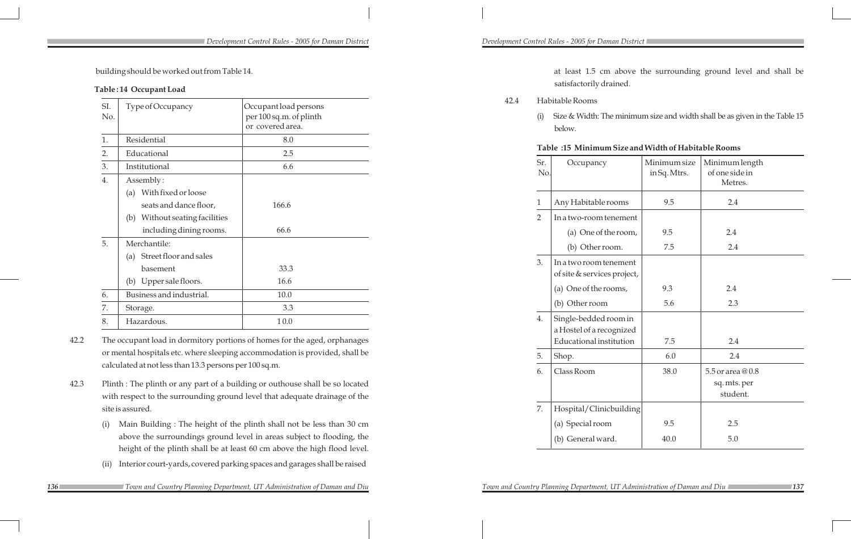building should be worked out from Table 14.

## **Table : 14 Occupant Load**

| SI.<br>No. | Type of Occupancy                 | Occupant load persons<br>per 100 sq.m. of plinth<br>or covered area. |
|------------|-----------------------------------|----------------------------------------------------------------------|
| 1.         | Residential                       | 8.0                                                                  |
| 2.         | Educational                       | 2.5                                                                  |
| 3.         | Institutional                     | 6.6                                                                  |
| 4.         | Assembly:                         |                                                                      |
|            | With fixed or loose<br>(a)        |                                                                      |
|            | seats and dance floor,            | 166.6                                                                |
|            | Without seating facilities<br>(b) |                                                                      |
|            | including dining rooms.           | 66.6                                                                 |
| 5.         | Merchantile:                      |                                                                      |
|            | (a) Street floor and sales        |                                                                      |
|            | basement                          | 33.3                                                                 |
|            | (b) Upper sale floors.            | 16.6                                                                 |
| 6.         | Business and industrial.          | 10.0                                                                 |
| 7.         | Storage.                          | 3.3                                                                  |
| 8.         | Hazardous.                        | 10.0                                                                 |

- 42.2 The occupant load in dormitory portions of homes for the aged, orphanages or mental hospitals etc. where sleeping accommodation is provided, shall be calculated at not less than 13.3 persons per 100 sq.m.
- 42.3 Plinth : The plinth or any part of a building or outhouse shall be so located with respect to the surrounding ground level that adequate drainage of the site is assured.
	- (i) Main Building : The height of the plinth shall not be less than 30 cm above the surroundings ground level in areas subject to flooding, the height of the plinth shall be at least 60 cm above the high flood level.
	- (ii) Interior court-yards, covered parking spaces and garages shall be raised

 at least 1.5 cm above the surrounding ground level and shall be satisfactorily drained.

42.4 Habitable Rooms

(i) Size & Width: The minimum size and width shall be as given in the Table 15

**Table :15 Minimum Size and Width of Habitable Rooms**

| Sr.<br>No.     | Occupancy                                             | Minimum size<br>in Sq. Mtrs. | Minimum length<br>of one side in<br>Metres.  |
|----------------|-------------------------------------------------------|------------------------------|----------------------------------------------|
| $\mathbf{1}$   | Any Habitable rooms                                   | 9.5                          | 2.4                                          |
| $\overline{2}$ | In a two-room tenement                                |                              |                                              |
|                | (a) One of the room,                                  | 9.5                          | 2.4                                          |
|                | (b) Other room.                                       | 7.5                          | 2.4                                          |
| 3.             | In a two room tenement<br>of site & services project, |                              |                                              |
|                | (a) One of the rooms,                                 | 9.3                          | 2.4                                          |
|                | (b) Other room                                        | 5.6                          | 2.3                                          |
| 4.             | Single-bedded room in<br>a Hostel of a recognized     |                              |                                              |
|                | <b>Educational institution</b>                        | 7.5                          | 2.4                                          |
| 5.             | Shop.                                                 | 6.0                          | 2.4                                          |
| 6.             | Class Room                                            | 38.0                         | 5.5 or area @0.8<br>sq. mts. per<br>student. |
| 7.             | Hospital/Clinicbuilding                               |                              |                                              |
|                | (a) Special room                                      | 9.5                          | 2.5                                          |
|                | (b) General ward.                                     | 40.0                         | 5.0                                          |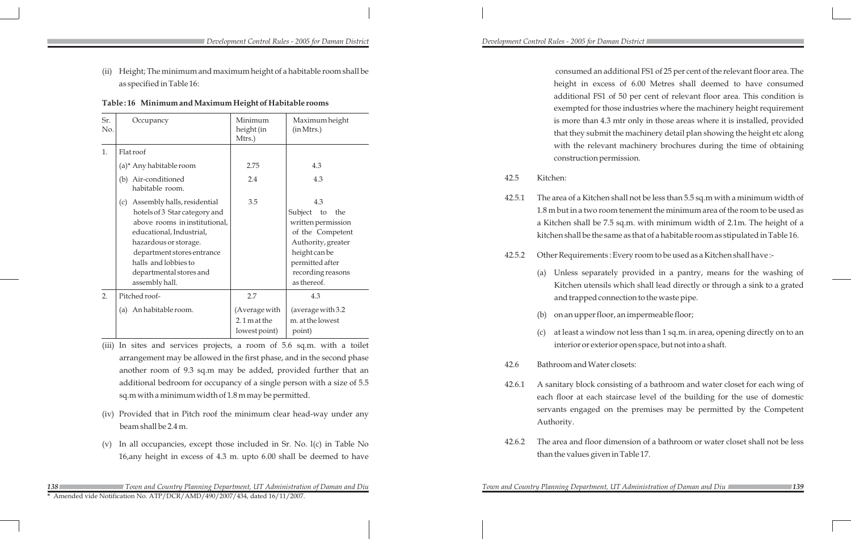consumed an additional FS1 of 25 per cent of the relevant floor area. The height in excess of 6.00 Metres shall deemed to have consumed additional FS1 of 50 per cent of relevant floor area. This condition is those industries where the machinery height requirement 4.3 mtr only in those areas where it is installed, provided mit the machinery detail plan showing the height etc along vant machinery brochures during the time of obtaining permission.

> en shall not be less than 5.5 sq.m with a minimum width of toom tenement the minimum area of the room to be used as 7.5 sq.m. with minimum width of 2.1m. The height of a same as that of a habitable room as stipulated in Table 16.

1ts : Every room to be used as a Kitchen shall have :-

ately provided in a pantry, means for the washing of sils which shall lead directly or through a sink to a grated connection to the waste pipe.

loor, an impermeable floor;

dow not less than 1 sq.m. in area, opening directly on to an interior or exterior open space, but not into a shaft.

42.6 Bathroom and Water closets:

42.6.1 A sanitary block consisting of a bathroom and water closet for each wing of each floor at each staircase level of the building for the use of domestic servants engaged on the premises may be permitted by the Competent

Authority.

|            |                                                                                                                                                                                                                                                              |                                 |                                                                                                                                                                  |                  | exempted for                                                                                                                                             |  |
|------------|--------------------------------------------------------------------------------------------------------------------------------------------------------------------------------------------------------------------------------------------------------------|---------------------------------|------------------------------------------------------------------------------------------------------------------------------------------------------------------|------------------|----------------------------------------------------------------------------------------------------------------------------------------------------------|--|
| Sr.<br>No. | Occupancy                                                                                                                                                                                                                                                    | Minimum<br>height (in<br>Mtrs.) | Maximum height<br>(in Mtrs.)                                                                                                                                     |                  | is more than 4<br>that they subr                                                                                                                         |  |
| 1.         | Flatroof                                                                                                                                                                                                                                                     |                                 |                                                                                                                                                                  |                  | with the reley                                                                                                                                           |  |
|            | (a)* Any habitable room                                                                                                                                                                                                                                      | 2.75                            | 4.3                                                                                                                                                              |                  | construction p                                                                                                                                           |  |
|            | (b) Air-conditioned<br>habitable room.                                                                                                                                                                                                                       | 2.4                             | 4.3                                                                                                                                                              | 42.5             | Kitchen:                                                                                                                                                 |  |
|            | Assembly halls, residential<br>(c)<br>hotels of 3 Star category and<br>above rooms in institutional,<br>educational, Industrial,<br>hazardous or storage.<br>department stores entrance<br>halls and lobbies to<br>departmental stores and<br>assembly hall. | 3.5                             | 4.3<br>Subject to<br>the<br>written permission<br>of the Competent<br>Authority, greater<br>height can be<br>permitted after<br>recording reasons<br>as thereof. | 42.5.1<br>42.5.2 | The area of a Kitch<br>$1.8$ m but in a two r<br>a Kitchen shall be<br>kitchen shall be the<br>Other Requiremen<br>Unless separa<br>(a)<br>Kitchen utens |  |
| 2.         | Pitched roof-                                                                                                                                                                                                                                                | 2.7                             | 4.3                                                                                                                                                              |                  | and trapped c                                                                                                                                            |  |
|            | An habitable room.<br>(a)                                                                                                                                                                                                                                    | (Average with<br>$2.1$ m at the | (average with 3.2)<br>m. at the lowest                                                                                                                           |                  | on an upper fl<br>(b)                                                                                                                                    |  |
|            |                                                                                                                                                                                                                                                              | lowest point)                   | point)                                                                                                                                                           |                  | at least a wind<br>(c)                                                                                                                                   |  |

42.6.2 The area and floor dimension of a bathroom or water closet shall not be less than the values given in Table 17.

(ii) Height; The minimum and maximum height of a habitable room shall be as specified in Table 16:

### **Table : 16 Minimum and Maximum Height of Habitable rooms**

(iii) In sites and services projects, a room of 5.6 sq.m. with a toilet arrangement may be allowed in the first phase, and in the second phase another room of 9.3 sq.m may be added, provided further that an additional bedroom for occupancy of a single person with a size of 5.5 sq.m with a minimum width of 1.8 m may be permitted.

- (iv) Provided that in Pitch roof the minimum clear head-way under any beam shall be 2.4 m.
- (v) In all occupancies, except those included in Sr. No. l(c) in Table No 16,any height in excess of 4.3 m. upto 6.00 shall be deemed to have

 *Town and Country Planning Department, UT Administration of Daman and Diu Town and Country Planning Department, UT Administration of Daman and Diu*

*Town and Country Planning Department, UT Administration of Daman and Diu* 

**\*** Amended vide Notification No. ATP/DCR/AMD/490/2007/434, dated 16/11/2007.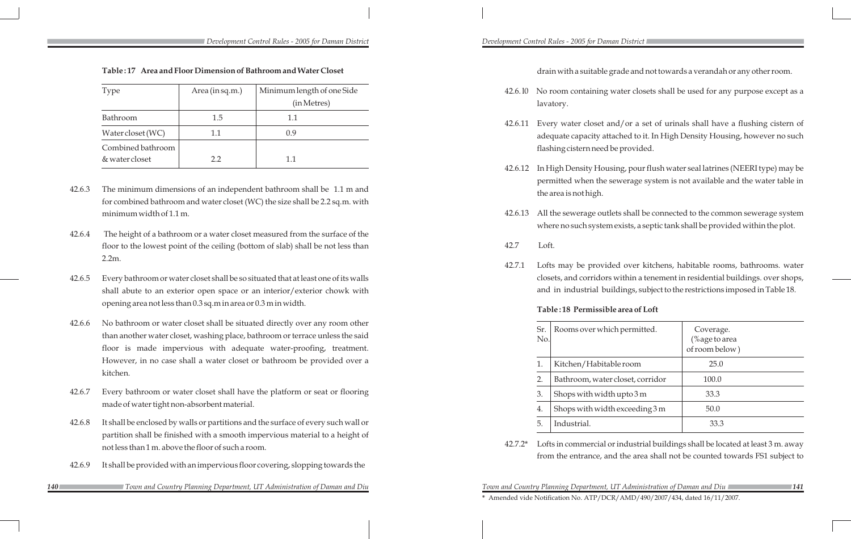**Table : 17 Area and Floor Dimension of Bathroom and Water Closet**

| Type                                | Area (in sq.m.) | Minimum length of one Side |
|-------------------------------------|-----------------|----------------------------|
|                                     |                 | (in Metres)                |
| Bathroom                            | 1.5             | 1.1                        |
| Water closet (WC)                   | 1.1             | (1.9                       |
| Combined bathroom<br>& water closet | 2.2             | 1.1                        |

- 42.6.3 The minimum dimensions of an independent bathroom shall be 1.1 m and for combined bathroom and water closet (WC) the size shall be 2.2 sq.m. with minimum width of 1.1 m.
- 42.6.4 The height of a bathroom or a water closet measured from the surface of the floor to the lowest point of the ceiling (bottom of slab) shall be not less than 2.2m.
- 42.6.5 Every bathroom or water closet shall be so situated that at least one of its walls shall abute to an exterior open space or an interior/exterior chowk with opening area not less than 0.3 sq.m in area or 0.3 m in width.
- 42.6.6 No bathroom or water closet shall be situated directly over any room other than another water closet, washing place, bathroom or terrace unless the said floor is made impervious with adequate water-proofing, treatment. However, in no case shall a water closet or bathroom be provided over a kitchen.
- 42.6.7 Every bathroom or water closet shall have the platform or seat or flooring made of water tight non-absorbent material.
- 42.6.8 It shall be enclosed by walls or partitions and the surface of every such wall or partition shall be finished with a smooth impervious material to a height of not less than 1 m. above the floor of such a room.
- 42.6.9 It shall be provided with an impervious floor covering, slopping towards the

 drain with a suitable grade and not towards a verandah or any other room. 42.6. l0 No room containing water closets shall be used for any purpose except as a lavatory.

42.6.11 Every water closet and/or a set of urinals shall have a flushing cistern of adequate capacity attached to it. In High Density Housing, however no such flashing cistern need be provided.

42.6.12 In High Density Housing, pour flush water seal latrines (NEERI type) may be permitted when the sewerage system is not available and the water table in

the area is not high.

42.6.13 All the sewerage outlets shall be connected to the common sewerage system where no such system exists, a septic tank shall be provided within the plot.

42.7 Loft.

42.7.1 Lofts may be provided over kitchens, habitable rooms, bathrooms. water closets, and corridors within a tenement in residential buildings. over shops, and in industrial buildings, subject to the restrictions imposed in Table 18.

### **Table : 18 Permissible area of Loft**

| Sr.<br>No.                                                                      | Rooms over which permitted.      | Coverage.<br>$%$ age to area<br>of room below) |  |  |  |
|---------------------------------------------------------------------------------|----------------------------------|------------------------------------------------|--|--|--|
| 1.                                                                              | Kitchen/Habitable room           | 25.0                                           |  |  |  |
| 2.                                                                              | Bathroom, water closet, corridor | 100.0                                          |  |  |  |
| 3.                                                                              | Shops with width upto $3m$       | 33.3                                           |  |  |  |
| 4.                                                                              | Shops with width exceeding 3 m   | 50.0                                           |  |  |  |
| 5.                                                                              | Industrial.                      | 33.3                                           |  |  |  |
| Lofts in commercial or industrial buildings shall be located at least 3 m, away |                                  |                                                |  |  |  |

 42.7.2\* Lofts in commercial or industrial buildings shall be located at least 3 m. away from the entrance, and the area shall not be counted towards FS1 subject to

 *Town and Country Planning Department, UT Administration of Daman and Diu Town and Country Planning Department, UT Administration of Daman and Diu*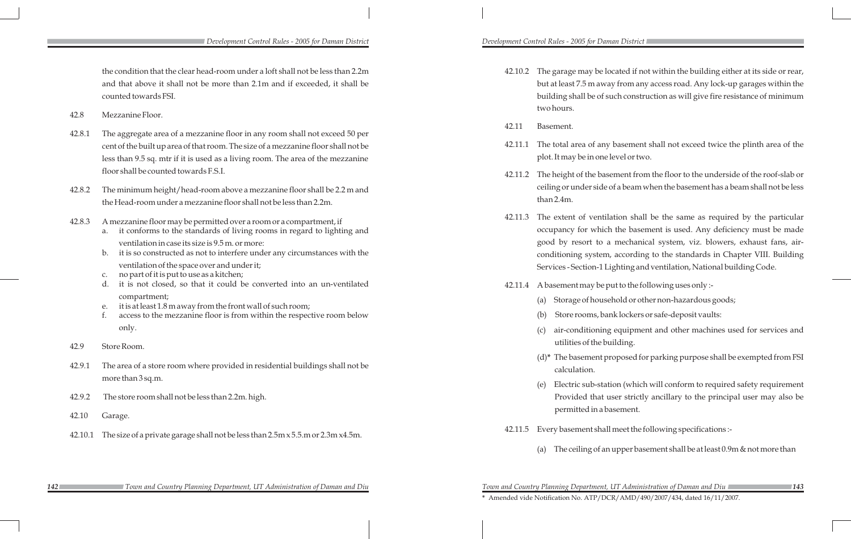*Development Control Rules - 2005 for Daman District Development Control Rules - 2005 for Daman District* 

*142 143 Town and Country Planning Department, UT Administration of Daman and Diu Town and Country Planning Department, UT Administration of Daman and Diu* **\*** Amended vide Notification No. ATP/DCR/AMD/490/2007/434, dated 16/11/2007.

be located if not within the building either at its side or rear, away from any access road. Any lock-up garages within the of such construction as will give fire resistance of minimum

any basement shall not exceed twice the plinth area of the one level or two.

basement from the floor to the underside of the roof-slab or ide of a beam when the basement has a beam shall not be less

ntilation shall be the same as required by the particular hich the basement is used. Any deficiency must be made to a mechanical system, viz. blowers, exhaust fans, airtem, according to the standards in Chapter VIII. Building -1 Lighting and ventilation, National building Code.

- be put to the following uses only :-
- ousehold or other non-hazardous goods;
- , bank lockers or safe-deposit vaults:
- hing equipment and other machines used for services and utilding.

ht proposed for parking purpose shall be exempted from FSI

station (which will conform to required safety requirement at user strictly ancillary to the principal user may also be a basement.

hall meet the following specifications :-

f an upper basement shall be at least 0.9m & not more than

|         | the condition that the clear head-room under a loft shall not be less than 2.2m                                                                                                                                    | 42.10.2 | The garage may b                         |
|---------|--------------------------------------------------------------------------------------------------------------------------------------------------------------------------------------------------------------------|---------|------------------------------------------|
|         | and that above it shall not be more than 2.1m and if exceeded, it shall be                                                                                                                                         |         | but at least 7.5 m a                     |
|         | counted towards FSI.                                                                                                                                                                                               |         | building shall be c                      |
| 42.8    | Mezzanine Floor.                                                                                                                                                                                                   |         | two hours.                               |
|         |                                                                                                                                                                                                                    | 42.11   | Basement.                                |
| 42.8.1  | The aggregate area of a mezzanine floor in any room shall not exceed 50 per                                                                                                                                        |         |                                          |
|         | cent of the built up area of that room. The size of a mezzanine floor shall not be                                                                                                                                 | 42.11.1 | The total area of a                      |
|         | less than 9.5 sq. mtr if it is used as a living room. The area of the mezzanine                                                                                                                                    |         | plot. It may be in o                     |
|         | floor shall be counted towards F.S.I.                                                                                                                                                                              | 42.11.2 | The height of the b                      |
| 42.8.2  | The minimum height/head-room above a mezzanine floor shall be 2.2 m and                                                                                                                                            |         | ceiling or under sid                     |
|         | the Head-room under a mezzanine floor shall not be less than 2.2m.                                                                                                                                                 |         | than 2.4m.                               |
| 42.8.3  | A mezzanine floor may be permitted over a room or a compartment, if                                                                                                                                                | 42.11.3 | The extent of ver<br>occupancy for wh    |
|         | it conforms to the standards of living rooms in regard to lighting and<br>a.<br>ventilation in case its size is 9.5 m, or more:<br>it is so constructed as not to interfere under any circumstances with the<br>b. |         | good by resort to<br>conditioning syste  |
|         | ventilation of the space over and under it;<br>no part of it is put to use as a kitchen;<br>C.                                                                                                                     |         | Services-Section-                        |
|         | it is not closed, so that it could be converted into an un-ventilated<br>d.                                                                                                                                        | 42.11.4 | A basement may b                         |
|         | compartment;<br>it is at least 1.8 m away from the front wall of such room;<br>e.                                                                                                                                  |         | Storage of ho<br>(a)                     |
|         | f.<br>access to the mezzanine floor is from within the respective room below                                                                                                                                       |         | Store rooms,<br>(b)                      |
|         | only.                                                                                                                                                                                                              |         | air-condition<br>(c)<br>utilities of the |
| 42.9    | Store Room.                                                                                                                                                                                                        |         | $(d)^*$ The basemen                      |
| 42.9.1  | The area of a store room where provided in residential buildings shall not be                                                                                                                                      |         | calculation.                             |
|         | more than 3 sq.m.                                                                                                                                                                                                  |         | Electric sub-s<br>(e)                    |
| 42.9.2  | The store room shall not be less than 2.2m. high.                                                                                                                                                                  |         | Provided tha<br>permitted in             |
| 42.10   | Garage.                                                                                                                                                                                                            |         |                                          |
| 42.10.1 | The size of a private garage shall not be less than 2.5m x 5.5 m or 2.3m x 4.5m.                                                                                                                                   | 42.11.5 | Every basement sh                        |
|         |                                                                                                                                                                                                                    |         | The ceiling of<br>(a)                    |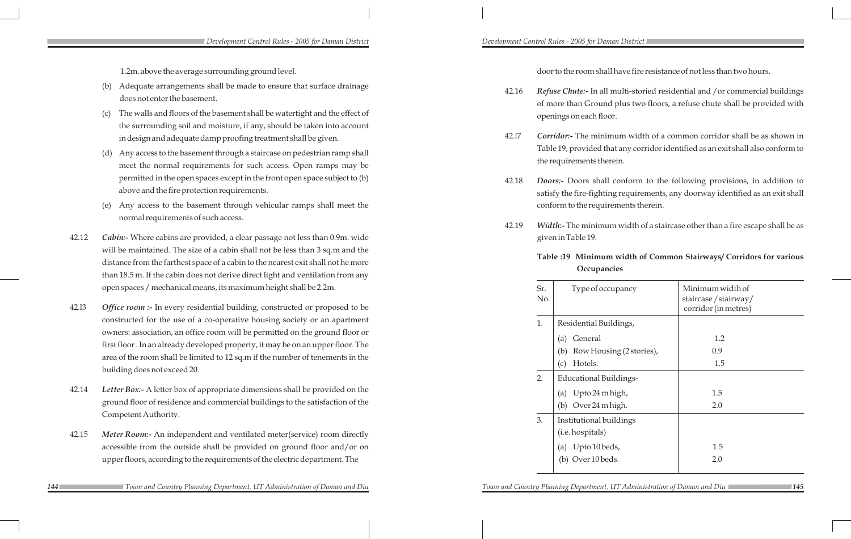1.2m. above the average surrounding ground level.

- (b) Adequate arrangements shall be made to ensure that surface drainage does not enter the basement.
- (c) The walls and floors of the basement shall be watertight and the effect of the surrounding soil and moisture, if any, should be taken into account in design and adequate damp proofing treatment shall be given.
- (d) Any access to the basement through a staircase on pedestrian ramp shall meet the normal requirements for such access. Open ramps may be permitted in the open spaces except in the front open space subject to (b) above and the fire protection requirements.
- (e) Any access to the basement through vehicular ramps shall meet the normal requirements of such access.
- 42.12 *Cabin:-* Where cabins are provided, a clear passage not less than 0.9m. wide will be maintained. The size of a cabin shall not be less than 3 sq.m and the distance from the farthest space of a cabin to the nearest exit shall not he more than 18.5 m. If the cabin does not derive direct light and ventilation from any open spaces / mechanical means, its maximum height shall be 2.2m.
- 42.l3 *Office room :-* In every residential building, constructed or proposed to be constructed for the use of a co-operative housing society or an apartment owners: association, an office room will be permitted on the ground floor or first floor . In an already developed property, it may be on an upper floor. The area of the room shall be limited to 12 sq.m if the number of tenements in the building does not exceed 20.
- 42.14 *Letter Box:-* A letter box of appropriate dimensions shall be provided on the ground floor of residence and commercial buildings to the satisfaction of the Competent Authority.
- 42.15 *Meter Room:-* An independent and ventilated meter(service) room directly accessible from the outside shall be provided on ground floor and/or on upper floors, according to the requirements of the electric department. The

door to the room shall have fire resistance of not less than two hours.

| Refuse Chute:- In all multi-storied residential and / or commercial buildings<br>42.16<br>of more than Ground plus two floors, a refuse chute shall be provided with<br>openings on each floor. |                                                                                                                                                                                                                                                                                                                                                                                                             |                                             |                                                                 |  |  |
|-------------------------------------------------------------------------------------------------------------------------------------------------------------------------------------------------|-------------------------------------------------------------------------------------------------------------------------------------------------------------------------------------------------------------------------------------------------------------------------------------------------------------------------------------------------------------------------------------------------------------|---------------------------------------------|-----------------------------------------------------------------|--|--|
| 42.17                                                                                                                                                                                           | <b>Corridor:-</b> The minimum width of a common corridor shall be as shown in<br>Table 19, provided that any corridor identified as an exit shall also conform to<br>the requirements therein.<br><b>Doors:-</b> Doors shall conform to the following provisions, in addition to<br>satisfy the fire-fighting requirements, any doorway identified as an exit shall<br>conform to the requirements therein. |                                             |                                                                 |  |  |
| 42.18                                                                                                                                                                                           |                                                                                                                                                                                                                                                                                                                                                                                                             |                                             |                                                                 |  |  |
| 42.19                                                                                                                                                                                           | Width:- The minimum width of a staircase other than a fire escape shall be as<br>given in Table 19.                                                                                                                                                                                                                                                                                                         |                                             |                                                                 |  |  |
|                                                                                                                                                                                                 | Table :19 Minimum width of Common Stairways/ Corridors for various<br>Occupancies                                                                                                                                                                                                                                                                                                                           |                                             |                                                                 |  |  |
|                                                                                                                                                                                                 | Sr.<br>No.                                                                                                                                                                                                                                                                                                                                                                                                  | Type of occupancy                           | Minimum width of<br>staircase/stairway/<br>corridor (in metres) |  |  |
|                                                                                                                                                                                                 | 1.                                                                                                                                                                                                                                                                                                                                                                                                          | Residential Buildings,                      |                                                                 |  |  |
|                                                                                                                                                                                                 |                                                                                                                                                                                                                                                                                                                                                                                                             | General<br>(a)                              | 1.2                                                             |  |  |
|                                                                                                                                                                                                 |                                                                                                                                                                                                                                                                                                                                                                                                             | Row Housing (2 stories),<br>(b)             | 0.9                                                             |  |  |
|                                                                                                                                                                                                 |                                                                                                                                                                                                                                                                                                                                                                                                             | Hotels.<br>(c)                              | 1.5                                                             |  |  |
|                                                                                                                                                                                                 | 2.                                                                                                                                                                                                                                                                                                                                                                                                          | <b>Educational Buildings-</b>               |                                                                 |  |  |
|                                                                                                                                                                                                 |                                                                                                                                                                                                                                                                                                                                                                                                             | Upto 24 m high,<br>(a)                      | 1.5                                                             |  |  |
|                                                                                                                                                                                                 |                                                                                                                                                                                                                                                                                                                                                                                                             | Over 24 m high.<br>(b)                      | 2.0                                                             |  |  |
|                                                                                                                                                                                                 | 3.                                                                                                                                                                                                                                                                                                                                                                                                          | Institutional buildings<br>(i.e. hospitals) |                                                                 |  |  |
|                                                                                                                                                                                                 |                                                                                                                                                                                                                                                                                                                                                                                                             | Upto 10 beds,<br>(a)                        | 1.5                                                             |  |  |
|                                                                                                                                                                                                 |                                                                                                                                                                                                                                                                                                                                                                                                             | Over 10 beds.<br>(b)                        | 2.0                                                             |  |  |

**144 145 146 146 126 126 126 146 146 146 146 146 146 146 146 146 146 146 146 146 146 146 146 146 146 146 146 146 146 146 146 146 146 146 146 146 146**

*Development Control Rules - 2005 for Daman District Development Control Rules - 2005 for Daman District*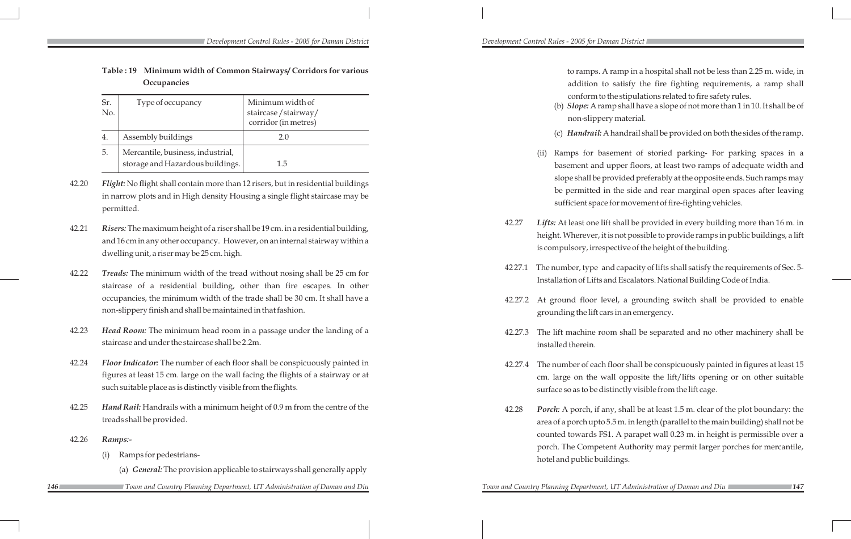to ramps. A ramp in a hospital shall not be less than 2.25 m. wide, in addition to satisfy the fire fighting requirements, a ramp shall conform to the stipulations related to fire safety rules.

(b) *Slope:* A ramp shall have a slope of not more than 1 in 10. It shall be of non-slippery material.

(c) *Handrail:* A handrail shall be provided on both the sides of the ramp.

Ramps for basement of storied parking- For parking spaces in a basement and upper floors, at least two ramps of adequate width and slope shall be provided preferably at the opposite ends. Such ramps may be permitted in the side and rear marginal open spaces after leaving sufficient space for movement of fire-fighting vehicles.

42.27 *Lifts:* At least one lift shall be provided in every building more than 16 m. in height. Wherever, it is not possible to provide ramps in public buildings, a lift is compulsory, irrespective of the height of the building.

42 27.1 The number, type and capacity of lifts shall satisfy the requirements of Sec. 5- Installation of Lifts and Escalators. National Building Code of India.

42.27.2 At ground floor level, a grounding switch shall be provided to enable grounding the lift cars in an emergency.

42.27.3 The lift machine room shall be separated and no other machinery shall be

42.27.4 The number of each floor shall be conspicuously painted in figures at least 15 cm. large on the wall opposite the lift/lifts opening or on other suitable surface so as to be distinctly visible from the lift cage.

- 
- 
- installed therein.
- 
- hotel and public buildings.

*Town and Country Planning Department, UT Administration of Daman and Diu* 

42.28 *Porch:* A porch, if any, shall be at least 1.5 m. clear of the plot boundary: the area of a porch upto 5.5 m. in length (parallel to the main building) shall not be counted towards FS1. A parapet wall 0.23 m. in height is permissible over a porch. The Competent Authority may permit larger porches for mercantile,

| Table: 19 Minimum width of Common Stairways/ Corridors for various |
|--------------------------------------------------------------------|
| Occupancies                                                        |

|            | _ _ _ _ _ _ _ _ _ _ _ _ _                                             |                                                                 |  |
|------------|-----------------------------------------------------------------------|-----------------------------------------------------------------|--|
| Sr.<br>No. | Type of occupancy                                                     | Minimum width of<br>staircase/stairway/<br>corridor (in metres) |  |
| 4.         | Assembly buildings                                                    | 2.0                                                             |  |
| 5.         | Mercantile, business, industrial,<br>storage and Hazardous buildings. | L.5                                                             |  |

- 42.20 *Flight:* No flight shall contain more than 12 risers, but in residential buildings in narrow plots and in High density Housing a single flight staircase may be permitted.
- 42.21 *Risers:*The maximum height of a riser shall be 19 cm. in a residential building, and 16 cm in any other occupancy. However, on an internal stairway within a dwelling unit, a riser may be 25 cm. high.
- 42.22 *Treads:* The minimum width of the tread without nosing shall be 25 cm for staircase of a residential building, other than fire escapes. In other occupancies, the minimum width of the trade shall be 30 cm. It shall have a non-slippery finish and shall be maintained in that fashion.
- 42.23 *Head Room:* The minimum head room in a passage under the landing of a staircase and under the staircase shall be 2.2m.
- 42.24 *Floor Indicator:* The number of each floor shall be conspicuously painted in figures at least 15 cm. large on the wall facing the flights of a stairway or at such suitable place as is distinctly visible from the flights.
- 42.25 *Hand Rail:* Handrails with a minimum height of 0.9 m from the centre of the treads shall be provided.
- 42.26 *Ramps:-*
	- (i) Ramps for pedestrians-
		- (a) *General:*The provision applicable to stairways shall generally apply
		- *Town and Country Planning Department, UT Administration of Daman and Diu Town and Country Planning Department, UT Administration of Daman and Diu*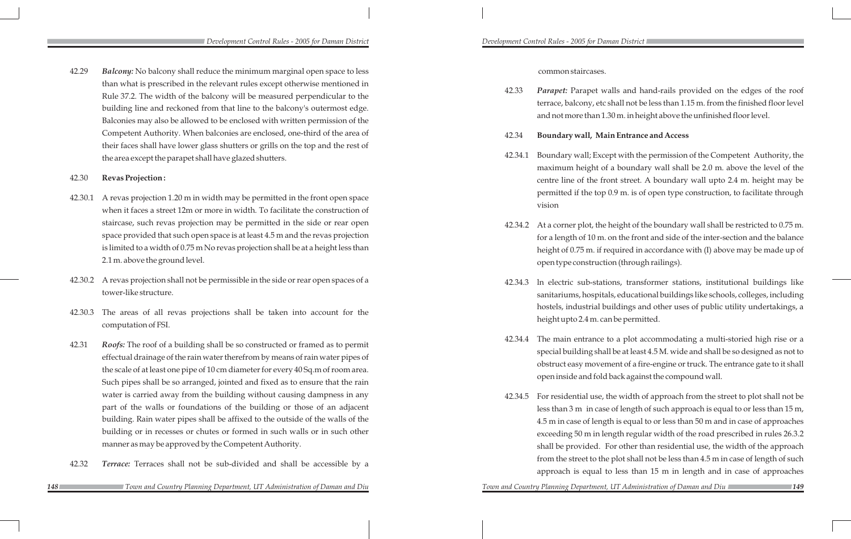42.29 *Balcony:* No balcony shall reduce the minimum marginal open space to less than what is prescribed in the relevant rules except otherwise mentioned in Rule 37.2. The width of the balcony will be measured perpendicular to the building line and reckoned from that line to the balcony's outermost edge. Balconies may also be allowed to be enclosed with written permission of the Competent Authority. When balconies are enclosed, one-third of the area of their faces shall have lower glass shutters or grills on the top and the rest of the area except the parapet shall have glazed shutters.

### 42.30 **Revas Projection :**

- 42.30.1 A revas projection 1.20 m in width may be permitted in the front open space when it faces a street 12m or more in width. To facilitate the construction of staircase, such revas projection may be permitted in the side or rear open space provided that such open space is at least 4.5 m and the revas projection is limited to a width of 0.75 m No revas projection shall be at a height less than 2.1 m. above the ground level.
- 42.30.2 A revas projection shall not be permissible in the side or rear open spaces of a tower-like structure.
- 42.30.3 The areas of all revas projections shall be taken into account for the computation of FSI.
- 42.31 *Roofs:* The roof of a building shall be so constructed or framed as to permit effectual drainage of the rain water therefrom by means of rain water pipes of the scale of at least one pipe of 10 cm diameter for every 40 Sq.m of room area. Such pipes shall be so arranged, jointed and fixed as to ensure that the rain water is carried away from the building without causing dampness in any part of the walls or foundations of the building or those of an adjacent building. Rain water pipes shall be affixed to the outside of the walls of the building or in recesses or chutes or formed in such walls or in such other manner as may be approved by the Competent Authority.
- 42.32 *Terrace:* Terraces shall not be sub-divided and shall be accessible by a

common staircases.

42.33 *Parapet:* Parapet walls and hand-rails provided on the edges of the roof terrace, balcony, etc shall not be less than 1.15 m. from the finished floor level and not more than 1.30 m. in height above the unfinished floor level.

## 42.34 **Boundary wall, Main Entrance and Access**

42.34.1 Boundary wall; Except with the permission of the Competent Authority, the maximum height of a boundary wall shall be 2.0 m. above the level of the centre line of the front street. A boundary wall upto 2.4 m. height may be permitted if the top 0.9 m. is of open type construction, to facilitate through

42.34.2 At a corner plot, the height of the boundary wall shall be restricted to 0.75 m. for a length of 10 m. on the front and side of the inter-section and the balance height of 0.75 m. if required in accordance with (I) above may be made up of open type construction (through railings).

- 
- vision
- 
- height upto 2.4 m. can be permitted.
- 
- 

*Town and Country Planning Department, UT Administration of Daman and Diu* 

42.34.3 ln electric sub-stations, transformer stations, institutional buildings like sanitariums, hospitals, educational buildings like schools, colleges, including hostels, industrial buildings and other uses of public utility undertakings, a

42.34.4 The main entrance to a plot accommodating a multi-storied high rise or a special building shall be at least 4.5 M. wide and shall be so designed as not to obstruct easy movement of a fire-engine or truck. The entrance gate to it shall open inside and fold back against the compound wall.

42.34.5 For residential use, the width of approach from the street to plot shall not be less than 3 m in case of length of such approach is equal to or less than 15 m, 4.5 m in case of length is equal to or less than 50 m and in case of approaches exceeding 50 m in length regular width of the road prescribed in rules 26.3.2

> shall be provided. For other than residential use, the width of the approach from the street to the plot shall not be less than 4.5 m in case of length of such approach is equal to less than 15 m in length and in case of approaches

 *Town and Country Planning Department, UT Administration of Daman and Diu Town and Country Planning Department, UT Administration of Daman and Diu*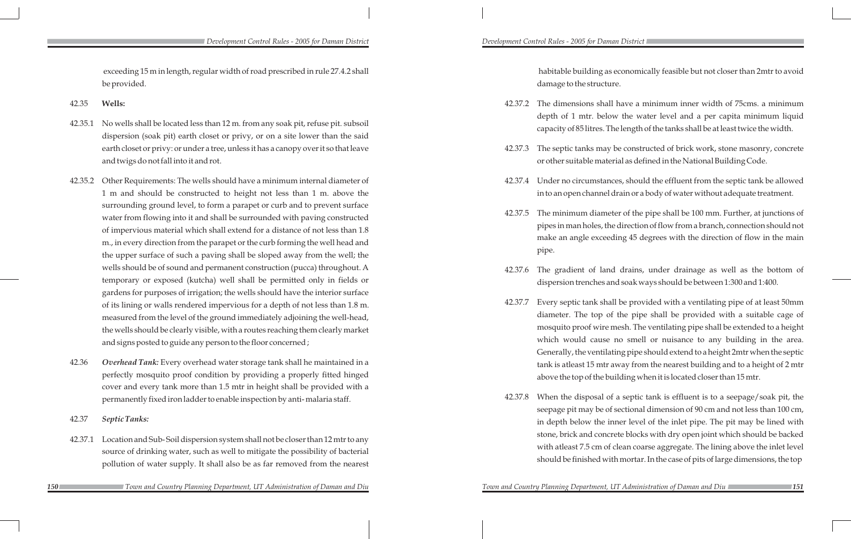habitable building as economically feasible but not closer than 2mtr to avoid damage to the structure.

42.37.2 The dimensions shall have a minimum inner width of 75cms. a minimum depth of 1 mtr. below the water level and a per capita minimum liquid capacity of 85 litres. The length of the tanks shall be at least twice the width.

42.37.3 The septic tanks may be constructed of brick work, stone masonry, concrete or other suitable material as defined in the National Building Code.

42.37.4 Under no circumstances, should the effluent from the septic tank be allowed in to an open channel drain or a body of water without adequate treatment.

42.37.5 The minimum diameter of the pipe shall be 100 mm. Further, at junctions of pipes in man holes, the direction of flow from a branch, connection should not make an angle exceeding 45 degrees with the direction of flow in the main

- 
- 
- 
- pipe.
- 
- 
- 

42.37.6 The gradient of land drains, under drainage as well as the bottom of dispersion trenches and soak ways should be between 1:300 and 1:400.

42.37.7 Every septic tank shall be provided with a ventilating pipe of at least 50mm diameter. The top of the pipe shall be provided with a suitable cage of mosquito proof wire mesh. The ventilating pipe shall be extended to a height which would cause no smell or nuisance to any building in the area. Generally, the ventilating pipe should extend to a height 2mtr when the septic tank is atleast 15 mtr away from the nearest building and to a height of 2 mtr above the top of the building when it is located closer than 15 mtr.

42.37.8 When the disposal of a septic tank is effluent is to a seepage/soak pit, the seepage pit may be of sectional dimension of 90 cm and not less than 100 cm, in depth below the inner level of the inlet pipe. The pit may be lined with stone, brick and concrete blocks with dry open joint which should be backed with atleast 7.5 cm of clean coarse aggregate. The lining above the inlet level should be finished with mortar. In the case of pits of large dimensions, the top

*150 151 Town and Country Planning Department, UT Administration of Daman and Diu Town and Country Planning Department, UT Administration of Daman and Diu*

 exceeding 15 m in length, regular width of road prescribed in rule 27.4.2 shall be provided.

### 42.35 **Wells:**

- 42.35.1 No wells shall be located less than 12 m. from any soak pit, refuse pit. subsoil dispersion (soak pit) earth closet or privy, or on a site lower than the said earth closet or privy: or under a tree, unless it has a canopy over it so that leave and twigs do not fall into it and rot.
- 42.35.2 Other Requirements: The wells should have a minimum internal diameter of 1 m and should be constructed to height not less than 1 m. above the surrounding ground level, to form a parapet or curb and to prevent surface water from flowing into it and shall be surrounded with paving constructed of impervious material which shall extend for a distance of not less than 1.8 m., in every direction from the parapet or the curb forming the well head and the upper surface of such a paving shall be sloped away from the well; the wells should be of sound and permanent construction (pucca) throughout. A temporary or exposed (kutcha) well shall be permitted only in fields or gardens for purposes of irrigation; the wells should have the interior surface of its lining or walls rendered impervious for a depth of not less than 1.8 m. measured from the level of the ground immediately adjoining the well-head, the wells should be clearly visible, with a routes reaching them clearly market and signs posted to guide any person to the floor concerned ;
- 42.36 *Overhead Tank:* Every overhead water storage tank shall he maintained in a perfectly mosquito proof condition by providing a properly fitted hinged cover and every tank more than 1.5 mtr in height shall be provided with a permanently fixed iron ladder to enable inspection by anti- malaria staff.

42.37 *Septic Tanks:*

- 42.37.1 Location and Sub- Soil dispersion system shall not be closer than 12 mtr to any source of drinking water, such as well to mitigate the possibility of bacterial pollution of water supply. It shall also be as far removed from the nearest
	-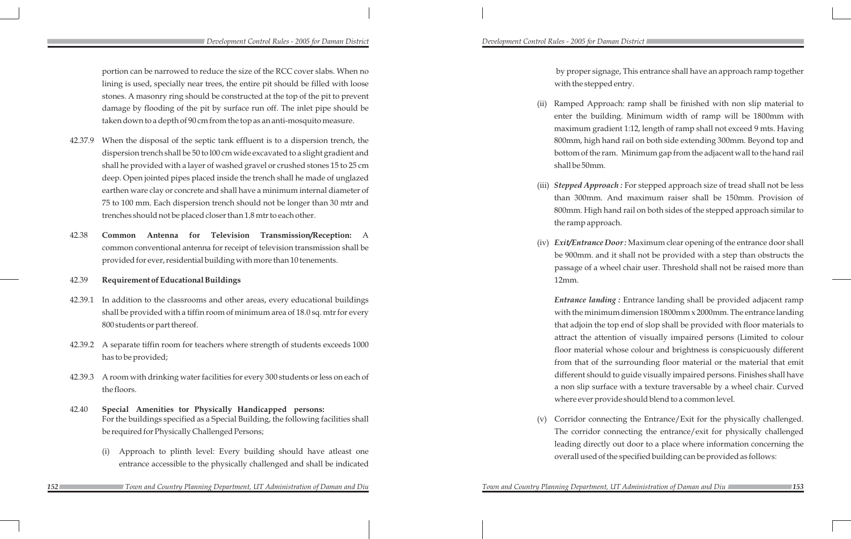portion can be narrowed to reduce the size of the RCC cover slabs. When no lining is used, specially near trees, the entire pit should be filled with loose stones. A masonry ring should be constructed at the top of the pit to prevent damage by flooding of the pit by surface run off. The inlet pipe should be taken down to a depth of 90 cm from the top as an anti-mosquito measure.

- 42.37.9 When the disposal of the septic tank effluent is to a dispersion trench, the dispersion trench shall be 50 to l00 cm wide excavated to a slight gradient and shall he provided with a layer of washed gravel or crushed stones 15 to 25 cm deep. Open jointed pipes placed inside the trench shall he made of unglazed earthen ware clay or concrete and shall have a minimum internal diameter of 75 to 100 mm. Each dispersion trench should not be longer than 30 mtr and trenches should not be placed closer than 1.8 mtr to each other.
- 42.38 **Common Antenna for Television Transmission/Reception:** A common conventional antenna for receipt of television transmission shall be provided for ever, residential building with more than 10 tenements.

### 42.39 **Requirement of Educational Buildings**

Ramped Approach: ramp shall be finished with non slip material to enter the building. Minimum width of ramp will be 1800mm with maximum gradient 1:12, length of ramp shall not exceed 9 mts. Having 800mm, high hand rail on both side extending 300mm. Beyond top and bottom of the ram. Minimum gap from the adjacent wall to the hand rail

(iii) *Stepped Approach* : For stepped approach size of tread shall not be less than 300mm. And maximum raiser shall be 150mm. Provision of 800mm. High hand rail on both sides of the stepped approach similar to

Corridor connecting the Entrance/Exit for the physically challenged. The corridor connecting the entrance/exit for physically challenged leading directly out door to a place where information concerning the overall used of the specified building can be provided as follows:

by proper signage, This entrance shall have an approach ramp together with the stepped entry.

- 42.39.1 In addition to the classrooms and other areas, every educational buildings shall be provided with a tiffin room of minimum area of 18.0 sq. mtr for every 800 students or part thereof.
- 42.39.2 A separate tiffin room for teachers where strength of students exceeds 1000 has to be provided;
- 42.39.3 A room with drinking water facilities for every 300 students or less on each of the floors.
- 42.40 **Special Amenities tor Physically Handicapped persons:** For the buildings specified as a Special Building, the following facilities shall be required for Physically Challenged Persons;
	- (i) Approach to plinth level: Every building should have atleast one entrance accessible to the physically challenged and shall be indicated
- *152 153 Town and Country Planning Department, UT Administration of Daman and Diu Town and Country Planning Department, UT Administration of Daman and Diu*

- shall be 50mm.
- the ramp approach.
- 12mm.

(iv) *Exit/Entrance Door :* Maximum clear opening of the entrance door shall be 900mm. and it shall not be provided with a step than obstructs the passage of a wheel chair user. Threshold shall not be raised more than

*Entrance landing :* Entrance landing shall be provided adjacent ramp with the minimum dimension 1800mm x 2000mm. The entrance landing that adjoin the top end of slop shall be provided with floor materials to attract the attention of visually impaired persons (Limited to colour floor material whose colour and brightness is conspicuously different from that of the surrounding floor material or the material that emit different should to guide visually impaired persons. Finishes shall have a non slip surface with a texture traversable by a wheel chair. Curved where ever provide should blend to a common level.

### *Development Control Rules - 2005 for Daman District Development Control Rules - 2005 for Daman District*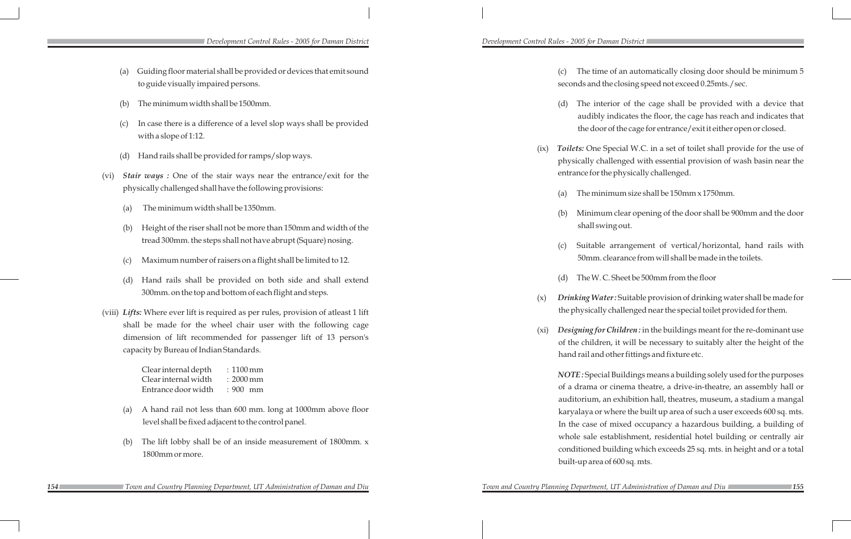(x) *Drinking Water :* Suitable provision of drinking water shall be made for challenged near the special toilet provided for them.

Children: in the buildings meant for the re-dominant use n, it will be necessary to suitably alter the height of the other fittings and fixture etc.

**Buildings means a building solely used for the purposes** cinema theatre, a drive-in-theatre, an assembly hall or exhibition hall, theatres, museum, a stadium a mangal there the built up area of such a user exceeds 600 sq. mts. mixed occupancy a hazardous building, a building of tablishment, residential hotel building or centrally air uilding which exceeds 25 sq. mts. in height and or a total  $f 600$  sq. mts.

of an automatically closing door should be minimum 5 e closing speed not exceed 0.25mts./sec.

rior of the cage shall be provided with a device that indicates the floor, the cage has reach and indicates that of the cage for entrance/exit it either open or closed.

pecial W.C. in a set of toilet shall provide for the use of llenged with essential provision of wash basin near the ephysically challenged.

mum size shall be 150mm x 1750mm.

m clear opening of the door shall be 900mm and the door ng out.

arrangement of vertical/horizontal, hand rails with earance from will shall be made in the toilets.

. Sheet be 500mm from the floor

*Development Control Rules - 2005 for Daman District Development Control Rules - 2005 for Daman District* 

|      | (a) | Guiding floor material shall be provided or devices that emit sound<br>to guide visually impaired persons.                                                                   |      | The time<br>(c)<br>seconds and the               |
|------|-----|------------------------------------------------------------------------------------------------------------------------------------------------------------------------------|------|--------------------------------------------------|
|      | (b) | The minimum width shall be 1500mm.                                                                                                                                           |      | The inter<br>(d)                                 |
|      | (c) | In case there is a difference of a level slop ways shall be provided<br>with a slope of 1:12.                                                                                |      | audibly in<br>the door o                         |
|      | (d) | Hand rails shall be provided for ramps/slop ways.                                                                                                                            | (ix) | Toilets: One Sp<br>physically chal               |
| (vi) |     | Stair ways : One of the stair ways near the entrance/exit for the                                                                                                            |      | entrance for the                                 |
|      |     | physically challenged shall have the following provisions:                                                                                                                   |      | The minir<br>(a)                                 |
|      | (a) | The minimum width shall be 1350mm.                                                                                                                                           |      | Minimun<br>(b)                                   |
|      | (b) | Height of the riser shall not be more than 150mm and width of the                                                                                                            |      | shall swir                                       |
|      |     | tread 300mm. the steps shall not have abrupt (Square) nosing.                                                                                                                |      | Suitable<br>(c)                                  |
|      | (c) | Maximum number of raisers on a flight shall be limited to 12.                                                                                                                |      | 50mm.cl                                          |
|      | (d) | Hand rails shall be provided on both side and shall extend                                                                                                                   |      | The W.C.<br>(d)                                  |
|      |     | 300mm. on the top and bottom of each flight and steps.                                                                                                                       | (x)  | <b>Drinking Wate</b>                             |
|      |     | (viii) Lifts: Where ever lift is required as per rules, provision of atleast 1 lift                                                                                          |      | the physically o                                 |
|      |     | shall be made for the wheel chair user with the following cage<br>dimension of lift recommended for passenger lift of 13 person's<br>capacity by Bureau of Indian Standards. | (xi) | Designing for C<br>of the children               |
|      |     |                                                                                                                                                                              |      | hand rail and o                                  |
|      |     | Clear internal depth<br>$:1100 \,\mathrm{mm}$<br>Clear internal width<br>$: 2000$ mm<br>Entrance door width<br>: 900 mm                                                      |      | NOTE: Special<br>of a drama or<br>auditorium, an |
|      | (a) | A hand rail not less than 600 mm. long at 1000mm above floor                                                                                                                 |      | karyalaya or w                                   |
|      |     | level shall be fixed adjacent to the control panel.                                                                                                                          |      | In the case of                                   |
|      | (b) | The lift lobby shall be of an inside measurement of $1800$ mm. x                                                                                                             |      | whole sale est                                   |
|      |     | 1800mm or more.                                                                                                                                                              |      | conditioned bu<br>built-up area of               |
|      |     |                                                                                                                                                                              |      |                                                  |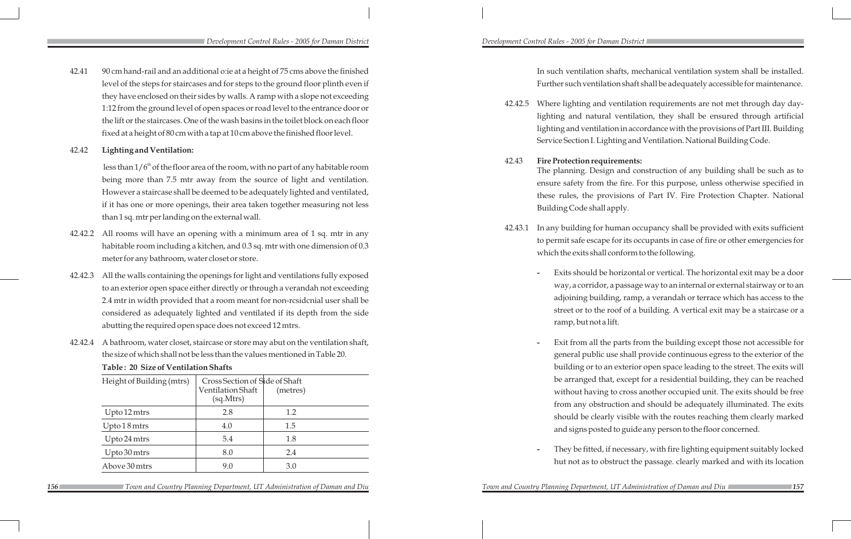- 42.41 90 cm hand-rail and an additional o:ie at a height of 75 cms above the finished level of the steps for staircases and for steps to the ground floor plinth even if they have enclosed on their sides by walls. A ramp with a slope not exceeding 1:12 from the ground level of open spaces or road level to the entrance door or the lift or the staircases. One of the wash basins in the toilet block on each floor fixed at a height of 80 cm with a tap at 10 cm above the finished floor level.
- 42.42 **Lighting and Ventilation:**

less than  $1/6<sup>th</sup>$  of the floor area of the room, with no part of any habitable room being more than 7.5 mtr away from the source of light and ventilation. However a staircase shall be deemed to be adequately lighted and ventilated, if it has one or more openings, their area taken together measuring not less than 1 sq. mtr per landing on the external wall.

- 42.42.2 All rooms will have an opening with a minimum area of 1 sq. mtr in any habitable room including a kitchen, and 0.3 sq. mtr with one dimension of 0.3 meter for any bathroom, water closet or store.
- 42.42.3 All the walls containing the openings for light and ventilations fully exposed to an exterior open space either directly or through a verandah not exceeding 2.4 mtr in width provided that a room meant for non-rcsidcnial user shall be considered as adequately lighted and ventilated if its depth from the side abutting the required open space does not exceed 12 mtrs.
- 42.42.4 A bathroom, water closet, staircase or store may abut on the ventilation shaft, the size of which shall not be less than the values mentioned in Table 20.

**Table : 20 Size of Ventilation Shafts**

| Height of Building (mtrs) | Cross Section of Side of Shaft<br>Ventilation Shaft<br>(sq.Mtrs) | (metres) |
|---------------------------|------------------------------------------------------------------|----------|
| Upto 12 mtrs              | 2.8                                                              | 1.2      |
| Upto 18 mtrs              | 4.0                                                              | 1.5      |
| Upto 24 mtrs              | 5.4                                                              | 1.8      |
| Upto 30 mtrs              | 8.0                                                              | 2.4      |
| Above 30 mtrs             | 9.0                                                              | 3.0      |

 In such ventilation shafts, mechanical ventilation system shall be installed. Further such ventilation shaft shall be adequately accessible for maintenance.

**156** Town and Country Planning Department, UT Administration of Daman and Diu Town and Country Planning Department, UT Administration of Daman and Diu 157  *Town and Country Planning Department, UT Administration of Daman and Diu Town and Country Planning Department, UT Administration of Daman and Diu*

42.42.5 Where lighting and ventilation requirements are not met through day daylighting and natural ventilation, they shall be ensured through artificial lighting and ventilation in accordance with the provisions of Part III. Building Service Section I. Lighting and Ventilation. National Building Code.

The planning. Design and construction of any building shall be such as to ensure safety from the fire. For this purpose, unless otherwise specified in these rules, the provisions of Part IV. Fire Protection Chapter. National

42.43.1 In any building for human occupancy shall be provided with exits sufficient to permit safe escape for its occupants in case of fire or other emergencies for which the exits shall conform to the following.

- 
- 42.43 **Fire Protection requirements:** Building Code shall apply.
- - ramp, but not a lift.
	-

**-** Exits should be horizontal or vertical. The horizontal exit may be a door way, a corridor, a passage way to an internal or external stairway or to an adjoining building, ramp, a verandah or terrace which has access to the street or to the roof of a building. A vertical exit may be a staircase or a

**-** Exit from all the parts from the building except those not accessible for general public use shall provide continuous egress to the exterior of the building or to an exterior open space leading to the street. The exits will be arranged that, except for a residential building, they can be reached without having to cross another occupied unit. The exits should be free from any obstruction and should be adequately illuminated. The exits should be clearly visible with the routes reaching them clearly marked and signs posted to guide any person to the floor concerned.

**-** They be fitted, if necessary, with fire lighting equipment suitably locked hut not as to obstruct the passage. clearly marked and with its location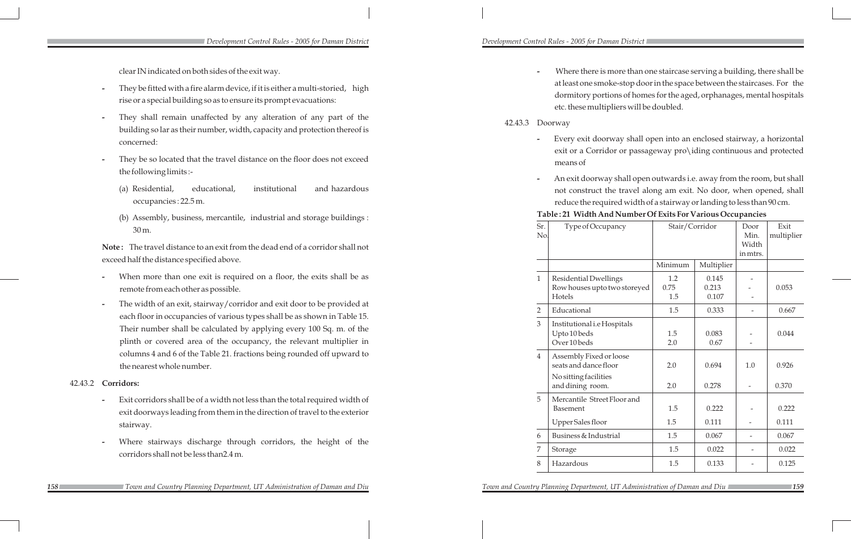**-** Where there is more than one staircase serving a building, there shall be at least one smoke-stop door in the space between the staircases. For the dormitory portions of homes for the aged, orphanages, mental hospitals etc. these multipliers will be doubled.

### 42.43.3 Doorway

**-** Every exit doorway shall open into an enclosed stairway, a horizontal exit or a Corridor or passageway pro\iding continuous and protected

- means of
- 

### Table: 21 Width A

**-** An exit doorway shall open outwards i.e. away from the room, but shall not construct the travel along am exit. No door, when opened, shall reduce the required width of a stairway or landing to less than 90 cm.

| <b>And Number Of Exits For Various Occupancies</b> |  |  |
|----------------------------------------------------|--|--|
|----------------------------------------------------|--|--|

| Sr.<br>No.     | Type of Occupancy                                                      | Stair/Corridor     |                         | Door<br>Min.<br>Width<br>in mtrs. | Exit<br>multiplier |
|----------------|------------------------------------------------------------------------|--------------------|-------------------------|-----------------------------------|--------------------|
|                |                                                                        | Minimum            | Multiplier              |                                   |                    |
| $\mathbf{1}$   | <b>Residential Dwellings</b><br>Row houses upto two storeyed<br>Hotels | 1.2<br>0.75<br>1.5 | 0.145<br>0.213<br>0.107 |                                   | 0.053              |
| $\overline{2}$ | Educational                                                            | 1.5                | 0.333                   |                                   | 0.667              |
| 3              | Institutional i.e Hospitals<br>Upto 10 beds<br>Over 10 beds            | 1.5<br>2.0         | 0.083<br>0.67           |                                   | 0.044              |
| $\overline{4}$ | Assembly Fixed or loose<br>seats and dance floor                       | 2.0                | 0.694                   | 1.0                               | 0.926              |
|                | No sitting facilities<br>and dining room.                              | 2.0                | 0.278                   |                                   | 0.370              |
| 5              | Mercantile Street Floor and<br><b>Basement</b>                         | 1.5                | 0.222                   |                                   | 0.222              |
|                | Upper Sales floor                                                      | 1.5                | 0.111                   |                                   | 0.111              |
| 6              | Business & Industrial                                                  | 1.5                | 0.067                   |                                   | 0.067              |
| 7              | Storage                                                                | 1.5                | 0.022                   |                                   | 0.022              |
| 8              | Hazardous                                                              | 1.5                | 0.133                   |                                   | 0.125              |

- When more than one exit is required on a floor, the exits shall be as remote from each other as possible.
- **-** The width of an exit, stairway/corridor and exit door to be provided at each floor in occupancies of various types shall be as shown in Table 15. Their number shall be calculated by applying every 100 Sq. m. of the plinth or covered area of the occupancy, the relevant multiplier in columns 4 and 6 of the Table 21. fractions being rounded off upward to the nearest whole number.

clear IN indicated on both sides of the exit way.

- **-** They be fitted with a fire alarm device, if it is either a multi- storied, high rise or a special building so as to ensure its prompt evacuations:
- **-** They shall remain unaffected by any alteration of any part of the building so lar as their number, width, capacity and protection thereof is concerned:
- **-** They be so located that the travel distance on the floor does not exceed the following limits :-
	- (a) Residential, educational, institutional and hazardous occupancies : 22.5 m.
	- (b) Assembly, business, mercantile, industrial and storage buildings : 30 m.

**Note :** The travel distance to an exit from the dead end of a corridor shall not exceed half the distance specified above.

### 42.43.2 **Corridors:**

- **-** Exit corridors shall be of a width not less than the total required width of exit doorways leading from them in the direction of travel to the exterior stairway.
- **-** Where stairways discharge through corridors, the height of the corridors shall not be less than2.4 m.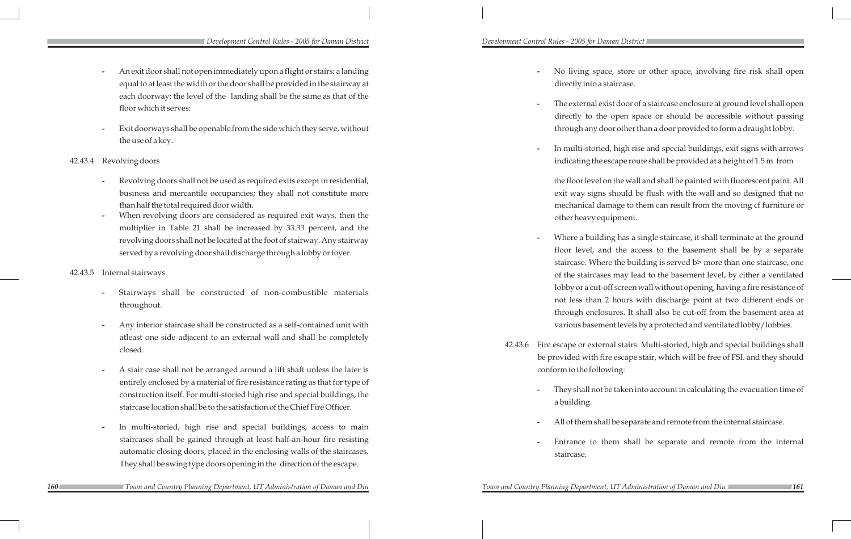- **-** An exit door shall not open immediately upon a flight or stairs: a landing equal to at least the width or the door shall be provided in the stairway at each doorway: the level of the landing shall be the same as that of the floor which it serves:
- **-** Exit doorways shall be openable from the side which they serve, without the use of a key.
- 42.43.4 Revolving doors
	- **-** Revolving doors shall not be used as required exits except in residential, business and mercantile occupancies; they shall not constitute more than half the total required door width.
	- **-** When revolving doors are considered as required exit ways, then the multiplier in Table 21 shall be increased by 33.33 percent, and the revolving doors shall not be located at the foot of stairway. Any stairway served by a revolving door shall discharge through a lobby or foyer.
- 42.43.5 Internal stairways
	- **-** Stairways shall be constructed of non-combustible materials throughout.
	- **-** Any interior staircase shall be constructed as a self-contained unit with atleast one side adjacent to an external wall and shall be completely closed.
	- **-** A stair case shall not be arranged around a lift shaft unless the later is entirely enclosed by a material of fire resistance rating as that for type of construction itself. For multi-storied high rise and special buildings, the staircase location shall be to the satisfaction of the Chief Fire Officer.
	- In multi-storied, high rise and special buildings, access to main staircases shall be gained through at least half-an-hour fire resisting automatic closing doors, placed in the enclosing walls of the staircases. They shall be swing type doors opening in the direction of the escape.

**-** No living space, store or other space, involving fire risk shall open

*160 161 Town and Country Planning Department, UT Administration of Daman and Diu Town and Country Planning Department, UT Administration of Daman and Diu*

**-** The external exist door of a staircase enclosure at ground level shall open directly to the open space or should be accessible without passing through any door other than a door provided to form a draught lobby.

**-** In multi-storied, high rise and special buildings, exit signs with arrows indicating the escape route shall be provided at a height of 1.5 m. from

the floor level on the wall and shall be painted with fluorescent paint. All exit way signs should be flush with the wall and so designed that no mechanical damage to them can result from the moving cf furniture or

- directly into a staircase.
- 
- - other heavy equipment.
- 
- conform to the following:
	- a building.
	-
	- staircase.

**-** Where a building has a single staircase, it shall terminate at the ground floor level, and the access to the basement shall be by a separate staircase. Where the building is served b> more than one staircase, one of the staircases may lead to the basement level, by cither a ventilated lobby or a cut-off screen wall without opening, having a fire resistance of not less than 2 hours with discharge point at two different ends or through enclosures. It shall also be cut-off from the basement area at various basement levels by a protected and ventilated lobby/lobbies.

42.43.6 Fire escape or external stairs: Multi-storied, high and special buildings shall be provided with fire escape stair, which will be free of FSI. and they should

**-** They shall not be taken into account in calculating the evacuation time of

**-** All of them shall be separate and remote from the internal staircase.

**-** Entrance to them shall be separate and remote from the internal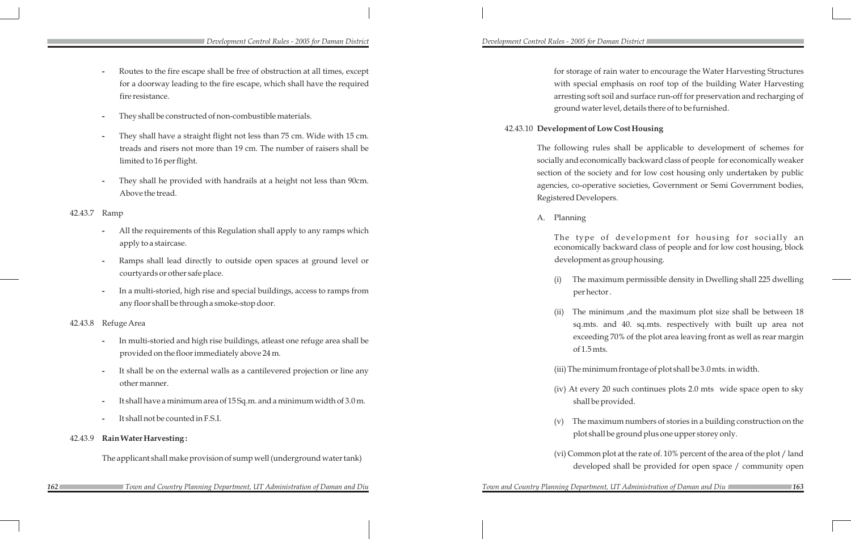for storage of rain water to encourage the Water Harvesting Structures with special emphasis on roof top of the building Water Harvesting arresting soft soil and surface run-off for preservation and recharging of ground water level, details there of to be furnished.

## 42.43.10 **Development of Low Cost Housing**

The following rules shall be applicable to development of schemes for socially and economically backward class of people for economically weaker section of the society and for low cost housing only undertaken by public agencies, co-operative societies, Government or Semi Government bodies, Registered Developers.

A. Planning

The type of development for housing for socially an economically backward class of people and for low cost housing, block development as group housing.

(i) The maximum permissible density in Dwelling shall 225 dwelling

per hector .

(ii) The minimum ,and the maximum plot size shall be between 18

sq.mts. and 40. sq.mts. respectively with built up area not exceeding 70% of the plot area leaving front as well as rear margin of 1.5 mts.

(iii) The minimum frontage of plot shall be 3.0 mts. in width.

(iv) At every 20 such continues plots 2.0 mts wide space open to sky shall be provided.

(v) The maximum numbers of stories in a building construction on the plot shall be ground plus one upper storey only.

(vi) Common plot at the rate of. 10% percent of the area of the plot / land developed shall be provided for open space / community open

*162 163 Town and Country Planning Department, UT Administration of Daman and Diu Town and Country Planning Department, UT Administration of Daman and Diu*

*Development Control Rules - 2005 for Daman District Development Control Rules - 2005 for Daman District* 

- **-** Routes to the fire escape shall be free of obstruction at all times, except for a doorway leading to the fire escape, which shall have the required fire resistance.
- **-** They shall be constructed of non-combustible materials.
- **-** They shall have a straight flight not less than 75 cm. Wide with 15 cm. treads and risers not more than 19 cm. The number of raisers shall be limited to 16 per flight.
- **-** They shall he provided with handrails at a height not less than 90cm. Above the tread.

## 42.43.7 Ramp

- **-** All the requirements of this Regulation shall apply to any ramps which apply to a staircase.
- **-** Ramps shall lead directly to outside open spaces at ground level or courtyards or other safe place.
- **-** In a multi-storied, high rise and special buildings, access to ramps from any floor shall be through a smoke-stop door.

### 42.43.8 Refuge Area

- **-** In multi-storied and high rise buildings, atleast one refuge area shall be provided on the floor immediately above 24 m.
- **-** It shall be on the external walls as a cantilevered projection or line any other manner.
- **-** It shall have a minimum area of 15 Sq.m. and a minimum width of 3.0 m.
- **-** It shall not be counted in F.S.I.

## 42.43.9 **Rain Water Harvesting :**

The applicant shall make provision of sump well (underground water tank)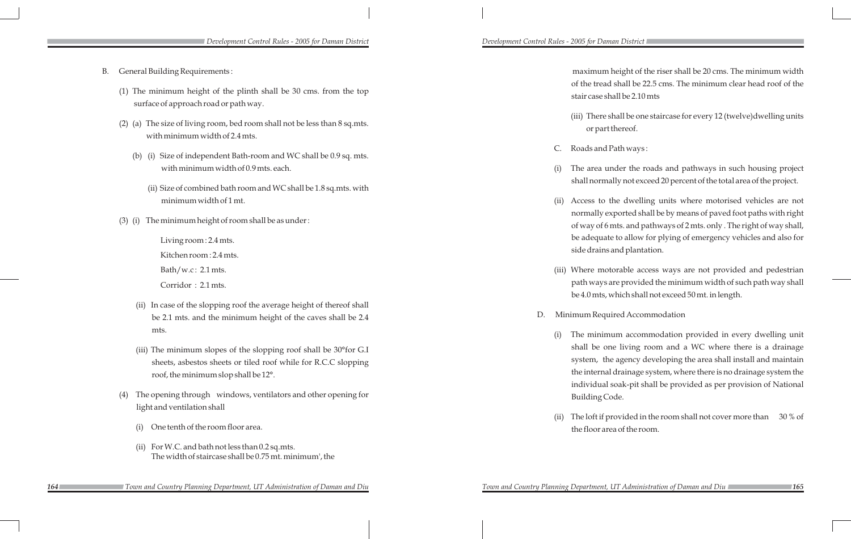| B. |  | General Building Requirements: |
|----|--|--------------------------------|
|----|--|--------------------------------|

- (1) The minimum height of the plinth shall be 30 cms. from the top surface of approach road or path way.
- (2) (a) The size of living room, bed room shall not be less than 8 sq.mts. with minimum width of 2.4 mts.
	- (b) (i) Size of independent Bath-room and WC shall be 0.9 sq. mts. with minimum width of 0.9 mts. each.
		- (ii) Size of combined bath room and WC shall be 1.8 sq.mts. with minimum width of 1 mt.
- (3) (i) The minimum height of room shall be as under :

Living room : 2.4 mts. Kitchen room : 2.4 mts.

Bath/w.c : 2.1 mts.

Corridor : 2.1 mts.

- (ii) In case of the slopping roof the average height of thereof shall be 2.1 mts. and the minimum height of the caves shall be 2.4 mts.
- (iii) The minimum slopes of the slopping roof shall be 30°for G.I sheets, asbestos sheets or tiled roof while for R.C.C slopping roof, the minimum slop shall be 12°.
- (4) The opening through windows, ventilators and other opening for light and ventilation shall
	- (i) One tenth of the room floor area.
	- (ii) For W.C. and bath not less than 0.2 sq.mts. The width of staircase shall be 0.75 mt. minimum', the

maximum height of the riser shall be 20 cms. The minimum width of the tread shall be 22.5 cms. The minimum clear head roof of the stair case shall be 2.10 mts

(iii) There shall be one staircase for every 12 (twelve)dwelling units or part thereof.

C. Roads and Path ways :

(i) The area under the roads and pathways in such housing project shall normally not exceed 20 percent of the total area of the project.

(ii) Access to the dwelling units where motorised vehicles are not normally exported shall be by means of paved foot paths with right of way of 6 mts. and pathways of 2 mts. only . The right of way shall, be adequate to allow for plying of emergency vehicles and also for side drains and plantation.

(iii) Where motorable access ways are not provided and pedestrian path ways are provided the minimum width of such path way shall be 4.0 mts, which shall not exceed 50 mt. in length.

D. Minimum Required Accommodation

(i) The minimum accommodation provided in every dwelling unit shall be one living room and a WC where there is a drainage system, the agency developing the area shall install and maintain the internal drainage system, where there is no drainage system the individual soak-pit shall be provided as per provision of National Building Code.

(ii) The loft if provided in the room shall not cover more than 30 % of the floor area of the room.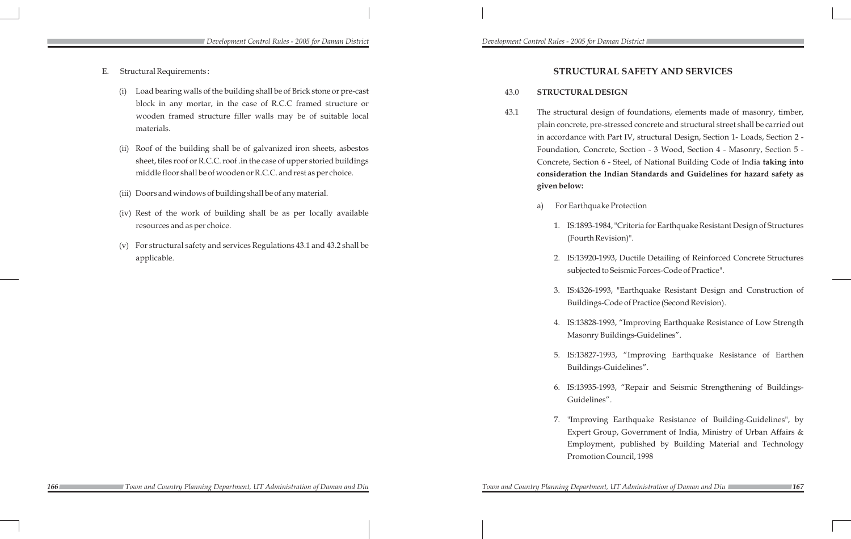## **STRUCTURAL SAFETY AND SERVICES**

## 43.0 **STRUCTURAL DESIGN**

43.1 The structural design of foundations, elements made of masonry, timber, plain concrete, pre-stressed concrete and structural street shall be carried out in accordance with Part IV, structural Design, Section 1- Loads, Section 2 - Foundation, Concrete, Section - 3 Wood, Section 4 - Masonry, Section 5 - Concrete, Section 6 - Steel, of National Building Code of India **taking into consideration the Indian Standards and Guidelines for hazard safety as** 

1. IS:1893-1984, "Criteria for Earthquake Resistant Design of Structures (Fourth Revision)".

2. IS:13920-1993, Ductile Detailing of Reinforced Concrete Structures subjected to Seismic Forces-Code of Practice".

3. IS:4326-1993, "Earthquake Resistant Design and Construction of Buildings-Code of Practice (Second Revision).

- **given below:**
- a) For Earthquake Protection
	-
	-
	-
	-
	-
	- Guidelines".
	-

4. IS:13828-1993, "Improving Earthquake Resistance of Low Strength Masonry Buildings-Guidelines".

5. IS:13827-1993, "Improving Earthquake Resistance of Earthen Buildings-Guidelines".

6. IS:13935-1993, "Repair and Seismic Strengthening of Buildings-

7. "Improving Earthquake Resistance of Building-Guidelines", by Expert Group, Government of India, Ministry of Urban Affairs & Employment, published by Building Material and Technology Promotion Council, 1998

- E. Structural Requirements :
	- (i) Load bearing walls of the building shall be of Brick stone or pre-cast block in any mortar, in the case of R.C.C framed structure or wooden framed structure filler walls may be of suitable local materials.
	- (ii) Roof of the building shall be of galvanized iron sheets, asbestos sheet, tiles roof or R.C.C. roof .in the case of upper storied buildings middle floor shall be of wooden or R.C.C. and rest as per choice.
	- (iii) Doors and windows of building shall be of any material.
	- (iv) Rest of the work of building shall be as per locally available resources and as per choice.
	- (v) For structural safety and services Regulations 43.1 and 43.2 shall be applicable.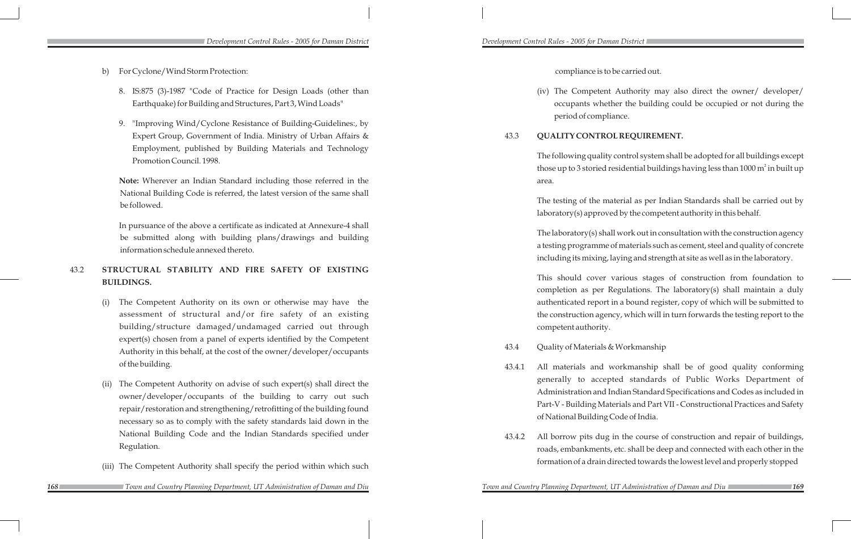compliance is to be carried out.

(iv) The Competent Authority may also direct the owner/ developer/ occupants whether the building could be occupied or not during the period of compliance.

43.3 **QUALITY CONTROL REQUIREMENT.**

The following quality control system shall be adopted for all buildings except those up to 3 storied residential buildings having less than 1000  $m^2$  in built up area.

The testing of the material as per Indian Standards shall be carried out by laboratory(s) approved by the competent authority in this behalf.

The laboratory(s) shall work out in consultation with the construction agency a testing programme of materials such as cement, steel and quality of concrete including its mixing, laying and strength at site as well as in the laboratory.

This should cover various stages of construction from foundation to completion as per Regulations. The laboratory(s) shall maintain a duly authenticated report in a bound register, copy of which will be submitted to the construction agency, which will in turn forwards the testing report to the competent authority.

43.4 Quality of Materials & Workmanship

43.4.1 All materials and workmanship shall be of good quality conforming generally to accepted standards of Public Works Department of Administration and Indian Standard Specifications and Codes as included in Part-V - Building Materials and Part VII - Constructional Practices and Safety

- of National Building Code of India.
- 

*Town and Country Planning Department, UT Administration of Daman and Diu* 

43.4.2 All borrow pits dug in the course of construction and repair of buildings, roads, embankments, etc. shall be deep and connected with each other in the formation of a drain directed towards the lowest level and properly stopped

- b) For Cyclone/Wind Storm Protection:
	- 8. IS:875 (3)-1987 "Code of Practice for Design Loads (other than Earthquake) for Building and Structures, Part 3, Wind Loads"
	- 9. "Improving Wind/Cyclone Resistance of Building-Guidelines:, by Expert Group, Government of India. Ministry of Urban Affairs & Employment, published by Building Materials and Technology Promotion Council. 1998.

**Note:** Wherever an Indian Standard including those referred in the National Building Code is referred, the latest version of the same shall be followed.

In pursuance of the above a certificate as indicated at Annexure-4 shall be submitted along with building plans/drawings and building information schedule annexed thereto.

## 43.2 **STRUCTURAL STABILITY AND FIRE SAFETY OF EXISTING BUILDINGS.**

- (i) The Competent Authority on its own or otherwise may have the assessment of structural and/or fire safety of an existing building/structure damaged/undamaged carried out through expert(s) chosen from a panel of experts identified by the Competent Authority in this behalf, at the cost of the owner/developer/occupants of the building.
- (ii) The Competent Authority on advise of such expert(s) shall direct the owner/developer/occupants of the building to carry out such repair/restoration and strengthening/retrofitting of the building found necessary so as to comply with the safety standards laid down in the National Building Code and the Indian Standards specified under Regulation.
- (iii) The Competent Authority shall specify the period within which such

 *Town and Country Planning Department, UT Administration of Daman and Diu Town and Country Planning Department, UT Administration of Daman and Diu*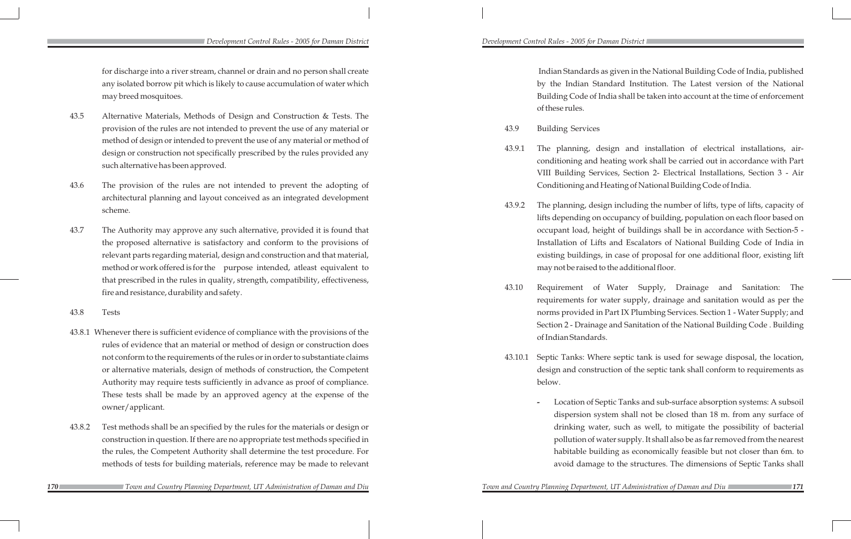### *Development Control Rules - 2005 for Daman District Development Control Rules - 2005 for Daman District*

Indian Standards as given in the National Building Code of India, published by the Indian Standard Institution. The Latest version of the National Building Code of India shall be taken into account at the time of enforcement of these rules.

43.9.1 The planning, design and installation of electrical installations, airconditioning and heating work shall be carried out in accordance with Part VIII Building Services, Section 2- Electrical Installations, Section 3 - Air Conditioning and Heating of National Building Code of India.

43.9.2 The planning, design including the number of lifts, type of lifts, capacity of lifts depending on occupancy of building, population on each floor based on occupant load, height of buildings shall be in accordance with Section-5 - Installation of Lifts and Escalators of National Building Code of India in existing buildings, in case of proposal for one additional floor, existing lift may not be raised to the additional floor.

- 43.9 Building Services
	-
	-
	- of Indian Standards.
- below.
	-

43.10 Requirement of Water Supply, Drainage and Sanitation: The requirements for water supply, drainage and sanitation would as per the norms provided in Part IX Plumbing Services. Section 1 - Water Supply; and Section 2 - Drainage and Sanitation of the National Building Code . Building

43.10.1 Septic Tanks: Where septic tank is used for sewage disposal, the location, design and construction of the septic tank shall conform to requirements as

> **-** Location of Septic Tanks and sub-surface absorption systems: A subsoil dispersion system shall not be closed than 18 m. from any surface of drinking water, such as well, to mitigate the possibility of bacterial pollution of water supply. It shall also be as far removed from the nearest habitable building as economically feasible but not closer than 6m. to avoid damage to the structures. The dimensions of Septic Tanks shall

*170 171 Town and Country Planning Department, UT Administration of Daman and Diu Town and Country Planning Department, UT Administration of Daman and Diu*

 for discharge into a river stream, channel or drain and no person shall create any isolated borrow pit which is likely to cause accumulation of water which may breed mosquitoes.

- 43.5 Alternative Materials, Methods of Design and Construction & Tests. The provision of the rules are not intended to prevent the use of any material or method of design or intended to prevent the use of any material or method of design or construction not specifically prescribed by the rules provided any such alternative has been approved.
- 43.6 The provision of the rules are not intended to prevent the adopting of architectural planning and layout conceived as an integrated development scheme.
- 43.7 The Authority may approve any such alternative, provided it is found that the proposed alternative is satisfactory and conform to the provisions of relevant parts regarding material, design and construction and that material, method or work offered is for the purpose intended, atleast equivalent to that prescribed in the rules in quality, strength, compatibility, effectiveness, fire and resistance, durability and safety.
- 43.8 Tests
- 43.8.1 Whenever there is sufficient evidence of compliance with the provisions of the rules of evidence that an material or method of design or construction does not conform to the requirements of the rules or in order to substantiate claims or alternative materials, design of methods of construction, the Competent Authority may require tests sufficiently in advance as proof of compliance. These tests shall be made by an approved agency at the expense of the owner/applicant.
- 43.8.2 Test methods shall be an specified by the rules for the materials or design or construction in question. If there are no appropriate test methods specified in the rules, the Competent Authority shall determine the test procedure. For methods of tests for building materials, reference may be made to relevant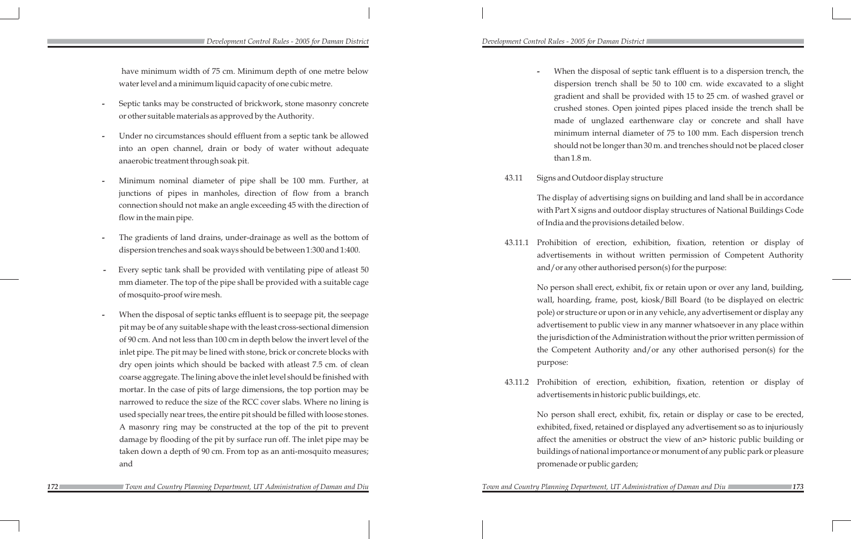**-** When the disposal of septic tank effluent is to a dispersion trench, the dispersion trench shall be 50 to 100 cm. wide excavated to a slight gradient and shall be provided with 15 to 25 cm. of washed gravel or crushed stones. Open jointed pipes placed inside the trench shall be made of unglazed earthenware clay or concrete and shall have minimum internal diameter of 75 to 100 mm. Each dispersion trench should not be longer than 30 m. and trenches should not be placed closer

- than 1.8 m.
- 43.11 Signs and Outdoor display structure

The display of advertising signs on building and land shall be in accordance with Part X signs and outdoor display structures of National Buildings Code of India and the provisions detailed below.

43.11.1 Prohibition of erection, exhibition, fixation, retention or display of advertisements in without written permission of Competent Authority and/or any other authorised person(s) for the purpose:

> No person shall erect, exhibit, fix or retain upon or over any land, building, wall, hoarding, frame, post, kiosk/Bill Board (to be displayed on electric pole) or structure or upon or in any vehicle, any advertisement or display any advertisement to public view in any manner whatsoever in any place within the jurisdiction of the Administration without the prior written permission of the Competent Authority and/or any other authorised person(s) for the purpose:

43.11.2 Prohibition of erection, exhibition, fixation, retention or display of advertisements in historic public buildings, etc.

No person shall erect, exhibit, fix, retain or display or case to be erected, exhibited, fixed, retained or displayed any advertisement so as to injuriously affect the amenities or obstruct the view of an> historic public building or buildings of national importance or monument of any public park or pleasure promenade or public garden;

### *Development Control Rules - 2005 for Daman District Development Control Rules - 2005 for Daman District*

*172 173 Town and Country Planning Department, UT Administration of Daman and Diu Town and Country Planning Department, UT Administration of Daman and Diu*

have minimum width of 75 cm. Minimum depth of one metre below water level and a minimum liquid capacity of one cubic metre.

- **-** Septic tanks may be constructed of brickwork, stone masonry concrete or other suitable materials as approved by the Authority.
- **-** Under no circumstances should effluent from a septic tank be allowed into an open channel, drain or body of water without adequate anaerobic treatment through soak pit.
- **-** Minimum nominal diameter of pipe shall be 100 mm. Further, at junctions of pipes in manholes, direction of flow from a branch connection should not make an angle exceeding 45 with the direction of flow in the main pipe.
- **-** The gradients of land drains, under-drainage as well as the bottom of dispersion trenches and soak ways should be between 1:300 and 1:400.
- **-** Every septic tank shall be provided with ventilating pipe of atleast 50 mm diameter. The top of the pipe shall be provided with a suitable cage of mosquito-proof wire mesh.
- **-** When the disposal of septic tanks effluent is to seepage pit, the seepage pit may be of any suitable shape with the least cross-sectional dimension of 90 cm. And not less than 100 cm in depth below the invert level of the inlet pipe. The pit may be lined with stone, brick or concrete blocks with dry open joints which should be backed with atleast 7.5 cm. of clean coarse aggregate. The lining above the inlet level should be finished with mortar. In the case of pits of large dimensions, the top portion may be narrowed to reduce the size of the RCC cover slabs. Where no lining is used specially near trees, the entire pit should be filled with loose stones. A masonry ring may be constructed at the top of the pit to prevent damage by flooding of the pit by surface run off. The inlet pipe may be taken down a depth of 90 cm. From top as an anti-mosquito measures; and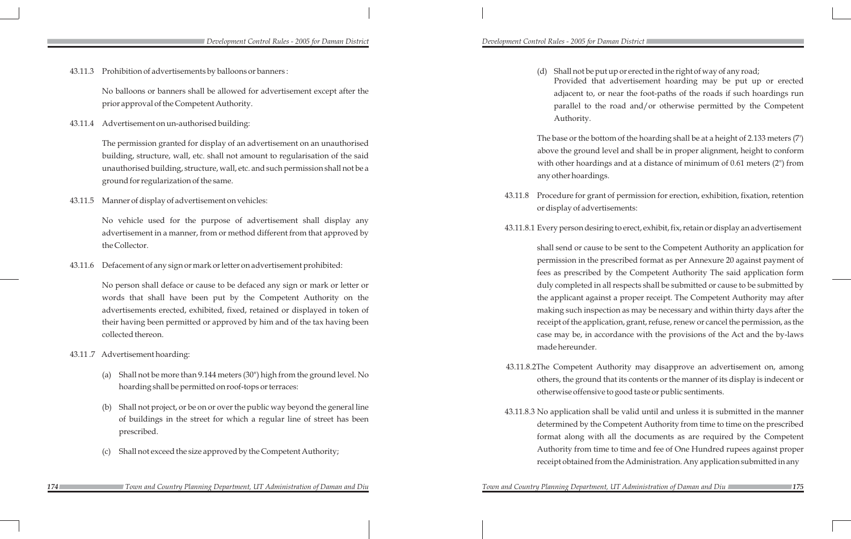Shall not be put up or erected in the right of way of any road; Provided that advertisement hoarding may be put up or erected adjacent to, or near the foot-paths of the roads if such hoardings run parallel to the road and/or otherwise permitted by the Competent Authority.

The base or the bottom of the hoarding shall be at a height of 2.133 meters (7') above the ground level and shall be in proper alignment, height to conform with other hoardings and at a distance of minimum of 0.61 meters (2") from any other hoardings.

43.11.8 Procedure for grant of permission for erection, exhibition, fixation, retention or display of advertisements:

43.11.8.1 Every person desiring to erect, exhibit, fix, retain or display an advertisement

shall send or cause to be sent to the Competent Authority an application for permission in the prescribed format as per Annexure 20 against payment of fees as prescribed by the Competent Authority The said application form duly completed in all respects shall be submitted or cause to be submitted by the applicant against a proper receipt. The Competent Authority may after making such inspection as may be necessary and within thirty days after the receipt of the application, grant, refuse, renew or cancel the permission, as the case may be, in accordance with the provisions of the Act and the by-laws made hereunder.

43.11.8.2 The Competent Authority may disapprove an advertisement on, among others, the ground that its contents or the manner of its display is indecent or otherwise offensive to good taste or public sentiments.

43.11.8.3 No application shall be valid until and unless it is submitted in the manner determined by the Competent Authority from time to time on the prescribed format along with all the documents as are required by the Competent Authority from time to time and fee of One Hundred rupees against proper receipt obtained from the Administration. Any application submitted in any

**174 179 179 179 189 189 189 189 189 189 189 189 189 189 189 189 189 189 189 189 189 189 189 189 189 189 189 189 189 189 189 189 189 189 189 189 189**

43.11.3 Prohibition of advertisements by balloons or banners :

No balloons or banners shall be allowed for advertisement except after the prior approval of the Competent Authority.

43.11.4 Advertisement on un-authorised building:

The permission granted for display of an advertisement on an unauthorised building, structure, wall, etc. shall not amount to regularisation of the said unauthorised building, structure, wall, etc. and such permission shall not be a ground for regularization of the same.

43.11.5 Manner of display of advertisement on vehicles:

No vehicle used for the purpose of advertisement shall display any advertisement in a manner, from or method different from that approved by the Collector.

43.11.6 Defacement of any sign or mark or letter on advertisement prohibited:

No person shall deface or cause to be defaced any sign or mark or letter or words that shall have been put by the Competent Authority on the advertisements erected, exhibited, fixed, retained or displayed in token of their having been permitted or approved by him and of the tax having been collected thereon.

- 43.11 .7 Advertisement hoarding:
	- (a) Shall not be more than 9.144 meters (30") high from the ground level. No hoarding shall be permitted on roof-tops or terraces:
	- (b) Shall not project, or be on or over the public way beyond the general line of buildings in the street for which a regular line of street has been prescribed.
	- (c) Shall not exceed the size approved by the Competent Authority;
		- *Town and Country Planning Department, UT Administration of Daman and Diu Town and Country Planning Department, UT Administration of Daman and Diu*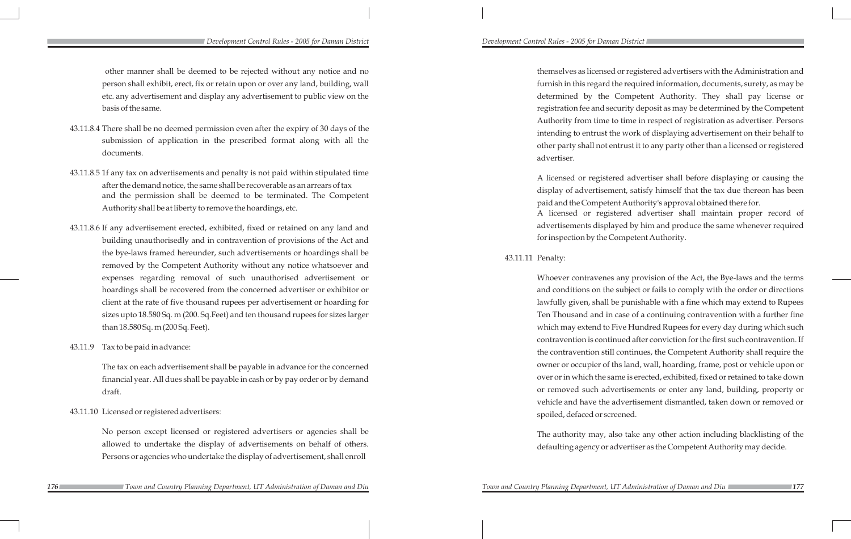themselves as licensed or registered advertisers with the Administration and furnish in this regard the required information, documents, surety, as may be determined by the Competent Authority. They shall pay license or registration fee and security deposit as may be determined by the Competent Authority from time to time in respect of registration as advertiser. Persons intending to entrust the work of displaying advertisement on their behalf to other party shall not entrust it to any party other than a licensed or registered advertiser.

A licensed or registered advertiser shall before displaying or causing the display of advertisement, satisfy himself that the tax due thereon has been paid and the Competent Authority's approval obtained there for.

A licensed or registered advertiser shall maintain proper record of advertisements displayed by him and produce the same whenever required for inspection by the Competent Authority.

### 43.11.11 Penalty:

Whoever contravenes any provision of the Act, the Bye-laws and the terms and conditions on the subject or fails to comply with the order or directions lawfully given, shall be punishable with a fine which may extend to Rupees Ten Thousand and in case of a continuing contravention with a further fine which may extend to Five Hundred Rupees for every day during which such contravention is continued after conviction for the first such contravention. If the contravention still continues, the Competent Authority shall require the owner or occupier of ths land, wall, hoarding, frame, post or vehicle upon or over or in which the same is erected, exhibited, fixed or retained to take down or removed such advertisements or enter any land, building, property or vehicle and have the advertisement dismantled, taken down or removed or spoiled, defaced or screened.

The authority may, also take any other action including blacklisting of the defaulting agency or advertiser as the Competent Authority may decide.

### *Development Control Rules - 2005 for Daman District Development Control Rules - 2005 for Daman District*

other manner shall be deemed to be rejected without any notice and no person shall exhibit, erect, fix or retain upon or over any land, building, wall etc. any advertisement and display any advertisement to public view on the basis of the same.

- 43.11.8.4 There shall be no deemed permission even after the expiry of 30 days of the submission of application in the prescribed format along with all the documents.
- 43.11.8.5 1f any tax on advertisements and penalty is not paid within stipulated time after the demand notice, the same shall be recoverable as an arrears of tax and the permission shall be deemed to be terminated. The Competent Authority shall be at liberty to remove the hoardings, etc.
- 43.11.8.6 If any advertisement erected, exhibited, fixed or retained on any land and building unauthorisedly and in contravention of provisions of the Act and the bye-laws framed hereunder, such advertisements or hoardings shall be removed by the Competent Authority without any notice whatsoever and expenses regarding removal of such unauthorised advertisement or hoardings shall be recovered from the concerned advertiser or exhibitor or client at the rate of five thousand rupees per advertisement or hoarding for sizes upto 18.580 Sq. m (200. Sq.Feet) and ten thousand rupees for sizes larger than 18.580 Sq. m (200 Sq. Feet).
- 43.11.9 Tax to be paid in advance:

The tax on each advertisement shall be payable in advance for the concerned financial year. All dues shall be payable in cash or by pay order or by demand draft.

43.11.10 Licensed or registered advertisers:

No person except licensed or registered advertisers or agencies shall be allowed to undertake the display of advertisements on behalf of others. Persons or agencies who undertake the display of advertisement, shall enroll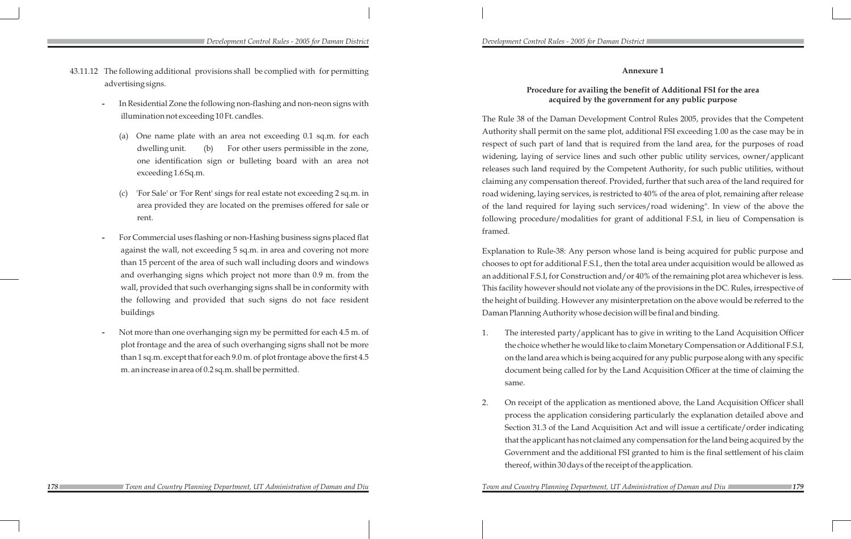## **Annexure 1**

## **Procedure for availing the benefit of Additional FSI for the area acquired by the government for any public purpose**

The Rule 38 of the Daman Development Control Rules 2005, provides that the Competent Authority shall permit on the same plot, additional FSI exceeding 1.00 as the case may be in respect of such part of land that is required from the land area, for the purposes of road widening, laying of service lines and such other public utility services, owner/applicant releases such land required by the Competent Authority, for such public utilities, without claiming any compensation thereof. Provided, further that such area of the land required for road widening, laying services, is restricted to 40% of the area of plot, remaining after release of the land required for laying such services/road widening". In view of the above the following procedure/modalities for grant of additional F.S.I, in lieu of Compensation is framed.

Explanation to Rule-38: Any person whose land is being acquired for public purpose and chooses to opt for additional F.S.I., then the total area under acquisition would be allowed as an additional F.S.I, for Construction and/or 40% of the remaining plot area whichever is less. This facility however should not violate any of the provisions in the DC. Rules, irrespective of the height of building. However any misinterpretation on the above would be referred to the Daman Planning Authority whose decision will be final and binding.

1. The interested party/applicant has to give in writing to the Land Acquisition Officer the choice whether he would like to claim Monetary Compensation or Additional F.S.I, on the land area which is being acquired for any public purpose along with any specific document being called for by the Land Acquisition Officer at the time of claiming the

2. On receipt of the application as mentioned above, the Land Acquisition Officer shall process the application considering particularly the explanation detailed above and Section 31.3 of the Land Acquisition Act and will issue a certificate/order indicating that the applicant has not claimed any compensation for the land being acquired by the Government and the additional FSI granted to him is the final settlement of his claim

- same.
- thereof, within 30 days of the receipt of the application.

**178 178 179 179 179 179 179 179 179 179 179 179 179 179 179 179 179 179 179 179 179 179 179 179 179 179 179 179 179 179 179 179 179 179 179 179 179**

- 43.11.12 The following additional provisions shall be complied with for permitting advertising signs.
	- **-** In Residential Zone the following non-flashing and non-neon signs with illumination not exceeding 10 Ft. candles.
		- (a) One name plate with an area not exceeding 0.1 sq.m. for each dwelling unit. (b) For other users permissible in the zone, one identification sign or bulleting board with an area not exceeding 1.6 Sq.m.
		- (c) 'For Sale' or 'For Rent' sings for real estate not exceeding 2 sq.m. in area provided they are located on the premises offered for sale or rent.
	- **-** For Commercial uses flashing or non-Hashing business signs placed flat against the wall, not exceeding 5 sq.m. in area and covering not more than 15 percent of the area of such wall including doors and windows and overhanging signs which project not more than 0.9 m. from the wall, provided that such overhanging signs shall be in conformity with the following and provided that such signs do not face resident buildings
	- **-** Not more than one overhanging sign my be permitted for each 4.5 m. of plot frontage and the area of such overhanging signs shall not be more than 1 sq.m. except that for each 9.0 m. of plot frontage above the first 4.5 m. an increase in area of 0.2 sq.m. shall be permitted.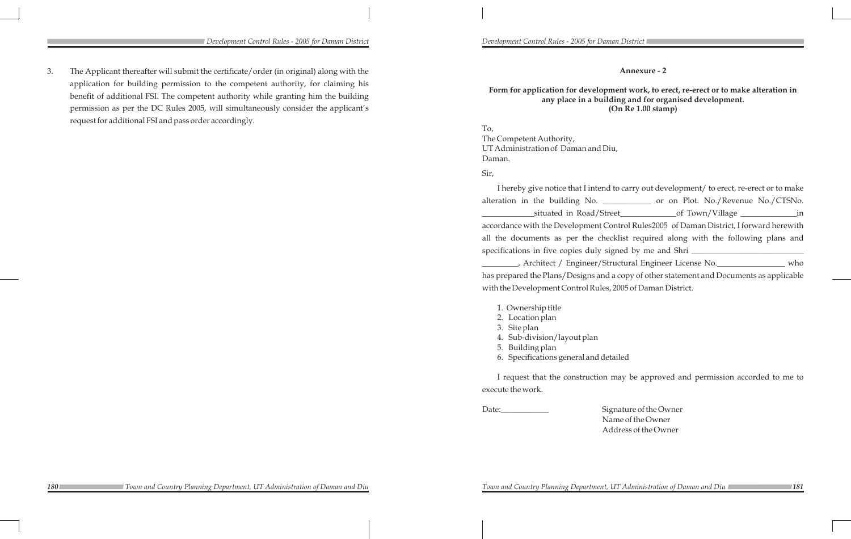## **Annexure - 2**

## **Form for application for development work, to erect, re-erect or to make alteration in any place in a building and for organised development. (On Re 1.00 stamp)**

| end to carry out development/ to erect, re-erect or to make |
|-------------------------------------------------------------|
| or on Plot. No./Revenue No./CTSNo.                          |
| _in                                                         |
| t Control Rules2005 of Daman District, I forward herewith   |
| checklist required along with the following plans and       |
|                                                             |
| /Structural Engineer License No.__________________ who      |
| nd a copy of other statement and Documents as applicable    |
| les, 2005 of Daman District.                                |

To, The Competent Authority, UT Administration of Daman and Diu, Daman.

Sir,

I hereby give notice that I inte alteration in the building No. situated in Road/ accordance with the Development all the documents as per the c specifications in five copies duly  $\overline{\phantom{a}}$ , Architect / Engineer has prepared the Plans/Designs and a control of the Ann and Documents and Documents and Documents and Documents a with the Development Control Rules

- 1. Ownership title
- 2. Location plan
- 3. Site plan
- 4. Sub-division/layout plan
- 5. Building plan
- 6. Specifications general and detailed

I request that the construction may be approved and permission accorded to me to

execute the work.

- Date:\_\_\_\_\_\_\_\_\_\_\_\_ Signature of the Owner
	- Name of the Owner
	- Address of the Owner

*Development Control Rules - 2005 for Daman District Development Control Rules - 2005 for Daman District* 

3. The Applicant thereafter will submit the certificate/order (in original) along with the application for building permission to the competent authority, for claiming his benefit of additional FSI. The competent authority while granting him the building permission as per the DC Rules 2005, will simultaneously consider the applicant's request for additional FSI and pass order accordingly.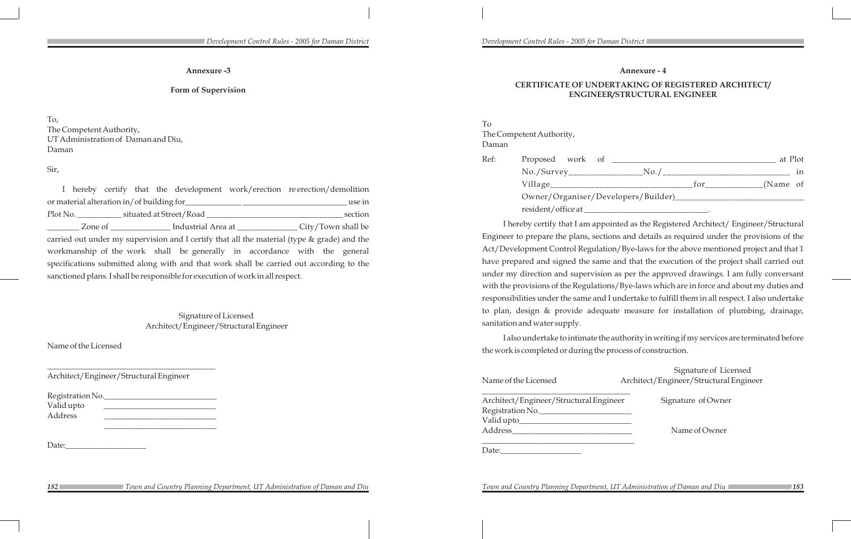To The Competent Authority, Daman Ref: Proposed work of No./Survey\_\_\_\_\_\_\_\_\_\_\_\_\_\_\_\_\_No./\_\_\_\_\_\_\_\_\_\_\_\_\_\_\_\_\_\_\_\_\_\_\_\_\_\_\_\_\_ in Village\_\_\_\_\_\_\_\_\_\_\_\_\_\_\_\_\_\_\_\_\_\_\_\_\_\_\_\_\_\_\_\_for\_\_\_\_\_\_\_\_\_\_\_\_\_(Name of Owner/Organiser/D resident/office at

## **Annexure - 4**

| эf                              |     | at Plot                          |    |
|---------------------------------|-----|----------------------------------|----|
|                                 |     | _No./___________________________ | in |
|                                 | for | ____________(Name of             |    |
| )evelopers/Builder)____________ |     |                                  |    |

## **CERTIFICATE OF UNDERTAKING OF REGISTERED ARCHITECT/ ENGINEER/STRUCTURAL ENGINEER**

\_\_\_\_\_\_\_\_\_\_\_\_\_\_\_\_\_\_\_\_\_\_\_\_\_\_\_\_\_\_\_\_\_\_\_\_\_ Ingineer Signature of Owner Name of Owner

I hereby certify that I am appointed as the Registered Architect/ Engineer/Structural Engineer to prepare the plans, sections and details as required under the provisions of the Act/Development Control Regulation/Bye-laws for the above mentioned project and that 1 have prepared and signed the same and that the execution of the project shall carried out under my direction and supervision as per the approved drawings. I am fully conversant with the provisions of the Regulations/Bye-laws which are in force and about my duties and responsibilities under the same and I undertake to fulfill them in all respect. I also undertake to plan, design & provide adequate measure for installation of plumbing, drainage, sanitation and water supply.

I also undertake to intimate the authority in writing if my services are terminated before the work is completed or during the process of construction.

Signature of Licensed Name of the Licensed Architect/Engineer/Structural Engineer

| Architect/Engineer/Structural Engineer |
|----------------------------------------|
| Registration No.                       |
| Valid upto_____                        |
| Address                                |
|                                        |
| Date:                                  |

### **Annexure -3**

### **Form of Supervision**

To, The Competent Authority, UT Administration of Daman and Diu, Daman

Sir,

I hereby certify that the development work/erection re erection/demolition or material alteration in/of building for\_\_\_\_\_\_\_\_\_\_\_\_\_\_ \_\_\_\_\_\_\_\_\_\_\_\_\_\_\_\_\_\_\_\_\_\_\_\_\_\_ use in Plot No. \_\_\_\_\_\_\_\_\_\_\_ situated at Street/Road \_\_\_\_\_\_\_\_\_\_\_\_\_\_\_\_\_\_\_\_\_\_\_\_\_\_\_\_\_\_\_\_\_\_ section \_\_\_\_\_\_\_\_ Zone of \_\_\_\_\_\_\_\_\_\_\_\_\_\_\_ Industrial Area at \_\_\_\_\_\_\_\_\_\_\_\_\_\_\_ City/Town shall be carried out under my supervision and I certify that all the material (type & grade) and the workmanship of the work shall be generally in accordance with the general specifications submitted along with and that work shall be carried out according to the sanctioned plans. I shall be responsible for execution of work in all respect.

> Signature of Licensed Architect/Engineer/Structural Engineer

Name of the Licensed

Architect/Engineer/Structural Engineer

| Registration No. |  |
|------------------|--|
| Valid upto       |  |
| Address          |  |
|                  |  |

 $\mathcal{L}_\text{max}$  and  $\mathcal{L}_\text{max}$  and  $\mathcal{L}_\text{max}$  and  $\mathcal{L}_\text{max}$ 

 $\frac{1}{2}$  ,  $\frac{1}{2}$  ,  $\frac{1}{2}$  ,  $\frac{1}{2}$  ,  $\frac{1}{2}$  ,  $\frac{1}{2}$  ,  $\frac{1}{2}$  ,  $\frac{1}{2}$  ,  $\frac{1}{2}$  ,  $\frac{1}{2}$  ,  $\frac{1}{2}$  ,  $\frac{1}{2}$  ,  $\frac{1}{2}$  ,  $\frac{1}{2}$  ,  $\frac{1}{2}$  ,  $\frac{1}{2}$  ,  $\frac{1}{2}$  ,  $\frac{1}{2}$  ,  $\frac{1$ 

Date:

 *Town and Country Planning Department, UT Administration of Daman and Diu Town and Country Planning Department, UT Administration of Daman and Diu*

*Town and Country Planning Department, UT Administration of Daman and Diu*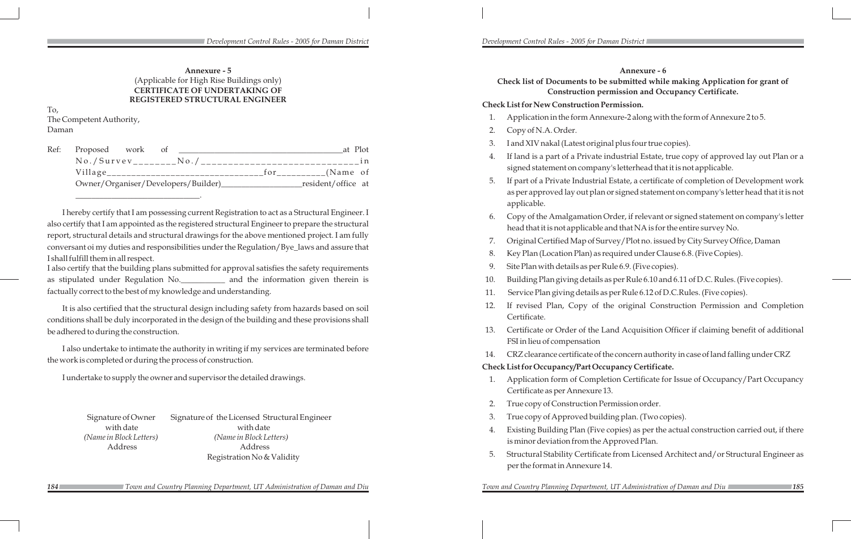## **Annexure - 6 Check list of Documents to be submitted while making Application for grant of Construction permission and Occupancy Certificate.**

## **Check List for New Construction Permission.**

1. Application in the form Annexure-2 along with the form of Annexure 2 to 5.

4. If land is a part of a Private industrial Estate, true copy of approved lay out Plan or a signed statement on company's letterhead that it is not applicable.

5. If part of a Private Industrial Estate, a certificate of completion of Development work as per approved lay out plan or signed statement on company's letter head that it is not

6. Copy of the Amalgamation Order, if relevant or signed statement on company's letter head that it is not applicable and that NA is for the entire survey No.

- 
- 2. Copy of N.A. Order.
- 3. I and XIV nakal (Latest original plus four true copies).
- 
- applicable.
- 
- 
- 
- 9. Site Plan with details as per Rule 6.9. (Five copies).
- 
- 
- Certificate.
- FSI in lieu of compensation
- 

7. Original Certified Map of Survey/Plot no. issued by City Survey Office, Daman

8. Key Plan (Location Plan) as required under Clause 6.8. (Five Copies).

10. Building Plan giving details as per Rule 6.10 and 6.11 of D.C. Rules. (Five copies).

11. Service Plan giving details as per Rule 6.12 of D.C.Rules. (Five copies).

12. If revised Plan, Copy of the original Construction Permission and Completion

13. Certificate or Order of the Land Acquisition Officer if claiming benefit of additional

14. CRZ clearance certificate of the concern authority in case of land falling under CRZ

## **Check List for Occupancy/Part Occupancy Certificate.**

1. Application form of Completion Certificate for Issue of Occupancy/Part Occupancy

4. Existing Building Plan (Five copies) as per the actual construction carried out, if there

- Certificate as per Annexure 13.
- 2. True copy of Construction Permission order.
- 3. True copy of Approved building plan. (Two copies).
- is minor deviation from the Approved Plan.
- per the format in Annexure 14.

**184 189 188 186 186 186 186 186 186 186 186 186 186 186 186 186 186 186 186 186 186 186 186 186 186 186 186 187 186 187 186 187 187 187 187 187 187**

5. Structural Stability Certificate from Licensed Architect and/or Structural Engineer as

## **Annexure - 5** (Applicable for High Rise Buildings only) **CERTIFICATE OF UNDERTAKING OF REGISTERED STRUCTURAL ENGINEER**

To, The Competent Authority, Daman

| Ref: | Proposed work                         | <sup>ot</sup> |     | at Plot            |     |
|------|---------------------------------------|---------------|-----|--------------------|-----|
|      | $No./Survev$ <sub>_______</sub> _No./ |               |     |                    | i n |
|      | Village________________________       |               | tor | $_{-}$ (Name of    |     |
|      | Owner/Organiser/Developers/Builder)_  |               |     | resident/office at |     |

\_\_\_\_\_\_\_\_\_\_\_\_\_\_\_\_\_\_\_\_\_\_\_\_\_\_\_\_\_\_\_.

I hereby certify that I am possessing current Registration to act as a Structural Engineer. I also certify that I am appointed as the registered structural Engineer to prepare the structural report, structural details and structural drawings for the above mentioned project. I am fully conversant oi my duties and responsibilities under the Regulation/Bye\_laws and assure that I shall fulfill them in all respect.

I also certify that the building plans submitted for approval satisfies the safety requirements as stipulated under Regulation No.\_\_\_\_\_\_\_\_\_\_\_ and the information given therein is factually correct to the best of my knowledge and understanding.

It is also certified that the structural design including safety from hazards based on soil conditions shall be duly incorporated in the design of the building and these provisions shall be adhered to during the construction.

I also undertake to intimate the authority in writing if my services are terminated before the work is completed or during the process of construction.

I undertake to supply the owner and supervisor the detailed drawings.

Signature of Owner Signature of the Licensed Structural Engineer with date with date *(Name in Block Letters) (Name in Block Letters)* Address Address Registration No & Validity

 *Town and Country Planning Department, UT Administration of Daman and Diu Town and Country Planning Department, UT Administration of Daman and Diu*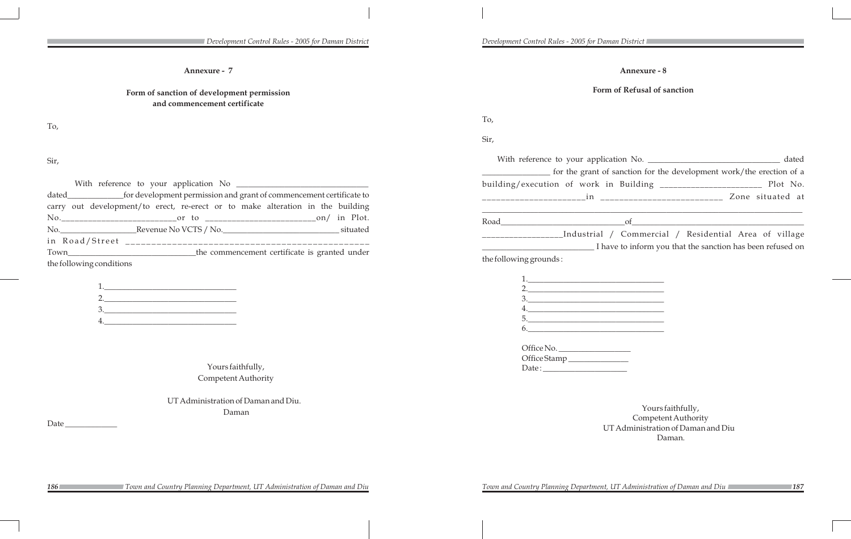*Development Control Rules - 2005 for Daman District Development Control Rules - 2005 for Daman District* 

## **Annexure - 8**

## **Form of Refusal of sanction**

To,

| Sir,                   |                                                                      |
|------------------------|----------------------------------------------------------------------|
|                        | dated                                                                |
|                        | for the grant of sanction for the development work/the erection of a |
|                        |                                                                      |
|                        |                                                                      |
|                        |                                                                      |
|                        | ______Industrial / Commercial / Residential Area of village          |
|                        | I have to inform you that the sanction has been refused on           |
| the following grounds: |                                                                      |

| <u> 1989 - Andrea Barbara, política esta</u> |
|----------------------------------------------|
| 2. $\qquad \qquad$                           |
| $\frac{3}{2}$                                |
|                                              |
| 5.                                           |
| 6. $\qquad \qquad$                           |
|                                              |
| Office No.                                   |
|                                              |
|                                              |
|                                              |

|  |  | Town and Country Planning Department, UT Administration of Daman and Diu |  |
|--|--|--------------------------------------------------------------------------|--|
|  |  |                                                                          |  |

*186 187 Town and Country Planning Department, UT Administration of Daman and Diu Town and Country Planning Department, UT Administration of Daman and Diu*

Yours faithfully, Competent Authority UT Administration of Daman and Diu Daman.

**Annexure - 7**

## **Form of sanction of development permission and commencement certificate**

To,

Sir,

| dated__________________for development permission and grant of commencement certificate to |  |
|--------------------------------------------------------------------------------------------|--|
| carry out development/to erect, re-erect or to make alteration in the building             |  |
|                                                                                            |  |
|                                                                                            |  |
|                                                                                            |  |
|                                                                                            |  |
| the following conditions                                                                   |  |

Yours faithfully, Competent Authority

UT Administration of Daman and Diu. Daman

Date\_

| Development Control Rules - 2005 |  |  |  |
|----------------------------------|--|--|--|
|----------------------------------|--|--|--|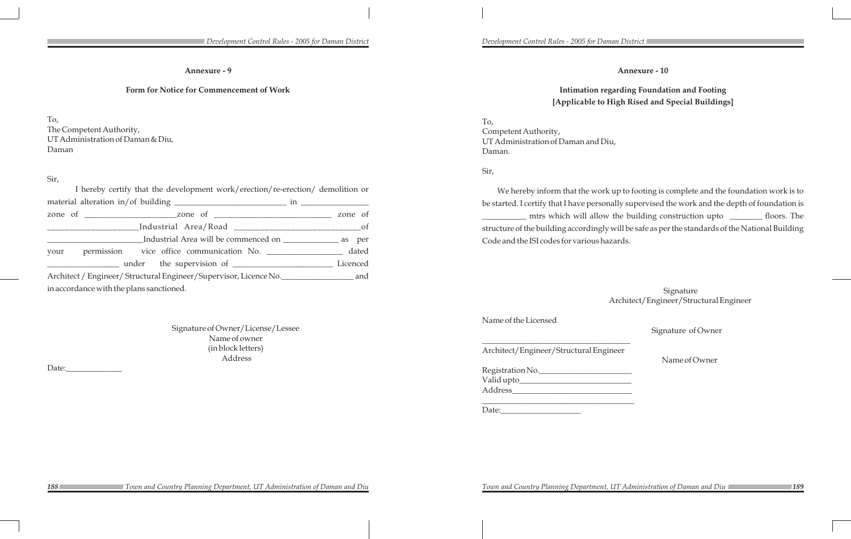**Annexure - 10** 

## **Intimation regarding Foundation and Footing [Applicable to High Rised and Special Buildings]**

To, Competent Authority, UT Administration of Daman and Diu, Daman.

Sir,

We hereby inform that the work up to footing is complete and the foundation work is to be started. I certify that I have personally supervised the work and the depth of foundation is \_\_\_\_\_\_\_\_\_\_\_ mtrs which will allow the building construction upto \_\_\_\_\_\_\_\_ floors. The structure of the building accordingly will be safe as per the standards of the National Building Code and the ISI codes for various hazards.

| Registration No. |  |
|------------------|--|
| Valid upto_      |  |
| Address          |  |

Signature Architect/Engineer/Structural Engineer

Name of the Licensed

Signature of Owner

\_\_\_\_\_\_\_\_\_\_\_\_\_\_\_\_\_\_\_\_\_\_\_\_\_\_\_\_\_\_\_\_\_\_\_\_\_

Architect/Engineer/Structural Engineer

Name of Owner

\_\_\_\_\_\_\_\_\_\_\_\_\_\_\_\_\_\_\_\_\_\_\_\_\_\_\_\_\_\_\_\_\_\_\_\_\_\_

Date:

### **Annexure - 9**

### **Form for Notice for Commencement of Work**

To,

The Competent Authority, UT Administration of Daman & Diu, Daman

### Sir,

| I hereby certify that the development work/erection/re-erection/ demolition or     |  |
|------------------------------------------------------------------------------------|--|
|                                                                                    |  |
|                                                                                    |  |
| _________________________Industrial Area/Road __________________________________of |  |
|                                                                                    |  |
| your permission vice office communication No. ________________ dated               |  |
|                                                                                    |  |
|                                                                                    |  |
| in accordance with the plans sanctioned.                                           |  |

Signature of Owner/License/Lessee Name of owner (in block letters) Address

Date: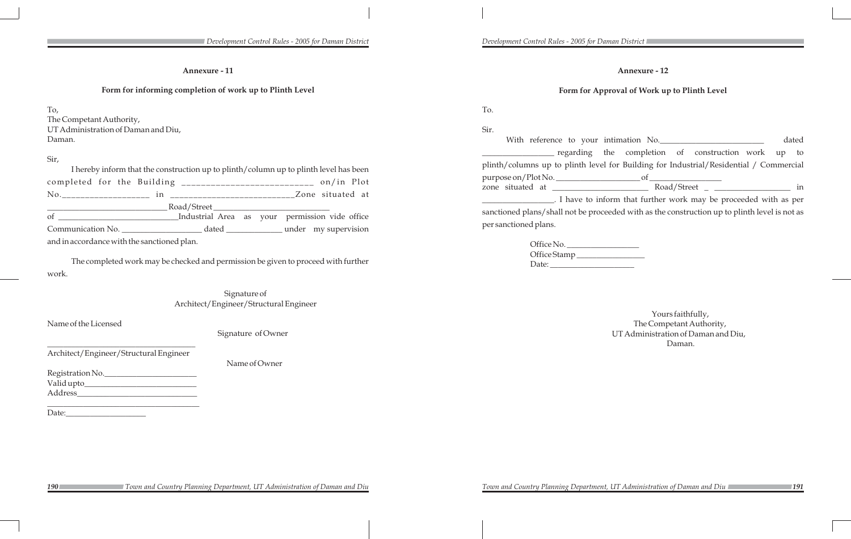## **Annexure - 12**

## **Form for Approval of Work up to Plinth Level**

| dated |  |  | intimation No.                                                                                                                                                                                                                                                                                              |  |
|-------|--|--|-------------------------------------------------------------------------------------------------------------------------------------------------------------------------------------------------------------------------------------------------------------------------------------------------------------|--|
|       |  |  | the completion of construction work up to                                                                                                                                                                                                                                                                   |  |
|       |  |  | el for Building for Industrial/Residential / Commercial                                                                                                                                                                                                                                                     |  |
|       |  |  | $\circ$ f                                                                                                                                                                                                                                                                                                   |  |
| in    |  |  |                                                                                                                                                                                                                                                                                                             |  |
|       |  |  | nform that further work may be proceeded with as per                                                                                                                                                                                                                                                        |  |
|       |  |  | $\mathbf{1}$ , $\mathbf{1}$ , $\mathbf{1}$ , $\mathbf{1}$ , $\mathbf{1}$ , $\mathbf{1}$ , $\mathbf{1}$ , $\mathbf{1}$ , $\mathbf{1}$ , $\mathbf{1}$ , $\mathbf{1}$ , $\mathbf{1}$ , $\mathbf{1}$ , $\mathbf{1}$ , $\mathbf{1}$ , $\mathbf{1}$ , $\mathbf{1}$ , $\mathbf{1}$ , $\mathbf{1}$ , $\mathbf{1}$ , |  |

To. Sir. With reference to your  $\equiv$  regarding plinth/columns up to plinth level purpose on/Plot No. zone situated at \_\_\_\_\_\_\_\_\_\_\_\_\_\_\_\_\_\_\_\_\_\_\_\_ Road/Street \_ \_\_\_\_\_\_\_\_\_\_\_\_\_\_\_\_\_\_\_ in . I have to in sanctioned plans/shall not be proceeded with as the construction up to plinth level is not as per sanctioned plans.

| Office No.   |  |
|--------------|--|
| Office Stamp |  |
| Date:        |  |

Yours faithfully, The Competant Authority, UT Administration of Daman and Diu, Daman.

*Town and Country Planning Department, UT Administration of Daman and Diu* 

## **Annexure - 11**

## **Form for informing completion of work up to Plinth Level**

To, The Competant Authority, UT Administration of Daman and Diu, Daman.

## Sir,

| I hereby inform that the construction up to plinth/column up to plinth level has been                                                                                                                                                                                                                                                                                                                                                                                                                                                   |  |  |  |  |
|-----------------------------------------------------------------------------------------------------------------------------------------------------------------------------------------------------------------------------------------------------------------------------------------------------------------------------------------------------------------------------------------------------------------------------------------------------------------------------------------------------------------------------------------|--|--|--|--|
| completed for the Building ____________________________ on/in Plot                                                                                                                                                                                                                                                                                                                                                                                                                                                                      |  |  |  |  |
|                                                                                                                                                                                                                                                                                                                                                                                                                                                                                                                                         |  |  |  |  |
| $\begin{tabular}{c} \textbf{\textcolor{red}{\textbf{1}}\textcolor{blue}{\textbf{1}}\textcolor{blue}{\textbf{1}}\textcolor{blue}{\textbf{1}}\textcolor{blue}{\textbf{1}}\textcolor{blue}{\textbf{1}}\textcolor{blue}{\textbf{1}}\textcolor{blue}{\textbf{1}}\textcolor{blue}{\textbf{1}}\textcolor{blue}{\textbf{1}}\textcolor{blue}{\textbf{1}}\textcolor{blue}{\textbf{1}}\textcolor{blue}{\textbf{1}}\textcolor{blue}{\textbf{1}}\textcolor{blue}{\textbf{1}}\textcolor{blue}{\textbf{1}}\textcolor{blue}{\textbf{1}}\textcolor{blue$ |  |  |  |  |
| of ____________________________Industrial Area as your permission vide office                                                                                                                                                                                                                                                                                                                                                                                                                                                           |  |  |  |  |
|                                                                                                                                                                                                                                                                                                                                                                                                                                                                                                                                         |  |  |  |  |
| and in accordance with the sanctioned plan.                                                                                                                                                                                                                                                                                                                                                                                                                                                                                             |  |  |  |  |

The completed work may be checked and permission be given to proceed with further work.

> Signature of Architect/Engineer/Structural Engineer

Name of the Licensed

Signature of Owner

\_\_\_\_\_\_\_\_\_\_\_\_\_\_\_\_\_\_\_\_\_\_\_\_\_\_\_\_\_\_\_\_\_\_\_\_\_

Architect/Engineer/Structural Engineer

Name of Owner

Registration No.\_\_\_\_\_\_\_\_\_\_\_\_\_\_\_\_\_\_\_\_\_\_\_ Valid upto\_\_\_\_\_\_\_\_\_\_\_\_\_\_\_\_\_\_\_\_\_\_\_\_\_\_\_\_ Address\_\_\_\_\_\_\_\_\_\_\_\_\_\_\_\_\_\_\_\_\_\_\_\_\_\_\_\_\_\_

\_\_\_\_\_\_\_\_\_\_\_\_\_\_\_\_\_\_\_\_\_\_\_\_\_\_\_\_\_\_\_\_\_\_\_\_\_\_

Date: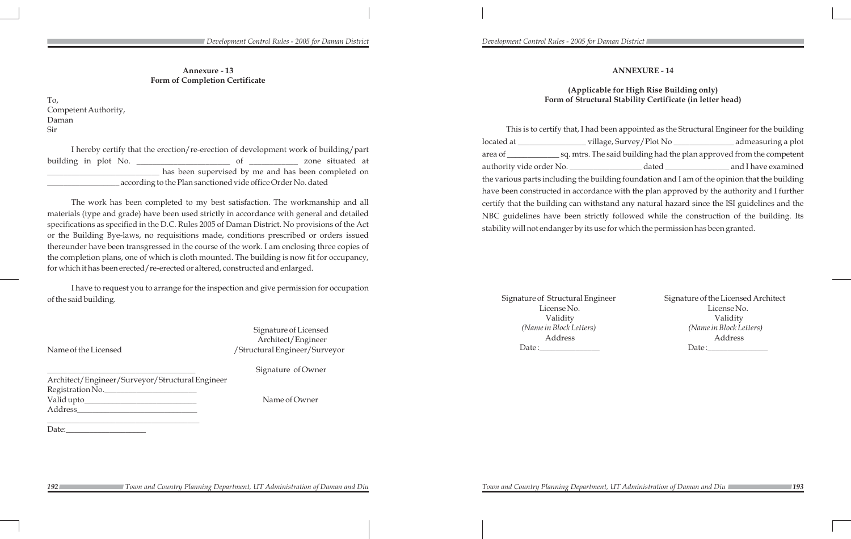## **ANNEXURE - 14**

## **(Applicable for High Rise Building only) Form of Structural Stability Certificate (in letter head)**

This is to certify that, I had been appointed as the Structural Engineer for the building located at \_\_\_\_\_\_\_\_\_\_\_\_\_\_\_\_\_ village, Survey/Plot No \_\_\_\_\_\_\_\_\_\_\_\_\_\_\_ admeasuring a plot area of \_\_\_\_\_\_\_\_\_\_\_\_\_ sq. mtrs. The said building had the plan approved from the competent authority vide order No. \_\_\_\_\_\_\_\_\_\_\_\_\_\_\_\_\_\_\_\_\_\_\_ dated \_\_\_\_\_\_\_\_\_\_\_\_\_\_\_\_\_\_\_\_\_\_\_\_\_ and I have examined the various parts including the building foundation and I am of the opinion that the building have been constructed in accordance with the plan approved by the authority and I further certify that the building can withstand any natural hazard since the ISI guidelines and the NBC guidelines have been strictly followed while the construction of the building. Its stability will not endanger by its use for which the permission has been granted.

Signature of Structural Engineer Signature of the Licensed Architect License No. License No. Validity Validity *(Name in Block Letters) (Name in Block Letters)* Address Address Date :\_\_\_\_\_\_\_\_\_\_\_\_\_\_\_ Date :\_\_\_\_\_\_\_\_\_\_\_\_\_\_\_

Signature of Licensed Architect/Engineer Name of the Licensed /Structural Engineer/Surveyor

Signature of Owner

**Annexure - 13 Form of Completion Certificate**

To, Competent Authority, Daman Sir

I hereby certify that the erection/re-erection of development work of building/part building in plot No. \_\_\_\_\_\_\_\_\_\_\_\_\_\_\_\_\_\_\_\_\_\_\_ of \_\_\_\_\_\_\_\_\_\_\_\_ zone situated at \_\_\_\_\_\_\_\_\_\_\_\_\_\_\_\_\_\_\_\_\_\_\_\_\_\_\_\_ has been supervised by me and has been completed on \_\_\_\_\_\_\_\_\_\_\_\_\_\_\_\_\_\_ according to the Plan sanctioned vide office Order No. dated

The work has been completed to my best satisfaction. The workmanship and all materials (type and grade) have been used strictly in accordance with general and detailed specifications as specified in the D.C. Rules 2005 of Daman District. No provisions of the Act or the Building Bye-laws, no requisitions made, conditions prescribed or orders issued thereunder have been transgressed in the course of the work. I am enclosing three copies of the completion plans, one of which is cloth mounted. The building is now fit for occupancy, for which it has been erected/re-erected or altered, constructed and enlarged.

I have to request you to arrange for the inspection and give permission for occupation of the said building.

Architect/Engineer/Surveyor/Structural Engineer Registration No.\_\_\_\_\_\_\_\_\_\_\_\_\_\_\_\_\_\_\_\_\_\_\_ Valid upto\_\_\_\_\_\_\_\_\_\_\_\_\_\_\_\_\_\_\_\_\_\_\_\_\_\_\_\_ Name of Owner Address\_\_\_\_\_\_\_\_\_\_\_\_\_\_\_\_\_\_\_\_\_\_\_\_\_\_\_\_\_\_

\_\_\_\_\_\_\_\_\_\_\_\_\_\_\_\_\_\_\_\_\_\_\_\_\_\_\_\_\_\_\_\_\_\_\_\_\_\_

Date: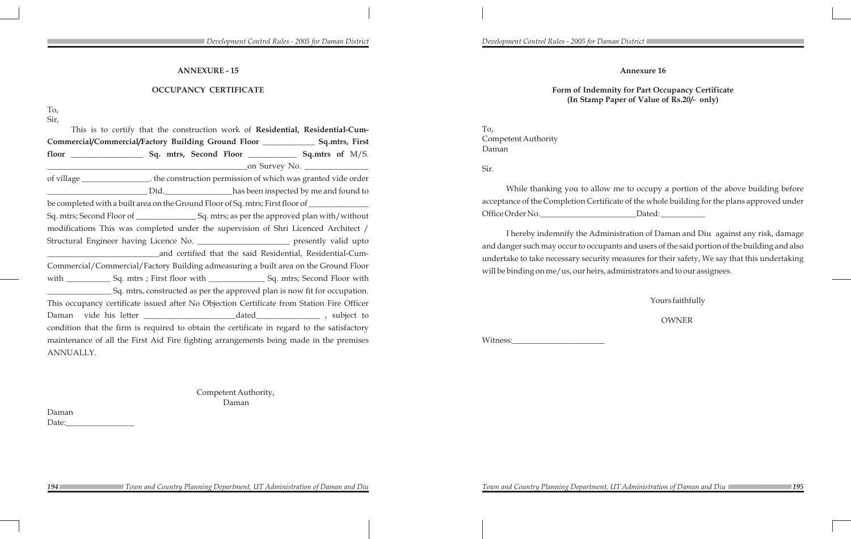*Development Control Rules - 2005 for Daman District Development Control Rules - 2005 for Daman District* 

**Annexure 16**

While thanking you to allow me to occupy a portion of the above building before acceptance of the Completion Certificate of the whole building for the plans approved under Office Order No. 2008 Dated:

**Form of Indemnity for Part Occupancy Certificate (In Stamp Paper of Value of Rs.20/- only)**

To, Competent Authority Daman

Sir.

I hereby indemnify the Administration of Daman and Diu against any risk, damage and danger such may occur to occupants and users of the said portion of the building and also undertake to take necessary security measures for their safety, We say that this undertaking will be binding on me/us, our heirs, administrators and to our assignees.

Witness:

Yours faithfully

OWNER

## **ANNEXURE - 15**

### **OCCUPANCY CERTIFICATE**

To,

Sir,

Daman Date:

This is to certify that the construction work of **Residential, Residential-Cum-Commercial/Commercial/Factory Building Ground Floor \_\_\_\_\_\_\_\_\_\_\_\_\_ Sq.mtrs, First floor \_\_\_\_\_\_\_\_\_\_\_\_\_\_\_\_\_\_ Sq. mtrs, Second Floor \_\_\_\_\_\_\_\_\_\_\_\_ Sq.mtrs of** M/S. \_\_\_\_\_\_\_\_\_\_\_\_\_\_\_\_\_\_\_\_\_\_\_\_\_\_\_\_\_\_\_\_\_\_\_\_\_\_\_\_\_\_\_\_\_\_\_\_\_\_on Survey No. \_\_\_\_\_\_\_\_\_\_\_\_\_\_\_\_ of village \_\_\_\_\_\_\_\_\_\_\_\_\_\_\_\_\_. the construction permission of which was granted vide order \_\_\_\_\_\_\_\_\_\_\_\_\_\_\_\_\_\_\_\_\_\_\_\_\_ Dtd.\_\_\_\_\_\_\_\_\_\_\_\_\_\_\_\_\_has been inspected by me and found to be completed with a built area on the Ground Floor of Sq. mtrs; First floor of \_\_\_\_\_\_\_\_\_\_\_\_\_\_\_\_\_\_\_\_ Sq. mtrs; Second Floor of \_\_\_\_\_\_\_\_\_\_\_\_\_\_\_ Sq. mtrs; as per the approved plan with/without modifications This was completed under the supervision of Shri Licenced Architect / Structural Engineer having Licence No. \_\_\_\_\_\_\_\_\_\_\_\_\_\_\_\_\_\_\_\_\_\_\_\_\_\_\_\_ presently valid upto \_\_\_\_\_\_\_\_\_\_\_\_\_\_\_\_\_\_\_\_\_\_\_\_\_\_\_\_and certified that the said Residential, Residential-Cum-Commercial/Commercial/Factory Building admeasuring a built area on the Ground Floor with \_\_\_\_\_\_\_\_\_\_\_\_\_ Sq. mtrs ; First floor with \_\_\_\_\_\_\_\_\_\_\_\_\_\_\_\_\_\_ Sq. mtrs; Second Floor with \_\_\_\_\_\_\_\_\_\_\_\_\_\_\_\_ Sq. mtrs, constructed as per the approved plan is now fit for occupation. This occupancy certificate issued after No Objection Certificate from Station Fire Officer Daman vide his letter \_\_\_\_\_\_\_\_\_\_\_\_\_\_\_\_\_\_\_\_\_\_\_dated\_\_\_\_\_\_\_\_\_\_\_\_\_\_\_\_ , subject to condition that the firm is required to obtain the certificate in regard to the satisfactory maintenance of all the First Aid Fire fighting arrangements being made in the premises ANNUALLY.

> Competent Authority, Daman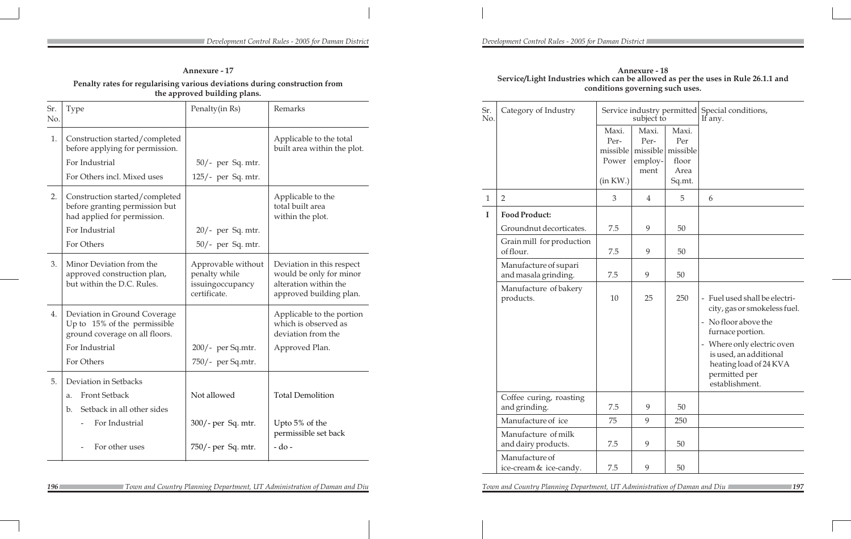### **Annexure - 18 Service/Light Industries which can be allowed as per the uses in Rule 26.1.1 and conditions governing such uses.**

| Sr.<br>No.   | Category of Industry                          |                                                | subject to                                   |                                                     | Service industry permitted Special conditions,<br>If any.                                                                                                                                                                                                                                                    |
|--------------|-----------------------------------------------|------------------------------------------------|----------------------------------------------|-----------------------------------------------------|--------------------------------------------------------------------------------------------------------------------------------------------------------------------------------------------------------------------------------------------------------------------------------------------------------------|
|              |                                               | Maxi.<br>Per-<br>missible<br>Power<br>(in KW.) | Maxi.<br>Per-<br>missible<br>employ-<br>ment | Maxi.<br>Per<br>missible<br>floor<br>Area<br>Sq.mt. |                                                                                                                                                                                                                                                                                                              |
| $\mathbf{1}$ | $\overline{2}$                                | 3                                              | $\overline{4}$                               | 5                                                   | 6                                                                                                                                                                                                                                                                                                            |
| I            | <b>Food Product:</b>                          |                                                |                                              |                                                     |                                                                                                                                                                                                                                                                                                              |
|              | Groundnut decorticates.                       | 7.5                                            | 9                                            | 50                                                  |                                                                                                                                                                                                                                                                                                              |
|              | Grain mill for production<br>of flour.        | 7.5                                            | 9                                            | 50                                                  |                                                                                                                                                                                                                                                                                                              |
|              | Manufacture of supari<br>and masala grinding. | 7.5                                            | 9                                            | 50                                                  |                                                                                                                                                                                                                                                                                                              |
|              | Manufacture of bakery<br>products.            | 10                                             | 25                                           | 250                                                 | Fuel used shall be electri-<br>$\overline{\phantom{a}}$<br>city, gas or smokeless fuel.<br>No floor above the<br>$\overline{\phantom{a}}$<br>furnace portion.<br>Where only electric oven<br>$\overline{\phantom{a}}$<br>is used, an additional<br>heating load of 24 KVA<br>permitted per<br>establishment. |
|              | Coffee curing, roasting<br>and grinding.      | 7.5                                            | 9                                            | 50                                                  |                                                                                                                                                                                                                                                                                                              |
|              | Manufacture of ice                            | 75                                             | 9                                            | 250                                                 |                                                                                                                                                                                                                                                                                                              |
|              | Manufacture of milk<br>and dairy products.    | 7.5                                            | 9                                            | 50                                                  |                                                                                                                                                                                                                                                                                                              |
|              | Manufacture of<br>ice-cream & ice-candy.      | 7.5                                            | 9                                            | 50                                                  |                                                                                                                                                                                                                                                                                                              |

**196** *196 Town and Country Planning Department, UT Administration of Daman and Diu 197 Town and Country Planning Department, UT Administration of Daman and Diu* 

### *Development Control Rules - 2005 for Daman District Development Control Rules - 2005 for Daman District*

| <b>Annexure - 17</b> |  |  |
|----------------------|--|--|
|                      |  |  |

## **Penalty rates for regularising various deviations during construction from the approved building plans.**

| Sr.<br>No. | Type                                                                                            | Penalty(in Rs)                                                          | Remarks                                                                                                  |
|------------|-------------------------------------------------------------------------------------------------|-------------------------------------------------------------------------|----------------------------------------------------------------------------------------------------------|
| 1.         | Construction started/completed<br>before applying for permission.<br>For Industrial             | $50/-$ per Sq. mtr.                                                     | Applicable to the total<br>built area within the plot.                                                   |
|            | For Others incl. Mixed uses                                                                     | $125/-$ per Sq. mtr.                                                    |                                                                                                          |
| 2.         | Construction started/completed<br>before granting permission but<br>had applied for permission. |                                                                         | Applicable to the<br>total built area<br>within the plot.                                                |
|            | For Industrial                                                                                  | $20/-$ per Sq. mtr.                                                     |                                                                                                          |
|            | For Others                                                                                      | $50/-$ per Sq. mtr.                                                     |                                                                                                          |
| 3.         | Minor Deviation from the<br>approved construction plan,<br>but within the D.C. Rules.           | Approvable without<br>penalty while<br>issuingoccupancy<br>certificate. | Deviation in this respect<br>would be only for minor<br>alteration within the<br>approved building plan. |
| 4.         | Deviation in Ground Coverage<br>Up to 15% of the permissible<br>ground coverage on all floors.  |                                                                         | Applicable to the portion<br>which is observed as<br>deviation from the                                  |
|            | For Industrial                                                                                  | 200/- per Sq.mtr.                                                       | Approved Plan.                                                                                           |
|            | For Others                                                                                      | 750/- per Sq.mtr.                                                       |                                                                                                          |
| 5.         | Deviation in Setbacks                                                                           |                                                                         |                                                                                                          |
|            | <b>Front Setback</b><br>a.                                                                      | Not allowed                                                             | <b>Total Demolition</b>                                                                                  |
|            | Setback in all other sides<br>b.                                                                |                                                                         |                                                                                                          |
|            | For Industrial                                                                                  | 300/- per Sq. mtr.                                                      | Upto 5% of the<br>permissible set back                                                                   |
|            | For other uses                                                                                  | 750/- per Sq. mtr.                                                      | $-do-$                                                                                                   |

 *Town and Country Planning Department, UT Administration of Daman and Diu Town and Country Planning Department, UT Administration of Daman and Diu*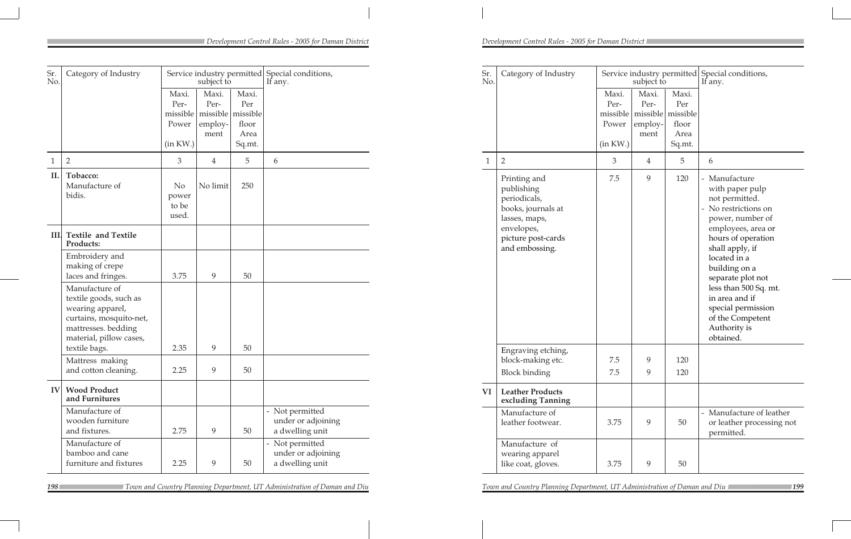| Sr.<br>No. | Category of Industry                                                                                                                      |                                                | subject to                       |                                                              | Service industry permitted Special conditions,<br>If any. | Sr.<br>No. | Category of Industry                                                              |                           | subject to                                                             |                                         | Service industry permitted Special conditions,<br>If any.                                                      |
|------------|-------------------------------------------------------------------------------------------------------------------------------------------|------------------------------------------------|----------------------------------|--------------------------------------------------------------|-----------------------------------------------------------|------------|-----------------------------------------------------------------------------------|---------------------------|------------------------------------------------------------------------|-----------------------------------------|----------------------------------------------------------------------------------------------------------------|
|            |                                                                                                                                           | Maxi.<br>Per-<br>missible<br>Power<br>(in KW.) | Maxi.<br>Per-<br>employ-<br>ment | Maxi.<br>Per<br>missible missible<br>floor<br>Area<br>Sq.mt. |                                                           |            |                                                                                   | Maxi.<br>Per-<br>(in KW.) | Maxi.<br>Per-<br>missible missible missible<br>Power   employ-<br>ment | Maxi.<br>Per<br>floor<br>Area<br>Sq.mt. |                                                                                                                |
|            | $\overline{2}$                                                                                                                            | $\mathfrak{Z}$                                 | $\overline{4}$                   | 5                                                            | 6                                                         |            | $\overline{2}$                                                                    | 3 <sup>1</sup>            | $\overline{4}$                                                         | $5\phantom{.}$                          | 6                                                                                                              |
| II.        | Tobacco:<br>Manufacture of<br>bidis.                                                                                                      | N <sub>o</sub><br>power<br>to be<br>used.      | No limit                         | 250                                                          |                                                           |            | Printing and<br>publishing<br>periodicals,<br>books, journals at<br>lasses, maps, | 7.5                       | 9                                                                      | 120                                     | - Manufacture<br>with paper pulp<br>not permitted.<br>- No restrictions on<br>power, number of                 |
|            | III. Textile and Textile<br>Products:                                                                                                     |                                                |                                  |                                                              |                                                           |            | envelopes,<br>picture post-cards<br>and embossing.                                |                           |                                                                        |                                         | employees, area or<br>hours of operation<br>shall apply, if                                                    |
|            | Embroidery and<br>making of crepe<br>laces and fringes.                                                                                   | 3.75                                           | 9                                | 50                                                           |                                                           |            |                                                                                   |                           |                                                                        |                                         | located in a<br>building on a<br>separate plot not                                                             |
|            | Manufacture of<br>textile goods, such as<br>wearing apparel,<br>curtains, mosquito-net,<br>mattresses. bedding<br>material, pillow cases, |                                                |                                  |                                                              |                                                           |            |                                                                                   |                           |                                                                        |                                         | less than 500 Sq. mt.<br>in area and if<br>special permission<br>of the Competent<br>Authority is<br>obtained. |
|            | textile bags.<br>Mattress making                                                                                                          | 2.35                                           | 9                                | 50                                                           |                                                           |            | Engraving etching,<br>block-making etc.                                           | $7.5\,$                   | 9                                                                      | 120                                     |                                                                                                                |
|            | and cotton cleaning.                                                                                                                      | 2.25                                           | 9                                | 50                                                           |                                                           |            | <b>Block binding</b>                                                              | 7.5                       | 9                                                                      | 120                                     |                                                                                                                |
|            | <b>IV Wood Product</b><br>and Furnitures                                                                                                  |                                                |                                  |                                                              |                                                           | <b>VI</b>  | <b>Leather Products</b><br>excluding Tanning                                      |                           |                                                                        |                                         |                                                                                                                |
|            | Manufacture of<br>wooden furniture<br>and fixtures.                                                                                       | 2.75                                           | $\overline{9}$                   | 50                                                           | - Not permitted<br>under or adjoining<br>a dwelling unit  |            | Manufacture of<br>leather footwear.                                               | 3.75                      | 9                                                                      | 50                                      | - Manufacture of leather<br>or leather processing not<br>permitted.                                            |
|            | Manufacture of<br>bamboo and cane<br>furniture and fixtures                                                                               | 2.25                                           | 9                                | 50                                                           | - Not permitted<br>under or adjoining<br>a dwelling unit  |            | Manufacture of<br>wearing apparel<br>like coat, gloves.                           | 3.75                      | 9                                                                      | 50                                      |                                                                                                                |

 *Town and Country Planning Department, UT Administration of Daman and Diu Town and Country Planning Department, UT Administration of Daman and Diu*

198 Town and Country Planning Department, UT Administration of Daman and Diu Town and Country Planning Department, UT Administration of Daman and Diu 199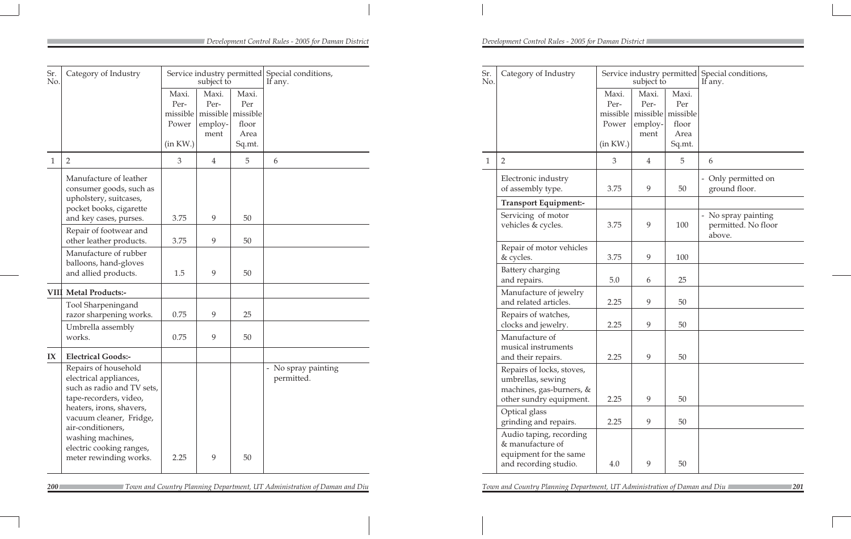| Sr.<br>No.   | Category of Industry                                                                                  |                                                  | Service industry permitted<br>subject to |                                                              | Special conditions,<br>If any.                                                 |
|--------------|-------------------------------------------------------------------------------------------------------|--------------------------------------------------|------------------------------------------|--------------------------------------------------------------|--------------------------------------------------------------------------------|
|              |                                                                                                       | Maxi.<br>Per-<br>missible  <br>Power<br>(in KW.) | Maxi.<br>Per-<br>employ-<br>ment         | Maxi.<br>Per<br>missible missible<br>floor<br>Area<br>Sq.mt. |                                                                                |
| $\mathbf{1}$ | $\overline{2}$                                                                                        | 3                                                | $\overline{4}$                           | 5                                                            | 6                                                                              |
|              | Electronic industry<br>of assembly type.                                                              | 3.75                                             | 9                                        | 50                                                           | Only permitted on<br>$\overline{\phantom{0}}$<br>ground floor.                 |
|              | Transport Equipment:-                                                                                 |                                                  |                                          |                                                              |                                                                                |
|              | Servicing of motor<br>vehicles & cycles.                                                              | 3.75                                             | 9                                        | 100                                                          | No spray painting<br>$\overline{\phantom{0}}$<br>permitted. No floor<br>above. |
|              | Repair of motor vehicles<br>& cycles.                                                                 | 3.75                                             | 9                                        | 100                                                          |                                                                                |
|              | Battery charging<br>and repairs.                                                                      | 5.0                                              | 6                                        | 25                                                           |                                                                                |
|              | Manufacture of jewelry<br>and related articles.                                                       | 2.25                                             | 9                                        | 50                                                           |                                                                                |
|              | Repairs of watches,<br>clocks and jewelry.                                                            | 2.25                                             | 9                                        | 50                                                           |                                                                                |
|              | Manufacture of<br>musical instruments<br>and their repairs.                                           | 2.25                                             | 9                                        | 50                                                           |                                                                                |
|              | Repairs of locks, stoves,<br>umbrellas, sewing<br>machines, gas-burners, &<br>other sundry equipment. | 2.25                                             | 9                                        | 50                                                           |                                                                                |
|              | Optical glass<br>grinding and repairs.                                                                | 2.25                                             | 9                                        | 50                                                           |                                                                                |
|              | Audio taping, recording<br>& manufacture of<br>equipment for the same<br>and recording studio.        | 4.0                                              | 9                                        | 50                                                           |                                                                                |

| Sr.<br>No.   | Category of Industry                                                                                                                                                                                                                                          | Service industry permitted<br>subject to |                                              |                                           | Special conditions,<br>If any.                              |  |  |
|--------------|---------------------------------------------------------------------------------------------------------------------------------------------------------------------------------------------------------------------------------------------------------------|------------------------------------------|----------------------------------------------|-------------------------------------------|-------------------------------------------------------------|--|--|
|              |                                                                                                                                                                                                                                                               | Maxi.<br>Per-<br>missible<br>Power       | Maxi.<br>Per-<br>missible<br>employ-<br>ment | Maxi.<br>Per<br>missible<br>floor<br>Area |                                                             |  |  |
|              |                                                                                                                                                                                                                                                               | (in KW.)                                 |                                              | Sq.mt.                                    |                                                             |  |  |
| $\mathbf{1}$ | $\overline{2}$                                                                                                                                                                                                                                                | 3                                        | $\overline{4}$                               | 5                                         | 6                                                           |  |  |
|              | Manufacture of leather<br>consumer goods, such as<br>upholstery, suitcases,<br>pocket books, cigarette<br>and key cases, purses.                                                                                                                              | 3.75                                     | 9                                            | 50                                        |                                                             |  |  |
|              | Repair of footwear and<br>other leather products.                                                                                                                                                                                                             | 3.75                                     | 9                                            | 50                                        |                                                             |  |  |
|              | Manufacture of rubber<br>balloons, hand-gloves<br>and allied products.                                                                                                                                                                                        | 1.5                                      | 9                                            | 50                                        |                                                             |  |  |
|              | <b>VIII Metal Products:-</b>                                                                                                                                                                                                                                  |                                          |                                              |                                           |                                                             |  |  |
|              | Tool Sharpeningand<br>razor sharpening works.                                                                                                                                                                                                                 | 0.75                                     | 9                                            | 25                                        |                                                             |  |  |
|              | Umbrella assembly<br>works.                                                                                                                                                                                                                                   | 0.75                                     | 9                                            | 50                                        |                                                             |  |  |
| IX           | <b>Electrical Goods:-</b>                                                                                                                                                                                                                                     |                                          |                                              |                                           |                                                             |  |  |
|              | Repairs of household<br>electrical appliances,<br>such as radio and TV sets,<br>tape-recorders, video,<br>heaters, irons, shavers,<br>vacuum cleaner, Fridge,<br>air-conditioners,<br>washing machines,<br>electric cooking ranges,<br>meter rewinding works. | 2.25                                     | 9                                            | 50                                        | No spray painting<br>$\overline{\phantom{0}}$<br>permitted. |  |  |

 *Town and Country Planning Department, UT Administration of Daman and Diu Town and Country Planning Department, UT Administration of Daman and Diu*

<sup>200</sup> *200 Zown and Country Planning Department, UT Administration of Daman and Diu Zown and Country Planning Department, UT Administration of Daman and Diu*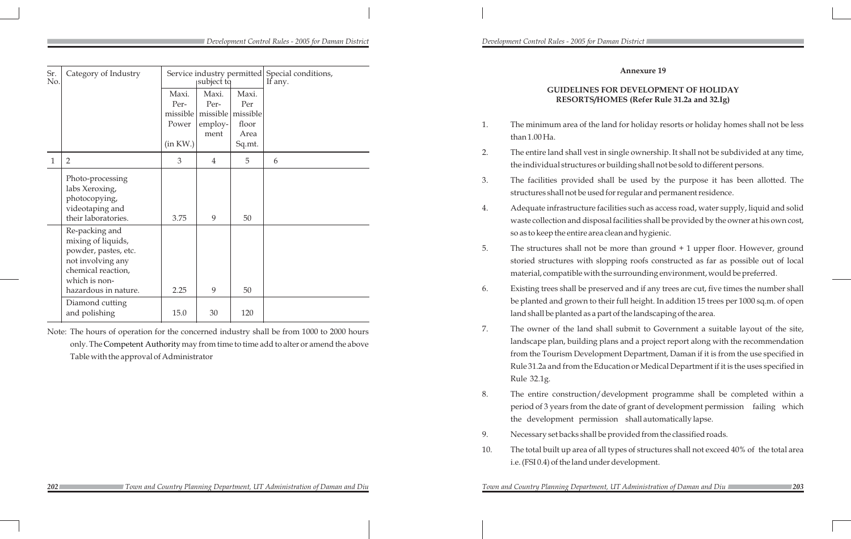## **Annexure 19**

## **GUIDELINES FOR DEVELOPMENT OF HOLIDAY RESORTS/HOMES (Refer Rule 31.2a and 32.Ig)**

1. The minimum area of the land for holiday resorts or holiday homes shall not be less

2. The entire land shall vest in single ownership. It shall not be subdivided at any time, the individual structures or building shall not be sold to different persons.

3. The facilities provided shall be used by the purpose it has been allotted. The structures shall not be used for regular and permanent residence.

4. Adequate infrastructure facilities such as access road, water supply, liquid and solid waste collection and disposal facilities shall be provided by the owner at his own cost,

5. The structures shall not be more than ground + 1 upper floor. However, ground storied structures with slopping roofs constructed as far as possible out of local material, compatible with the surrounding environment, would be preferred.

- than 1.00 Ha.
- 
- 
- so as to keep the entire area clean and hygienic.
- 
- 
- Rule 32.1g.
- 
- 
- i.e. (FSI 0.4) of the land under development.

**202 202 2021 2021 203 203 203 203 203 203 203 203 203 203 203 203 204 205 205 205 205 205 205 205 205 205 205 205 205 205 205 205 205 205 205 205 205** 

6. Existing trees shall be preserved and if any trees are cut, five times the number shall be planted and grown to their full height. In addition 15 trees per 1000 sq.m. of open land shall be planted as a part of the landscaping of the area.

7. The owner of the land shall submit to Government a suitable layout of the site, landscape plan, building plans and a project report along with the recommendation from the Tourism Development Department, Daman if it is from the use specified in Rule 31.2a and from the Education or Medical Department if it is the uses specified in

8. The entire construction/development programme shall be completed within a period of 3 years from the date of grant of development permission failing which the development permission shall automatically lapse.

9. Necessary set backs shall be provided from the classified roads.

10. The total built up area of all types of structures shall not exceed 40% of the total area

| Sr.<br>No. | Category of Industry                                                                                                                             | Service industry permitted Special conditions,<br>subject to                                  |                                      |                                   | If any. |   |          |      |        |  |
|------------|--------------------------------------------------------------------------------------------------------------------------------------------------|-----------------------------------------------------------------------------------------------|--------------------------------------|-----------------------------------|---------|---|----------|------|--------|--|
|            |                                                                                                                                                  | Maxi.<br>Per-<br>missible<br>Power                                                            | Maxi.<br>Per-<br>missible<br>employ- | Maxi.<br>Per<br>missible<br>floor |         |   |          |      |        |  |
|            |                                                                                                                                                  |                                                                                               |                                      |                                   |         |   |          | ment | Area   |  |
|            |                                                                                                                                                  |                                                                                               |                                      |                                   |         |   | (in KW.) |      | Sq.mt. |  |
|            | $\mathbf{1}$                                                                                                                                     | $\overline{2}$                                                                                | 3                                    | $\overline{4}$                    | 5       | 6 |          |      |        |  |
|            |                                                                                                                                                  | Photo-processing<br>labs Xeroxing,<br>photocopying,<br>videotaping and<br>their laboratories. | 3.75                                 | 9                                 | 50      |   |          |      |        |  |
|            | Re-packing and<br>mixing of liquids,<br>powder, pastes, etc.<br>not involving any<br>chemical reaction,<br>which is non-<br>hazardous in nature. | 2.25                                                                                          | 9                                    | 50                                |         |   |          |      |        |  |
|            | Diamond cutting<br>and polishing                                                                                                                 | 15.0                                                                                          | 30                                   | 120                               |         |   |          |      |        |  |

Note: The hours of operation for the concerned industry shall be from 1000 to 2000 hours only. The Competent Authority may from time to time add to alter or amend the above Table with the approval of Administrator

 *Town and Country Planning Department, UT Administration of Daman and Diu Town and Country Planning Department, UT Administration of Daman and Diu*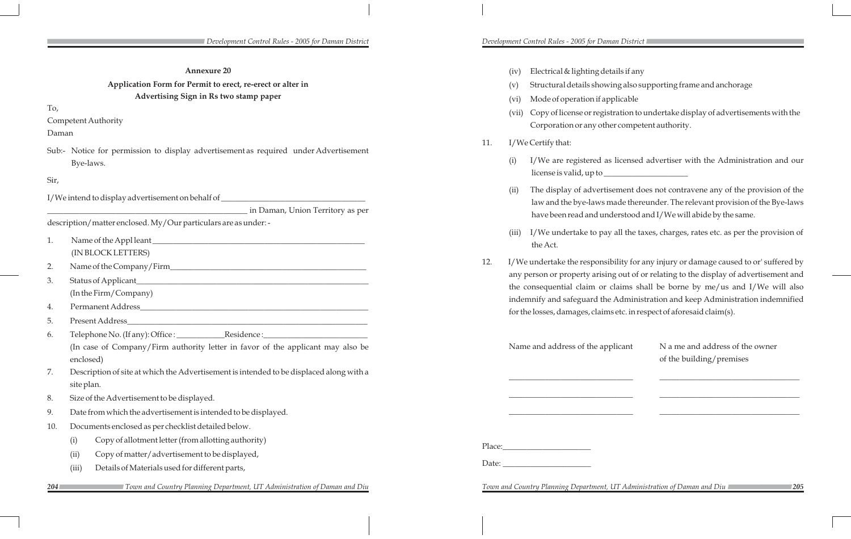(v) Structural details showing also supporting frame and anchorage

(vii) Copy of license or registration to undertake display of advertisements with the Corporation or any other competent authority.

The display of advertisement does not contravene any of the provision of the law and the bye-laws made thereunder. The relevant provision of the Bye-laws have been read and understood and I/We will abide by the same.

(i) I/We are registered as licensed advertiser with the Administration and our license is valid, up to \_\_\_\_\_\_\_\_\_\_\_\_\_\_\_\_\_\_\_\_\_

Name and address of the applicant N a me and address of the owner of the building/premises

*Zown and Country Planning Department, UT Administration of Daman and Diu* 

(iii) I/We undertake to pay all the taxes, charges, rates etc. as per the provision of

12. I/We undertake the responsibility for any injury or damage caused to or' suffered by any person or property arising out of or relating to the display of advertisement and the consequential claim or claims shall be borne by me/us and I/We will also indemnify and safeguard the Administration and keep Administration indemnified for the losses, damages, claims etc. in respect of aforesaid claim(s).

## (iv) Electrical & lighting details if any (vi) Mode of operation if applicable 11. I/We Certify that: the Act. \_\_\_\_\_\_\_\_\_\_\_\_\_\_\_\_\_\_\_\_\_\_\_\_\_\_\_\_\_\_\_ \_\_\_\_\_\_\_\_\_\_\_\_\_\_\_\_\_\_\_\_\_\_\_\_\_\_\_\_\_\_\_\_\_\_\_ \_\_\_\_\_\_\_\_\_\_\_\_\_\_\_\_\_\_\_\_\_\_\_\_\_\_\_\_\_\_\_ \_\_\_\_\_\_\_\_\_\_\_\_\_\_\_\_\_\_\_\_\_\_\_\_\_\_\_\_\_\_\_\_\_\_\_ \_\_\_\_\_\_\_\_\_\_\_\_\_\_\_\_\_\_\_\_\_\_\_\_\_\_\_\_\_\_\_ \_\_\_\_\_\_\_\_\_\_\_\_\_\_\_\_\_\_\_\_\_\_\_\_\_\_\_\_\_\_\_\_\_\_\_ Place: Date: **Annexure 20 Application Form for Permit to erect, re-erect or alter in Advertising Sign in Rs two stamp paper** To, Competent Authority Daman Sub:- Notice for permission to display advertisement as required under Advertisement Bye-laws. Sir, I/We intend to display advertisement on behalf of \_\_\_\_\_\_\_\_\_\_\_\_\_\_\_\_\_\_\_\_\_\_\_\_\_\_\_\_\_\_ \_\_\_\_\_\_\_\_\_\_\_\_\_\_\_\_\_\_\_\_\_\_\_\_\_\_\_\_\_\_\_\_\_\_\_\_\_\_\_\_\_\_\_\_\_\_\_\_\_\_ in Daman, Union Territory as per description/matter enclosed. My/Our particulars are as under: - 1. Name of the Appl leant \_\_\_\_\_\_\_\_\_\_\_\_\_\_\_\_\_\_\_\_\_\_\_\_\_\_\_\_\_\_\_\_\_\_\_\_\_\_\_\_\_\_\_\_\_\_\_\_\_\_\_\_\_ (IN BLOCK LETTERS) 2. Name of the Company/Firm\_\_\_\_\_\_\_\_\_\_\_\_\_\_\_\_\_\_\_\_\_\_\_\_\_\_\_\_\_\_\_\_\_\_\_\_\_\_\_\_\_\_\_\_\_\_\_\_\_ 3. Status of Applicant\_\_\_\_\_\_\_\_\_\_\_\_\_\_\_\_\_\_\_\_\_\_\_\_\_\_\_\_\_\_\_\_\_\_\_\_\_\_\_\_\_\_\_\_\_\_\_\_\_\_\_\_\_\_\_\_\_\_ (In the Firm/Company) 4. Permanent Address\_\_\_\_\_\_\_\_\_\_\_\_\_\_\_\_\_\_\_\_\_\_\_\_\_\_\_\_\_\_\_\_\_\_\_\_\_\_\_\_\_\_\_\_\_\_\_\_\_\_\_\_\_\_\_\_\_ 5. Present Address\_\_\_\_\_\_\_\_\_\_\_\_\_\_\_\_\_\_\_\_\_\_\_\_\_\_\_\_\_\_\_\_\_\_\_\_\_\_\_\_\_\_\_\_\_\_\_\_\_\_\_\_\_\_\_\_\_\_\_\_ 6. Telephone No. (If any): Office : \_\_\_\_\_\_\_\_\_\_\_\_Residence :\_\_\_\_\_\_\_\_\_\_\_\_\_\_\_\_\_\_\_\_\_\_\_\_\_\_ (In case of Company/Firm authority letter in favor of the applicant may also be enclosed) 7. Description of site at which the Advertisement is intended to be displaced along with a site plan. 8. Size of the Advertisement to be displayed. 9. Date from which the advertisement is intended to be displayed. 10. Documents enclosed as per checklist detailed below. (i) Copy of allotment letter (from allotting authority) (ii) Copy of matter/advertisement to be displayed, (iii) Details of Materials used for different parts,  *Town and Country Planning Department, UT Administration of Daman and Diu Town and Country Planning Department, UT Administration of Daman and Diu*

*Development Control Rules - 2005 for Daman District Development Control Rules - 2005 for Daman District*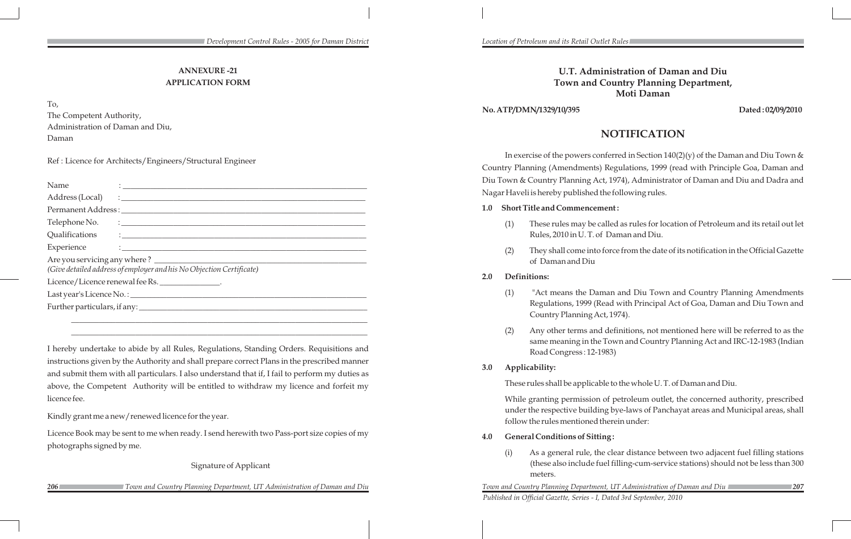## **ANNEXURE -21 APPLICATION FORM**

To,

The Competent Authority, Administration of Daman and Diu, Daman

Ref : Licence for Architects/Engineers/Structural Engineer

| Name                                                                 | $\ddotsc$ . The contract of the contract of the contract of the contract of the contract of the contract of the contract of the contract of the contract of the contract of the contract of the contract of the contract of the |  |  |  |  |  |  |
|----------------------------------------------------------------------|---------------------------------------------------------------------------------------------------------------------------------------------------------------------------------------------------------------------------------|--|--|--|--|--|--|
|                                                                      |                                                                                                                                                                                                                                 |  |  |  |  |  |  |
|                                                                      |                                                                                                                                                                                                                                 |  |  |  |  |  |  |
|                                                                      |                                                                                                                                                                                                                                 |  |  |  |  |  |  |
|                                                                      |                                                                                                                                                                                                                                 |  |  |  |  |  |  |
|                                                                      |                                                                                                                                                                                                                                 |  |  |  |  |  |  |
|                                                                      |                                                                                                                                                                                                                                 |  |  |  |  |  |  |
| (Give detailed address of employer and his No Objection Certificate) |                                                                                                                                                                                                                                 |  |  |  |  |  |  |
| Licence/Licence renewal fee Rs.                                      |                                                                                                                                                                                                                                 |  |  |  |  |  |  |
|                                                                      |                                                                                                                                                                                                                                 |  |  |  |  |  |  |
|                                                                      |                                                                                                                                                                                                                                 |  |  |  |  |  |  |

\_\_\_\_\_\_\_\_\_\_\_\_\_\_\_\_\_\_\_\_\_\_\_\_\_\_\_\_\_\_\_\_\_\_\_\_\_\_\_\_\_\_\_\_\_\_\_\_\_\_\_\_\_\_\_\_\_\_\_\_\_\_\_\_\_\_\_\_\_\_\_\_\_\_ \_\_\_\_\_\_\_\_\_\_\_\_\_\_\_\_\_\_\_\_\_\_\_\_\_\_\_\_\_\_\_\_\_\_\_\_\_\_\_\_\_\_\_\_\_\_\_\_\_\_\_\_\_\_\_\_\_\_\_\_\_\_\_\_\_\_\_\_\_\_\_\_\_\_

In exercise of the powers conferred in Section  $140(2)(y)$  of the Daman and Diu Town & Country Planning (Amendments) Regulations, 1999 (read with Principle Goa, Daman and Diu Town & Country Planning Act, 1974), Administrator of Daman and Diu and Dadra and Nagar Haveli is hereby published the following rules.

I hereby undertake to abide by all Rules, Regulations, Standing Orders. Requisitions and instructions given by the Authority and shall prepare correct Plans in the prescribed manner and submit them with all particulars. I also understand that if, I fail to perform my duties as above, the Competent Authority will be entitled to withdraw my licence and forfeit my licence fee.

Kindly grant me a new/renewed licence for the year.

Licence Book may be sent to me when ready. I send herewith two Pass-port size copies of my photographs signed by me.

Signature of Applicant

**206** *206 208 207 207 <i>Zown and Country Planning Department, UT Administration of Daman and Diu Zown* **207** *Zown and Country Planning Department, UT Administration of Daman and Diu Published in Official Gazette, Series - I, Dated 3rd September, 2010* 

 *Town and Country Planning Department, UT Administration of Daman and Diu Town and Country Planning Department, UT Administration of Daman and Diu*

## **U.T. Administration of Daman and Diu Town and Country Planning Department, Moti Daman**

## **No. ATP/DMN/1329/10/395 Dated : 02/09/2010**

# **NOTIFICATION**

## **1.0 Short Title and Commencement :**

(1) These rules may be called as rules for location of Petroleum and its retail out let

- Rules, 2010 in U. T. of Daman and Diu.
- of Daman and Diu

(2) They shall come into force from the date of its notification in the Official Gazette

## **2.0 Definitions:**

(1) "Act means the Daman and Diu Town and Country Planning Amendments Regulations, 1999 (Read with Principal Act of Goa, Daman and Diu Town and

(2) Any other terms and definitions, not mentioned here will be referred to as the same meaning in the Town and Country Planning Act and IRC-12-1983 (Indian

- Country Planning Act, 1974).
- Road Congress : 12-1983)
- **3.0 Applicability:**

These rules shall be applicable to the whole U. T. of Daman and Diu.

While granting permission of petroleum outlet, the concerned authority, prescribed under the respective building bye-laws of Panchayat areas and Municipal areas, shall follow the rules mentioned therein under:

- **4.0 General Conditions of Sitting :**
	- meters.

(i) As a general rule, the clear distance between two adjacent fuel filling stations (these also include fuel filling-cum-service stations) should not be less than 300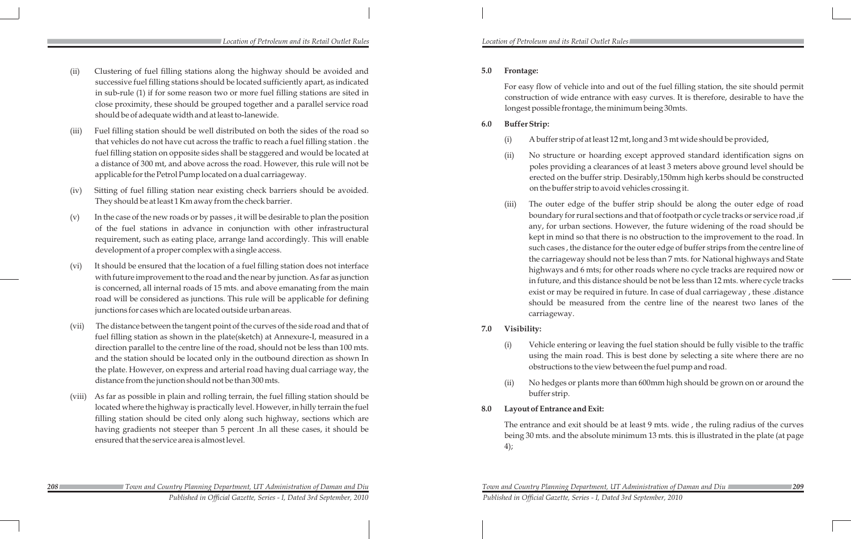- (ii) Clustering of fuel filling stations along the highway should be avoided and successive fuel filling stations should be located sufficiently apart, as indicated in sub-rule (1) if for some reason two or more fuel filling stations are sited in close proximity, these should be grouped together and a parallel service road should be of adequate width and at least to-lanewide.
- (iii) Fuel filling station should be well distributed on both the sides of the road so that vehicles do not have cut across the traffic to reach a fuel filling station . the fuel filling station on opposite sides shall be staggered and would be located at a distance of 300 mt, and above across the road. However, this rule will not be applicable for the Petrol Pump located on a dual carriageway.
- (iv) Sitting of fuel filling station near existing check barriers should be avoided. They should be at least 1 Km away from the check barrier.
- (v) In the case of the new roads or by passes , it will be desirable to plan the position of the fuel stations in advance in conjunction with other infrastructural requirement, such as eating place, arrange land accordingly. This will enable development of a proper complex with a single access.
- (vi) It should be ensured that the location of a fuel filling station does not interface with future improvement to the road and the near by junction. As far as junction is concerned, all internal roads of 15 mts. and above emanating from the main road will be considered as junctions. This rule will be applicable for defining junctions for cases which are located outside urban areas.
- (vii) The distance between the tangent point of the curves of the side road and that of fuel filling station as shown in the plate(sketch) at Annexure-I, measured in a direction parallel to the centre line of the road, should not be less than 100 mts. and the station should be located only in the outbound direction as shown In the plate. However, on express and arterial road having dual carriage way, the distance from the junction should not be than 300 mts.
- (viii) As far as possible in plain and rolling terrain, the fuel filling station should be located where the highway is practically level. However, in hilly terrain the fuel filling station should be cited only along such highway, sections which are having gradients not steeper than 5 percent .In all these cases, it should be ensured that the service area is almost level.

## **5.0 Frontage:**

For easy flow of vehicle into and out of the fuel filling station, the site should permit construction of wide entrance with easy curves. It is therefore, desirable to have the longest possible frontage, the minimum being 30mts.

## **6.0 Buffer Strip:**

(i) A buffer strip of at least 12 mt, long and 3 mt wide should be provided,

(ii) No structure or hoarding except approved standard identification signs on poles providing a clearances of at least 3 meters above ground level should be erected on the buffer strip. Desirably,150mm high kerbs should be constructed on the buffer strip to avoid vehicles crossing it.

(iii) The outer edge of the buffer strip should be along the outer edge of road boundary for rural sections and that of footpath or cycle tracks or service road ,if any, for urban sections. However, the future widening of the road should be kept in mind so that there is no obstruction to the improvement to the road. In such cases , the distance for the outer edge of buffer strips from the centre line of the carriageway should not be less than 7 mts. for National highways and State highways and 6 mts; for other roads where no cycle tracks are required now or in future, and this distance should be not be less than 12 mts. where cycle tracks exist or may be required in future. In case of dual carriageway , these .distance should be measured from the centre line of the nearest two lanes of the

- 
- - carriageway.

## **7.0 Visibility:**

(i) Vehicle entering or leaving the fuel station should be fully visible to the traffic using the main road. This is best done by selecting a site where there are no obstructions to the view between the fuel pump and road.

(ii) No hedges or plants more than 600mm high should be grown on or around the

- 
- buffer strip.
- **8.0 Layout of Entrance and Exit:**

The entrance and exit should be at least 9 mts. wide , the ruling radius of the curves being 30 mts. and the absolute minimum 13 mts. this is illustrated in the plate (at page

4);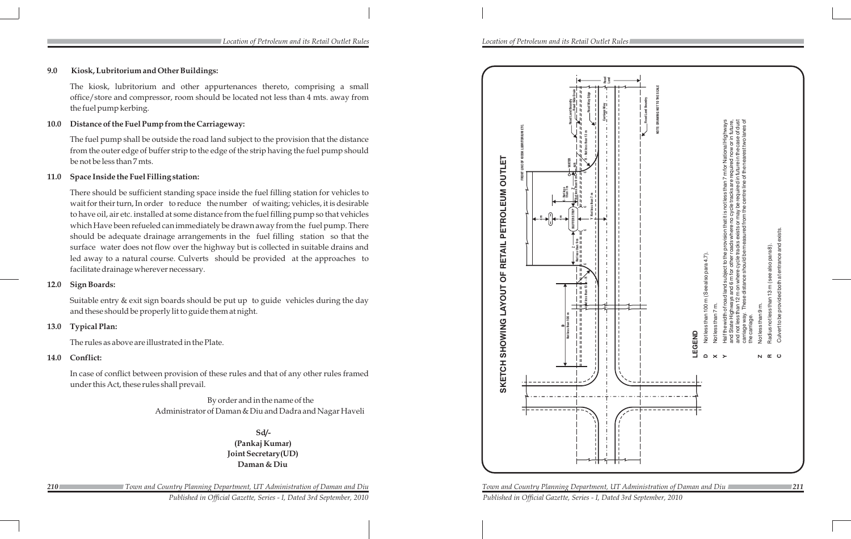# **9.0 Kiosk, Lubritorium and Other Buildings:**

The kiosk, lubritorium and other appurtenances thereto, comprising a small office/store and compressor, room should be located not less than 4 mts. away from the fuel pump kerbing.

# **10.0 Distance of the Fuel Pump from the Carriageway:**

The fuel pump shall be outside the road land subject to the provision that the distance from the outer edge of buffer strip to the edge of the strip having the fuel pump should be not be less than 7 mts.

# **11.0 Space Inside the Fuel Filling station:**

There should be sufficient standing space inside the fuel filling station for vehicles to wait for their turn, In order to reduce the number of waiting; vehicles, it is desirable to have oil, air etc. installed at some distance from the fuel filling pump so that vehicles which Have been refueled can immediately be drawn away from the fuel pump. There should be adequate drainage arrangements in the fuel filling station so that the surface water does not flow over the highway but is collected in suitable drains and led away to a natural course. Culverts should be provided at the approaches to facilitate drainage wherever necessary.

# **12.0 Sign Boards:**

Suitable entry & exit sign boards should be put up to guide vehicles during the day and these should be properly lit to guide them at night.

# **13.0 Typical Plan:**

*210 Town and Country Planning Department, UT Administration of Daman and Diu Town and Country Planning Department, UT Administration of Daman and Diu 211 Published in Official Gazette, Series - I, Dated 3rd September, 2010 Published in Official Gazette, Series - I, Dated 3rd September, 2010* 

The rules as above are illustrated in the Plate.

## **14.0 Conflict:**

In case of conflict between provision of these rules and that of any other rules framed under this Act, these rules shall prevail.

> By order and in the name of the Administrator of Daman & Diu and Dadra and Nagar Haveli

> > **Sd/- (Pankaj Kumar) Joint Secretary(UD) Daman & Diu**

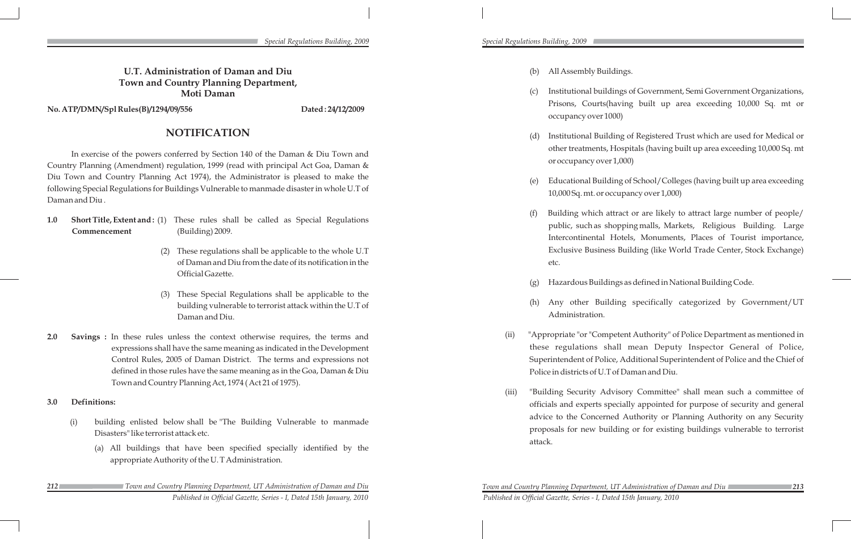#### *Special Regulations Building, 2009*

# **U.T. Administration of Daman and Diu Town and Country Planning Department, Moti Daman**

No. ATP/DMN/Spl Rules(B)/1294/09/556 Dated: 24/12/2009

# **NOTIFICATION**

In exercise of the powers conferred by Section 140 of the Daman & Diu Town and Country Planning (Amendment) regulation, 1999 (read with principal Act Goa, Daman & Diu Town and Country Planning Act 1974), the Administrator is pleased to make the following Special Regulations for Buildings Vulnerable to manmade disaster in whole U.T of Daman and Diu .

- **1.0 Short Title, Extent and :** (1) These rules shall be called as Special Regulations **Commencement** (Building) 2009.
	- (2) These regulations shall be applicable to the whole U.T of Daman and Diu from the date of its notification in the Official Gazette.
	- (3) These Special Regulations shall be applicable to the building vulnerable to terrorist attack within the U.T of Daman and Diu.
- **2.0 Savings :** In these rules unless the context otherwise requires, the terms and expressions shall have the same meaning as indicated in the Development Control Rules, 2005 of Daman District. The terms and expressions not defined in those rules have the same meaning as in the Goa, Daman & Diu Town and Country Planning Act, 1974 ( Act 21 of 1975).

Educational Building of School/Colleges (having built up area exceeding 10,000 Sq. mt. or occupancy over 1,000)

Building which attract or are likely to attract large number of people/ public, such as shopping malls, Markets, Religious Building. Large Intercontinental Hotels, Monuments, Places of Tourist importance, Exclusive Business Building (like World Trade Center, Stock Exchange)

Hazardous Buildings as defined in National Building Code.

# **3.0 Definitions:**

- (i) building enlisted below shall be "The Building Vulnerable to manmade Disasters" like terrorist attack etc.
	- (a) All buildings that have been specified specially identified by the appropriate Authority of the U. T Administration.

*Published in Official Gazette, Series - I, Dated 15th January, 2010* 

(b) All Assembly Buildings.

(c) Institutional buildings of Government, Semi Government Organizations, Prisons, Courts(having built up area exceeding 10,000 Sq. mt or

(d) Institutional Building of Registered Trust which are used for Medical or other treatments, Hospitals (having built up area exceeding 10,000 Sq. mt

- occupancy over 1000)
- or occupancy over 1,000)
- 
- etc.
- 
- Administration.
- 
- attack.

(h) Any other Building specifically categorized by Government/UT

(ii) "Appropriate "or "Competent Authority" of Police Department as mentioned in these regulations shall mean Deputy Inspector General of Police, Superintendent of Police, Additional Superintendent of Police and the Chief of Police in districts of U.T of Daman and Diu.

(iii) "Building Security Advisory Committee" shall mean such a committee of officials and experts specially appointed for purpose of security and general advice to the Concerned Authority or Planning Authority on any Security proposals for new building or for existing buildings vulnerable to terrorist

*Special Regulations Building, 2009*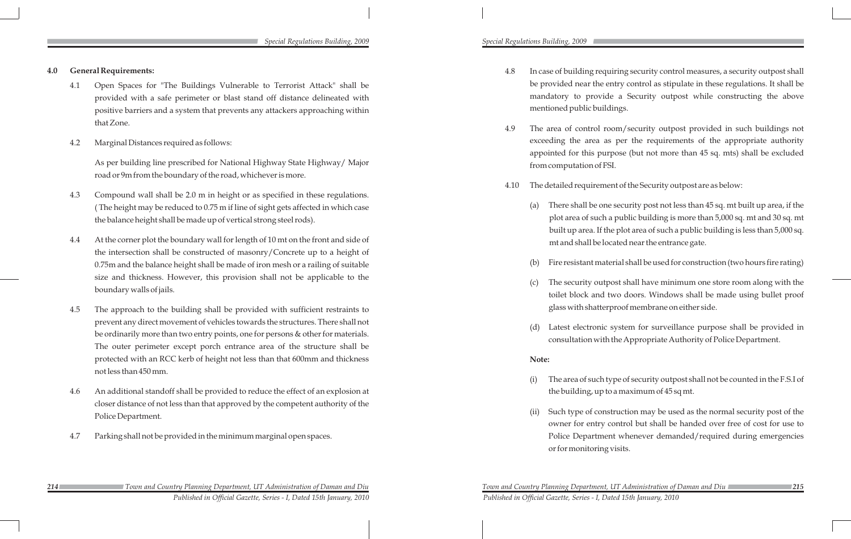*214 Town and Country Planning Department, UT Administration of Daman and Diu Town and Country Planning Department, UT Administration of Daman and Diu 215 Published in Official Gazette, Series - I, Dated 15th January, 2010 Published in Official Gazette, Series - I, Dated 15th January, 2010* 

### *Special Regulations Building, 2009 Special Regulations Building, 2009*

- **4.0 General Requirements:**
	- 4.1 Open Spaces for "The Buildings Vulnerable to Terrorist Attack" shall be provided with a safe perimeter or blast stand off distance delineated with positive barriers and a system that prevents any attackers approaching within that Zone.
	- 4.2 Marginal Distances required as follows:

As per building line prescribed for National Highway State Highway/ Major road or 9m from the boundary of the road, whichever is more.

- 4.3 Compound wall shall be 2.0 m in height or as specified in these regulations. ( The height may be reduced to 0.75 m if line of sight gets affected in which case the balance height shall be made up of vertical strong steel rods).
- 4.4 At the corner plot the boundary wall for length of 10 mt on the front and side of the intersection shall be constructed of masonry/Concrete up to a height of 0.75m and the balance height shall be made of iron mesh or a railing of suitable size and thickness. However, this provision shall not be applicable to the boundary walls of jails.
- 4.5 The approach to the building shall be provided with sufficient restraints to prevent any direct movement of vehicles towards the structures. There shall not be ordinarily more than two entry points, one for persons & other for materials. The outer perimeter except porch entrance area of the structure shall be protected with an RCC kerb of height not less than that 600mm and thickness not less than 450 mm.
- 4.6 An additional standoff shall be provided to reduce the effect of an explosion at closer distance of not less than that approved by the competent authority of the Police Department.
- 4.7 Parking shall not be provided in the minimum marginal open spaces.

The security outpost shall have minimum one store room along with the toilet block and two doors. Windows shall be made using bullet proof glass with shatterproof membrane on either side.

4.8 In case of building requiring security control measures, a security outpost shall be provided near the entry control as stipulate in these regulations. It shall be mandatory to provide a Security outpost while constructing the above

- mentioned public buildings.
- from computation of FSI.
- -
	- -
	-

4.9 The area of control room/security outpost provided in such buildings not exceeding the area as per the requirements of the appropriate authority appointed for this purpose (but not more than 45 sq. mts) shall be excluded

4.10 The detailed requirement of the Security outpost are as below:

(a) There shall be one security post not less than 45 sq. mt built up area, if the plot area of such a public building is more than 5,000 sq. mt and 30 sq. mt built up area. If the plot area of such a public building is less than 5,000 sq. mt and shall be located near the entrance gate.

Fire resistant material shall be used for construction (two hours fire rating)

(d) Latest electronic system for surveillance purpose shall be provided in consultation with the Appropriate Authority of Police Department.

#### **Note:**

(i) The area of such type of security outpost shall not be counted in the F.S.I of the building, up to a maximum of 45 sq mt.

(ii) Such type of construction may be used as the normal security post of the owner for entry control but shall be handed over free of cost for use to Police Department whenever demanded/required during emergencies

- 
- or for monitoring visits.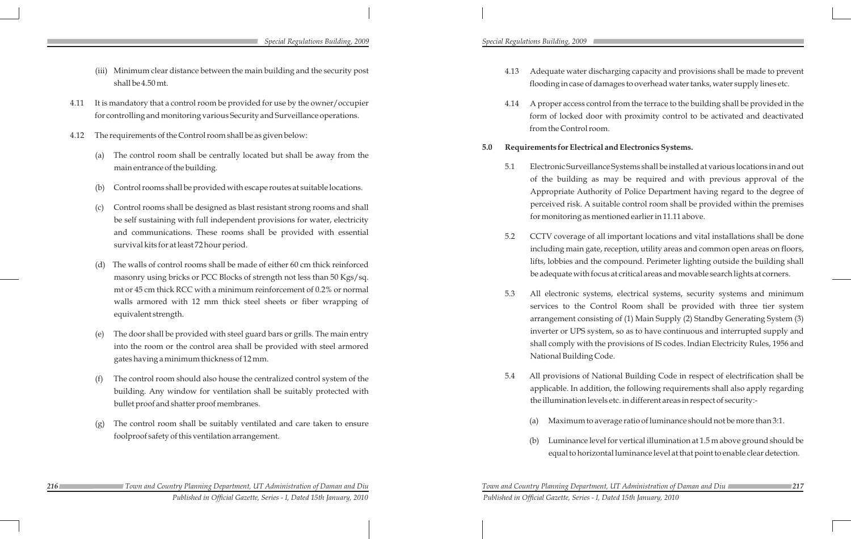- (iii) Minimum clear distance between the main building and the security post shall be 4.50 mt.
- 4.11 It is mandatory that a control room be provided for use by the owner/occupier for controlling and monitoring various Security and Surveillance operations.
- 4.12 The requirements of the Control room shall be as given below:
	- The control room shall be centrally located but shall be away from the main entrance of the building.
	- (b) Control rooms shall be provided with escape routes at suitable locations.
	- (c) Control rooms shall be designed as blast resistant strong rooms and shall be self sustaining with full independent provisions for water, electricity and communications. These rooms shall be provided with essential survival kits for at least 72 hour period.
	- The walls of control rooms shall be made of either 60 cm thick reinforced masonry using bricks or PCC Blocks of strength not less than 50 Kgs/sq. mt or 45 cm thick RCC with a minimum reinforcement of 0.2% or normal walls armored with 12 mm thick steel sheets or fiber wrapping of equivalent strength.
	- The door shall be provided with steel guard bars or grills. The main entry into the room or the control area shall be provided with steel armored gates having a minimum thickness of 12 mm.
	- (f) The control room should also house the centralized control system of the building. Any window for ventilation shall be suitably protected with bullet proof and shatter proof membranes.
	- (g) The control room shall be suitably ventilated and care taken to ensure foolproof safety of this ventilation arrangement.
- *216 Town and Country Planning Department, UT Administration of Daman and Diu Town and Country Planning Department, UT Administration of Daman and Diu 217 Published in Official Gazette, Series - I, Dated 15th January, 2010 Published in Official Gazette, Series - I, Dated 15th January, 2010*

#### *Special Regulations Building, 2009 Special Regulations Building, 2009*

4.13 Adequate water discharging capacity and provisions shall be made to prevent flooding in case of damages to overhead water tanks, water supply lines etc.

4.14 A proper access control from the terrace to the building shall be provided in the form of locked door with proximity control to be activated and deactivated

- 
- from the Control room.

# **5.0 Requirements for Electrical and Electronics Systems.**

5.1 Electronic Surveillance Systems shall be installed at various locations in and out of the building as may be required and with previous approval of the Appropriate Authority of Police Department having regard to the degree of perceived risk. A suitable control room shall be provided within the premises for monitoring as mentioned earlier in 11.11 above.

5.2 CCTV coverage of all important locations and vital installations shall be done including main gate, reception, utility areas and common open areas on floors, lifts, lobbies and the compound. Perimeter lighting outside the building shall be adequate with focus at critical areas and movable search lights at corners.

5.3 All electronic systems, electrical systems, security systems and minimum services to the Control Room shall be provided with three tier system arrangement consisting of (1) Main Supply (2) Standby Generating System (3) inverter or UPS system, so as to have continuous and interrupted supply and shall comply with the provisions of IS codes. Indian Electricity Rules, 1956 and

- 
- 
- National Building Code.
- -
	-

5.4 All provisions of National Building Code in respect of electrification shall be applicable. In addition, the following requirements shall also apply regarding the illumination levels etc. in different areas in respect of security:-

(a) Maximum to average ratio of luminance should not be more than 3:1.

(b) Luminance level for vertical illumination at 1.5 m above ground should be equal to horizontal luminance level at that point to enable clear detection.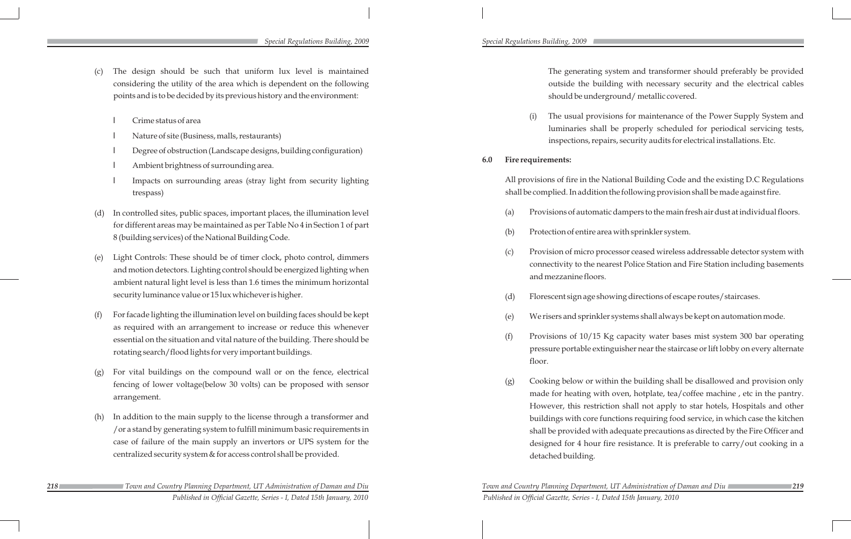- The design should be such that uniform lux level is maintained considering the utility of the area which is dependent on the following points and is to be decided by its previous history and the environment:
	- l Crime status of area
	- l Nature of site (Business, malls, restaurants)
	- l Degree of obstruction (Landscape designs, building configuration)
	- Ambient brightness of surrounding area.
	- Impacts on surrounding areas (stray light from security lighting trespass)
- In controlled sites, public spaces, important places, the illumination level for different areas may be maintained as per Table No 4 in Section 1 of part 8 (building services) of the National Building Code.
- Light Controls: These should be of timer clock, photo control, dimmers and motion detectors. Lighting control should be energized lighting when ambient natural light level is less than 1.6 times the minimum horizontal security luminance value or 15 lux whichever is higher.
- (f) For facade lighting the illumination level on building faces should be kept as required with an arrangement to increase or reduce this whenever essential on the situation and vital nature of the building. There should be rotating search/flood lights for very important buildings.
- For vital buildings on the compound wall or on the fence, electrical fencing of lower voltage(below 30 volts) can be proposed with sensor arrangement.
- In addition to the main supply to the license through a transformer and /or a stand by generating system to fulfill minimum basic requirements in case of failure of the main supply an invertors or UPS system for the centralized security system & for access control shall be provided.

*218 Town and Country Planning Department, UT Administration of Daman and Diu Town and Country Planning Department, UT Administration of Daman and Diu 219 Published in Official Gazette, Series - I, Dated 15th January, 2010 Published in Official Gazette, Series - I, Dated 15th January, 2010* 

The usual provisions for maintenance of the Power Supply System and luminaries shall be properly scheduled for periodical servicing tests, inspections, repairs, security audits for electrical installations. Etc.

#### *Special Regulations Building, 2009 Special Regulations Building, 2009*

The generating system and transformer should preferably be provided outside the building with necessary security and the electrical cables should be underground/ metallic covered.

- 
- **6.0 Fire requirements:**

All provisions of fire in the National Building Code and the existing D.C Regulations shall be complied. In addition the following provision shall be made against fire.

(a) Provisions of automatic dampers to the main fresh air dust at individual floors.

(c) Provision of micro processor ceased wireless addressable detector system with connectivity to the nearest Police Station and Fire Station including basements

(d) Florescent sign age showing directions of escape routes/staircases.

(e) We risers and sprinkler systems shall always be kept on automation mode.

(f) Provisions of 10/15 Kg capacity water bases mist system 300 bar operating pressure portable extinguisher near the staircase or lift lobby on every alternate

- 
- (b) Protection of entire area with sprinkler system.
- and mezzanine floors.
- 
- 
- floor.
- detached building.

(g) Cooking below or within the building shall be disallowed and provision only made for heating with oven, hotplate, tea/coffee machine , etc in the pantry. However, this restriction shall not apply to star hotels, Hospitals and other buildings with core functions requiring food service, in which case the kitchen shall be provided with adequate precautions as directed by the Fire Officer and designed for 4 hour fire resistance. It is preferable to carry/out cooking in a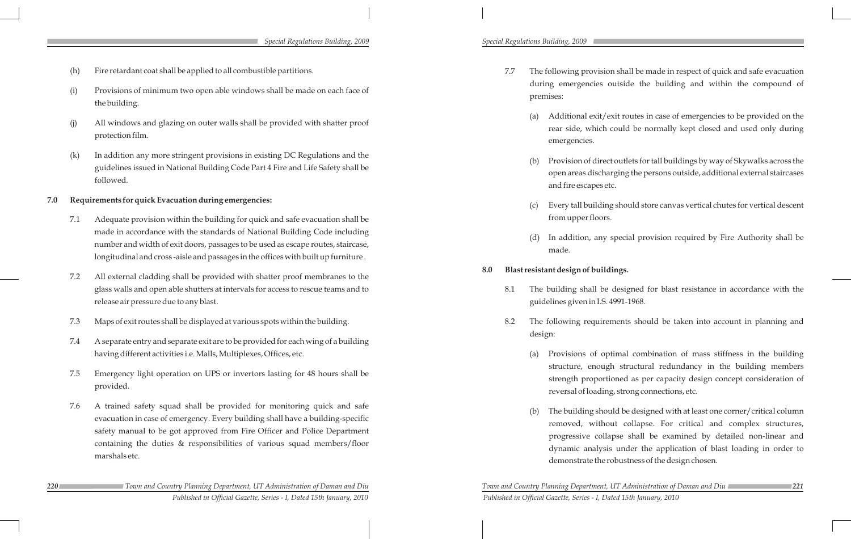- (h) Fire retardant coat shall be applied to all combustible partitions.
- (i) Provisions of minimum two open able windows shall be made on each face of the building.
- (j) All windows and glazing on outer walls shall be provided with shatter proof protection film.
- (k) In addition any more stringent provisions in existing DC Regulations and the guidelines issued in National Building Code Part 4 Fire and Life Safety shall be followed.

#### **7.0 Requirements for quick Evacuation during emergencies:**

*220 Town and Country Planning Department, UT Administration of Daman and Diu Town and Country Planning Department, UT Administration of Daman and Diu 221 Published in Official Gazette, Series - I, Dated 15th January, 2010 Published in Official Gazette, Series - I, Dated 15th January, 2010* 

- 7.1 Adequate provision within the building for quick and safe evacuation shall be made in accordance with the standards of National Building Code including number and width of exit doors, passages to be used as escape routes, staircase, longitudinal and cross -aisle and passages in the offices with built up furniture .
- 7.2 All external cladding shall be provided with shatter proof membranes to the glass walls and open able shutters at intervals for access to rescue teams and to release air pressure due to any blast.
- 7.3 Maps of exit routes shall be displayed at various spots within the building.
- 7.4 A separate entry and separate exit are to be provided for each wing of a building having different activities i.e. Malls, Multiplexes, Offices, etc.
- 7.5 Emergency light operation on UPS or invertors lasting for 48 hours shall be provided.
- 7.6 A trained safety squad shall be provided for monitoring quick and safe evacuation in case of emergency. Every building shall have a building-specific safety manual to be got approved from Fire Officer and Police Department containing the duties & responsibilities of various squad members/floor marshals etc.

Provisions of optimal combination of mass stiffness in the building structure, enough structural redundancy in the building members strength proportioned as per capacity design concept consideration of reversal of loading, strong connections, etc.

The building should be designed with at least one corner/critical column removed, without collapse. For critical and complex structures, progressive collapse shall be examined by detailed non-linear and dynamic analysis under the application of blast loading in order to demonstrate the robustness of the design chosen.

#### *Special Regulations Building, 2009 Special Regulations Building, 2009*

7.7 The following provision shall be made in respect of quick and safe evacuation during emergencies outside the building and within the compound of

(a) Additional exit/exit routes in case of emergencies to be provided on the rear side, which could be normally kept closed and used only during

(b) Provision of direct outlets for tall buildings by way of Skywalks across the open areas discharging the persons outside, additional external staircases

- premises:
	- emergencies.
	- and fire escapes etc.
	- from upper floors.
	- made.

(c) Every tall building should store canvas vertical chutes for vertical descent

(d) In addition, any special provision required by Fire Authority shall be

#### **8.0 Blast resistant design of buildings.**

8.1 The building shall be designed for blast resistance in accordance with the

- guidelines given in I.S. 4991-1968.
- design:
	-
	-

8.2 The following requirements should be taken into account in planning and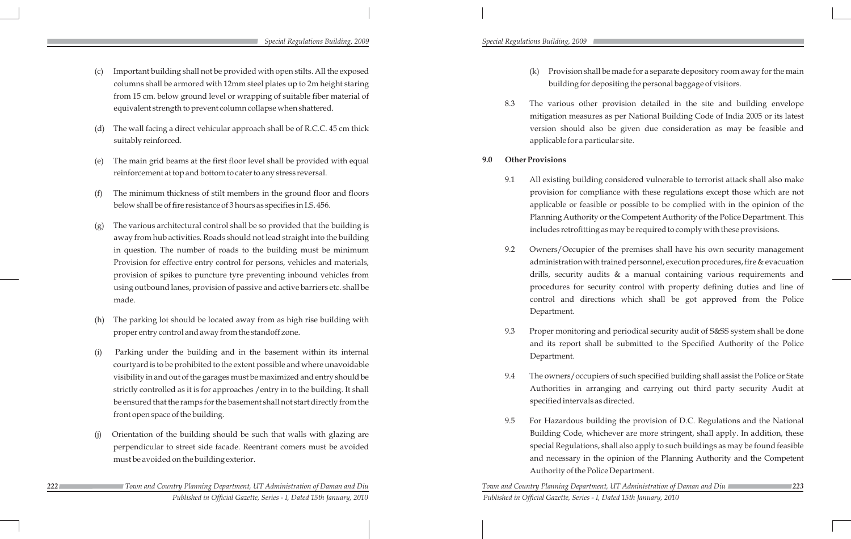*222 Town and Country Planning Department, UT Administration of Daman and Diu Town and Country Planning Department, UT Administration of Daman and Diu 223 Published in Official Gazette, Series - I, Dated 15th January, 2010 Published in Official Gazette, Series - I, Dated 15th January, 2010* 

#### *Special Regulations Building, 2009 Special Regulations Building, 2009*

- (c) Important building shall not be provided with open stilts. All the exposed columns shall be armored with 12mm steel plates up to 2m height staring from 15 cm. below ground level or wrapping of suitable fiber material of equivalent strength to prevent column collapse when shattered.
- (d) The wall facing a direct vehicular approach shall be of R.C.C. 45 cm thick suitably reinforced.
- The main grid beams at the first floor level shall be provided with equal reinforcement at top and bottom to cater to any stress reversal.
- (f) The minimum thickness of stilt members in the ground floor and floors below shall be of fire resistance of 3 hours as specifies in I.S. 456.
- (g) The various architectural control shall be so provided that the building is away from hub activities. Roads should not lead straight into the building in question. The number of roads to the building must be minimum Provision for effective entry control for persons, vehicles and materials, provision of spikes to puncture tyre preventing inbound vehicles from using outbound lanes, provision of passive and active barriers etc. shall be made.
- The parking lot should be located away from as high rise building with proper entry control and away from the standoff zone.
- (i) Parking under the building and in the basement within its internal courtyard is to be prohibited to the extent possible and where unavoidable visibility in and out of the garages must be maximized and entry should be strictly controlled as it is for approaches /entry in to the building. It shall be ensured that the ramps for the basement shall not start directly from the front open space of the building.
- Orientation of the building should be such that walls with glazing are perpendicular to street side facade. Reentrant comers must be avoided must be avoided on the building exterior.

(k) Provision shall be made for a separate depository room away for the main building for depositing the personal baggage of visitors.

8.3 The various other provision detailed in the site and building envelope mitigation measures as per National Building Code of India 2005 or its latest version should also be given due consideration as may be feasible and

9.1 All existing building considered vulnerable to terrorist attack shall also make provision for compliance with these regulations except those which are not applicable or feasible or possible to be complied with in the opinion of the Planning Authority or the Competent Authority of the Police Department. This includes retrofitting as may be required to comply with these provisions.

9.2 Owners/Occupier of the premises shall have his own security management administration with trained personnel, execution procedures, fire & evacuation drills, security audits & a manual containing various requirements and procedures for security control with property defining duties and line of control and directions which shall be got approved from the Police

- 
- applicable for a particular site.
- **9.0 Other Provisions**
	-
	- Department.
	- Department.
	- specified intervals as directed.
	- Authority of the Police Department.

9.3 Proper monitoring and periodical security audit of S&SS system shall be done and its report shall be submitted to the Specified Authority of the Police

9.4 The owners/occupiers of such specified building shall assist the Police or State Authorities in arranging and carrying out third party security Audit at

9.5 For Hazardous building the provision of D.C. Regulations and the National Building Code, whichever are more stringent, shall apply. In addition, these special Regulations, shall also apply to such buildings as may be found feasible and necessary in the opinion of the Planning Authority and the Competent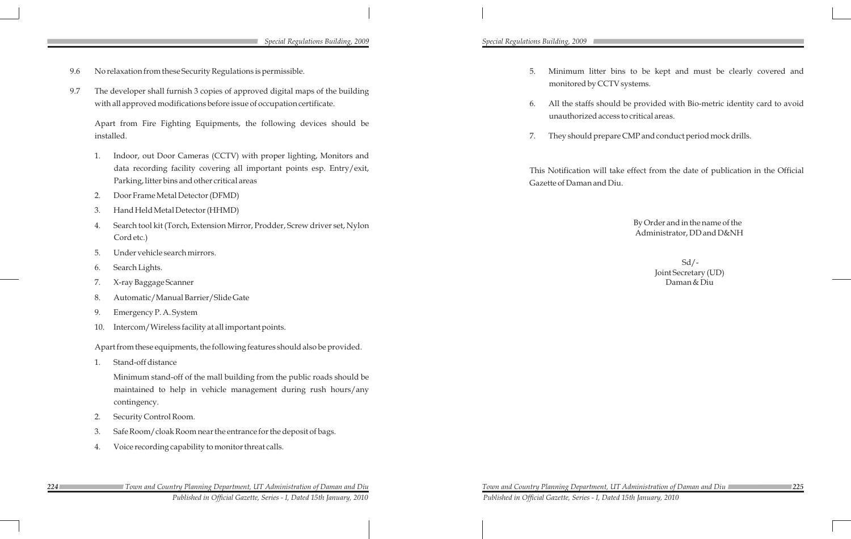- 9.6 No relaxation from these Security Regulations is permissible.
- 9.7 The developer shall furnish 3 copies of approved digital maps of the building with all approved modifications before issue of occupation certificate.

Apart from Fire Fighting Equipments, the following devices should be installed.

- 1. Indoor, out Door Cameras (CCTV) with proper lighting, Monitors and data recording facility covering all important points esp. Entry/exit, Parking, litter bins and other critical areas
- 2. Door Frame Metal Detector (DFMD)
- 3. Hand Held Metal Detector (HHMD)
- 4. Search tool kit (Torch, Extension Mirror, Prodder, Screw driver set, Nylon Cord etc.)
- 5. Under vehicle search mirrors.
- 6. Search Lights.
- 7. X-ray Baggage Scanner
- 8. Automatic/Manual Barrier/Slide Gate
- 9. Emergency P. A. System
- 10. Intercom/Wireless facility at all important points.

 $Sd$  /-Joint Secretary (UD) Daman & Diu

Apart from these equipments, the following features should also be provided.

1. Stand-off distance

Minimum stand-off of the mall building from the public roads should be maintained to help in vehicle management during rush hours/any contingency.

- 2. Security Control Room.
- 3. Safe Room/cloak Room near the entrance for the deposit of bags.
- 4. Voice recording capability to monitor threat calls.

5. Minimum litter bins to be kept and must be clearly covered and monitored by CCTV systems.

6. All the staffs should be provided with Bio-metric identity card to avoid unauthorized access to critical areas.

7. They should prepare CMP and conduct period mock drills.

This Notification will take effect from the date of publication in the Official Gazette of Daman and Diu.

> By Order and in the name of the Administrator, DD and D&NH